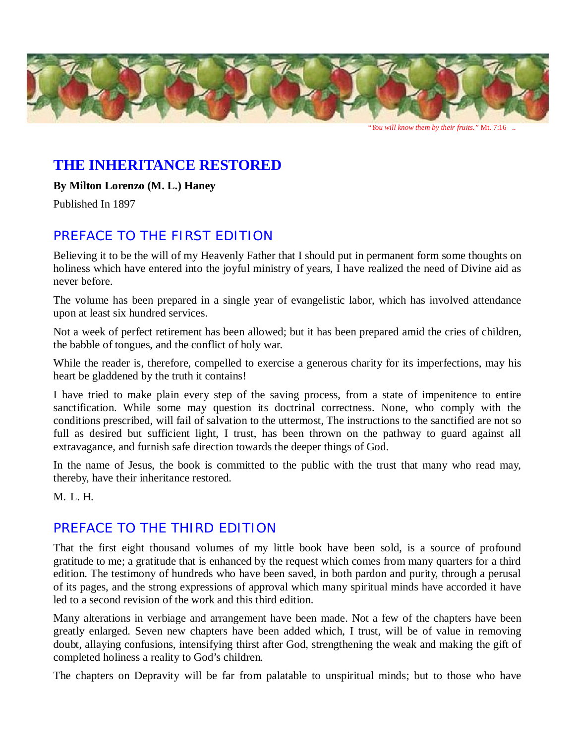

# **THE INHERITANCE RESTORED**

**By Milton Lorenzo (M. L.) Haney**

Published In 1897

# *PREFACE TO THE FIRST EDITION*

Believing it to be the will of my Heavenly Father that I should put in permanent form some thoughts on holiness which have entered into the joyful ministry of years, I have realized the need of Divine aid as never before.

The volume has been prepared in a single year of evangelistic labor, which has involved attendance upon at least six hundred services.

Not a week of perfect retirement has been allowed; but it has been prepared amid the cries of children, the babble of tongues, and the conflict of holy war.

While the reader is, therefore, compelled to exercise a generous charity for its imperfections, may his heart be gladdened by the truth it contains!

I have tried to make plain every step of the saving process, from a state of impenitence to entire sanctification. While some may question its doctrinal correctness. None, who comply with the conditions prescribed, will fail of salvation to the uttermost, The instructions to the sanctified are not so full as desired but sufficient light, I trust, has been thrown on the pathway to guard against all extravagance, and furnish safe direction towards the deeper things of God.

In the name of Jesus, the book is committed to the public with the trust that many who read may, thereby, have their inheritance restored.

M. L. H.

# *PREFACE TO THE THIRD EDITION*

That the first eight thousand volumes of my little book have been sold, is a source of profound gratitude to me; a gratitude that is enhanced by the request which comes from many quarters for a third edition. The testimony of hundreds who have been saved, in both pardon and purity, through a perusal of its pages, and the strong expressions of approval which many spiritual minds have accorded it have led to a second revision of the work and this third edition.

Many alterations in verbiage and arrangement have been made. Not a few of the chapters have been greatly enlarged. Seven new chapters have been added which, I trust, will be of value in removing doubt, allaying confusions, intensifying thirst after God, strengthening the weak and making the gift of completed holiness a reality to God's children.

The chapters on Depravity will be far from palatable to unspiritual minds; but to those who have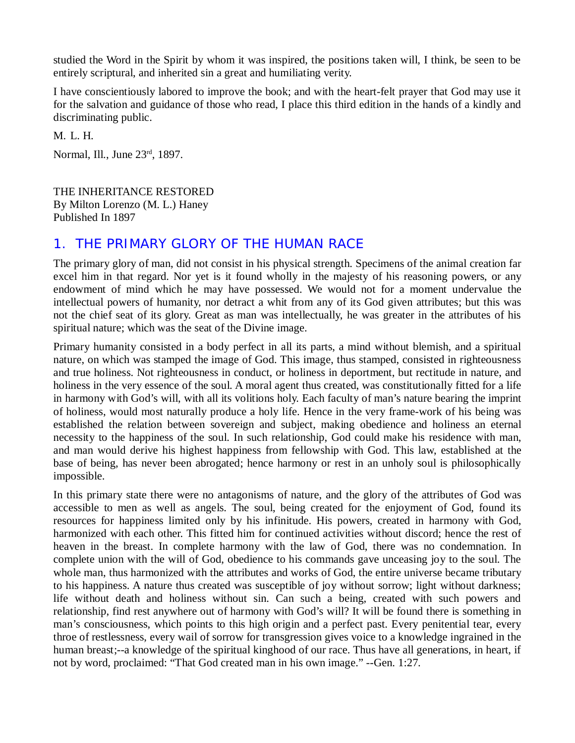studied the Word in the Spirit by whom it was inspired, the positions taken will, I think, be seen to be entirely scriptural, and inherited sin a great and humiliating verity.

I have conscientiously labored to improve the book; and with the heart-felt prayer that God may use it for the salvation and guidance of those who read, I place this third edition in the hands of a kindly and discriminating public.

M. L. H.

Normal, Ill., June 23rd, 1897.

THE INHERITANCE RESTORED By Milton Lorenzo (M. L.) Haney Published In 1897

#### *1. THE PRIMARY GLORY OF THE HUMAN RACE*

The primary glory of man, did not consist in his physical strength. Specimens of the animal creation far excel him in that regard. Nor yet is it found wholly in the majesty of his reasoning powers, or any endowment of mind which he may have possessed. We would not for a moment undervalue the intellectual powers of humanity, nor detract a whit from any of its God given attributes; but this was not the chief seat of its glory. Great as man was intellectually, he was greater in the attributes of his spiritual nature; which was the seat of the Divine image.

Primary humanity consisted in a body perfect in all its parts, a mind without blemish, and a spiritual nature, on which was stamped the image of God. This image, thus stamped, consisted in righteousness and true holiness. Not righteousness in conduct, or holiness in deportment, but rectitude in nature, and holiness in the very essence of the soul. A moral agent thus created, was constitutionally fitted for a life in harmony with God's will, with all its volitions holy. Each faculty of man's nature bearing the imprint of holiness, would most naturally produce a holy life. Hence in the very frame-work of his being was established the relation between sovereign and subject, making obedience and holiness an eternal necessity to the happiness of the soul. In such relationship, God could make his residence with man, and man would derive his highest happiness from fellowship with God. This law, established at the base of being, has never been abrogated; hence harmony or rest in an unholy soul is philosophically impossible.

In this primary state there were no antagonisms of nature, and the glory of the attributes of God was accessible to men as well as angels. The soul, being created for the enjoyment of God, found its resources for happiness limited only by his infinitude. His powers, created in harmony with God, harmonized with each other. This fitted him for continued activities without discord; hence the rest of heaven in the breast. In complete harmony with the law of God, there was no condemnation. In complete union with the will of God, obedience to his commands gave unceasing joy to the soul. The whole man, thus harmonized with the attributes and works of God, the entire universe became tributary to his happiness. A nature thus created was susceptible of joy without sorrow; light without darkness; life without death and holiness without sin. Can such a being, created with such powers and relationship, find rest anywhere out of harmony with God's will? It will be found there is something in man's consciousness, which points to this high origin and a perfect past. Every penitential tear, every throe of restlessness, every wail of sorrow for transgression gives voice to a knowledge ingrained in the human breast;--a knowledge of the spiritual kinghood of our race. Thus have all generations, in heart, if not by word, proclaimed: "That God created man in his own image." --Gen. 1:27.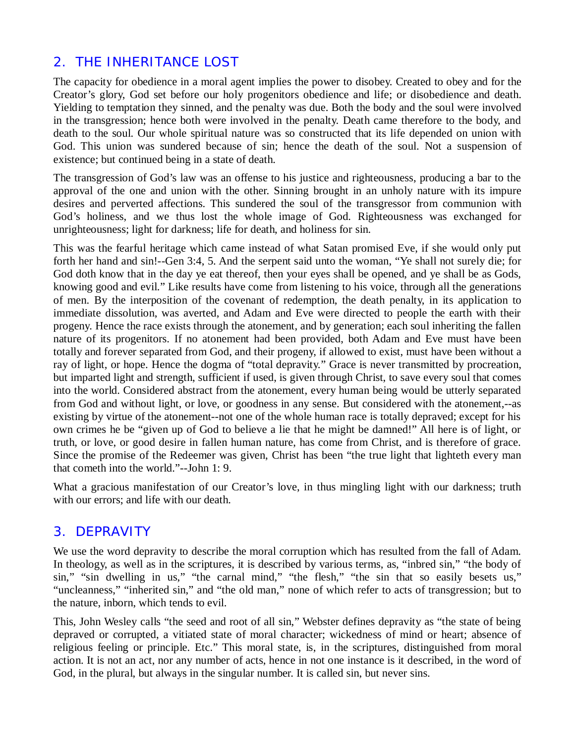# *2. THE INHERITANCE LOST*

The capacity for obedience in a moral agent implies the power to disobey. Created to obey and for the Creator's glory, God set before our holy progenitors obedience and life; or disobedience and death. Yielding to temptation they sinned, and the penalty was due. Both the body and the soul were involved in the transgression; hence both were involved in the penalty. Death came therefore to the body, and death to the soul. Our whole spiritual nature was so constructed that its life depended on union with God. This union was sundered because of sin; hence the death of the soul. Not a suspension of existence; but continued being in a state of death.

The transgression of God's law was an offense to his justice and righteousness, producing a bar to the approval of the one and union with the other. Sinning brought in an unholy nature with its impure desires and perverted affections. This sundered the soul of the transgressor from communion with God's holiness, and we thus lost the whole image of God. Righteousness was exchanged for unrighteousness; light for darkness; life for death, and holiness for sin.

This was the fearful heritage which came instead of what Satan promised Eve, if she would only put forth her hand and sin!--Gen 3:4, 5. And the serpent said unto the woman, "Ye shall not surely die; for God doth know that in the day ye eat thereof, then your eyes shall be opened, and ye shall be as Gods, knowing good and evil." Like results have come from listening to his voice, through all the generations of men. By the interposition of the covenant of redemption, the death penalty, in its application to immediate dissolution, was averted, and Adam and Eve were directed to people the earth with their progeny. Hence the race exists through the atonement, and by generation; each soul inheriting the fallen nature of its progenitors. If no atonement had been provided, both Adam and Eve must have been totally and forever separated from God, and their progeny, if allowed to exist, must have been without a ray of light, or hope. Hence the dogma of "total depravity." Grace is never transmitted by procreation, but imparted light and strength, sufficient if used, is given through Christ, to save every soul that comes into the world. Considered abstract from the atonement, every human being would be utterly separated from God and without light, or love, or goodness in any sense. But considered with the atonement,--as existing by virtue of the atonement--not one of the whole human race is totally depraved; except for his own crimes he be "given up of God to believe a lie that he might be damned!" All here is of light, or truth, or love, or good desire in fallen human nature, has come from Christ, and is therefore of grace. Since the promise of the Redeemer was given, Christ has been "the true light that lighteth every man that cometh into the world."--John 1: 9.

What a gracious manifestation of our Creator's love, in thus mingling light with our darkness; truth with our errors; and life with our death.

#### *3. DEPRAVITY*

We use the word depravity to describe the moral corruption which has resulted from the fall of Adam. In theology, as well as in the scriptures, it is described by various terms, as, "inbred sin," "the body of sin," "sin dwelling in us," "the carnal mind," "the flesh," "the sin that so easily besets us," "uncleanness," "inherited sin," and "the old man," none of which refer to acts of transgression; but to the nature, inborn, which tends to evil.

This, John Wesley calls "the seed and root of all sin," Webster defines depravity as "the state of being depraved or corrupted, a vitiated state of moral character; wickedness of mind or heart; absence of religious feeling or principle. Etc." This moral state, is, in the scriptures, distinguished from moral action. It is not an act, nor any number of acts, hence in not one instance is it described, in the word of God, in the plural, but always in the singular number. It is called sin, but never sins.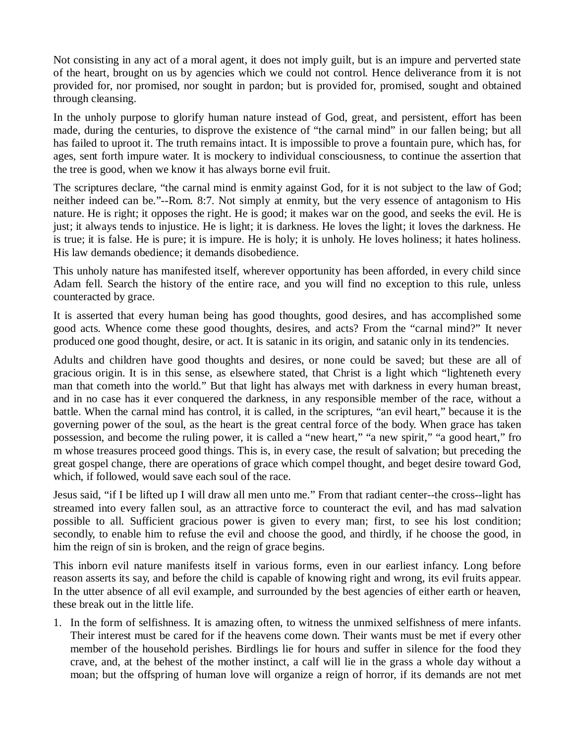Not consisting in any act of a moral agent, it does not imply guilt, but is an impure and perverted state of the heart, brought on us by agencies which we could not control. Hence deliverance from it is not provided for, nor promised, nor sought in pardon; but is provided for, promised, sought and obtained through cleansing.

In the unholy purpose to glorify human nature instead of God, great, and persistent, effort has been made, during the centuries, to disprove the existence of "the carnal mind" in our fallen being; but all has failed to uproot it. The truth remains intact. It is impossible to prove a fountain pure, which has, for ages, sent forth impure water. It is mockery to individual consciousness, to continue the assertion that the tree is good, when we know it has always borne evil fruit.

The scriptures declare, "the carnal mind is enmity against God, for it is not subject to the law of God; neither indeed can be."--Rom. 8:7. Not simply at enmity, but the very essence of antagonism to His nature. He is right; it opposes the right. He is good; it makes war on the good, and seeks the evil. He is just; it always tends to injustice. He is light; it is darkness. He loves the light; it loves the darkness. He is true; it is false. He is pure; it is impure. He is holy; it is unholy. He loves holiness; it hates holiness. His law demands obedience; it demands disobedience.

This unholy nature has manifested itself, wherever opportunity has been afforded, in every child since Adam fell. Search the history of the entire race, and you will find no exception to this rule, unless counteracted by grace.

It is asserted that every human being has good thoughts, good desires, and has accomplished some good acts. Whence come these good thoughts, desires, and acts? From the "carnal mind?" It never produced one good thought, desire, or act. It is satanic in its origin, and satanic only in its tendencies.

Adults and children have good thoughts and desires, or none could be saved; but these are all of gracious origin. It is in this sense, as elsewhere stated, that Christ is a light which "lighteneth every man that cometh into the world." But that light has always met with darkness in every human breast, and in no case has it ever conquered the darkness, in any responsible member of the race, without a battle. When the carnal mind has control, it is called, in the scriptures, "an evil heart," because it is the governing power of the soul, as the heart is the great central force of the body. When grace has taken possession, and become the ruling power, it is called a "new heart," "a new spirit," "a good heart," fro m whose treasures proceed good things. This is, in every case, the result of salvation; but preceding the great gospel change, there are operations of grace which compel thought, and beget desire toward God, which, if followed, would save each soul of the race.

Jesus said, "if I be lifted up I will draw all men unto me." From that radiant center--the cross--light has streamed into every fallen soul, as an attractive force to counteract the evil, and has mad salvation possible to all. Sufficient gracious power is given to every man; first, to see his lost condition; secondly, to enable him to refuse the evil and choose the good, and thirdly, if he choose the good, in him the reign of sin is broken, and the reign of grace begins.

This inborn evil nature manifests itself in various forms, even in our earliest infancy. Long before reason asserts its say, and before the child is capable of knowing right and wrong, its evil fruits appear. In the utter absence of all evil example, and surrounded by the best agencies of either earth or heaven, these break out in the little life.

1. In the form of selfishness. It is amazing often, to witness the unmixed selfishness of mere infants. Their interest must be cared for if the heavens come down. Their wants must be met if every other member of the household perishes. Birdlings lie for hours and suffer in silence for the food they crave, and, at the behest of the mother instinct, a calf will lie in the grass a whole day without a moan; but the offspring of human love will organize a reign of horror, if its demands are not met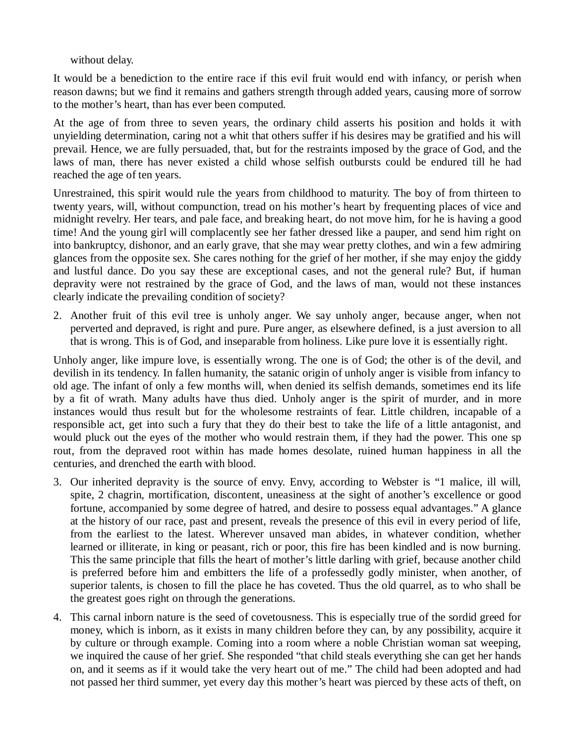without delay.

It would be a benediction to the entire race if this evil fruit would end with infancy, or perish when reason dawns; but we find it remains and gathers strength through added years, causing more of sorrow to the mother's heart, than has ever been computed.

At the age of from three to seven years, the ordinary child asserts his position and holds it with unyielding determination, caring not a whit that others suffer if his desires may be gratified and his will prevail. Hence, we are fully persuaded, that, but for the restraints imposed by the grace of God, and the laws of man, there has never existed a child whose selfish outbursts could be endured till he had reached the age of ten years.

Unrestrained, this spirit would rule the years from childhood to maturity. The boy of from thirteen to twenty years, will, without compunction, tread on his mother's heart by frequenting places of vice and midnight revelry. Her tears, and pale face, and breaking heart, do not move him, for he is having a good time! And the young girl will complacently see her father dressed like a pauper, and send him right on into bankruptcy, dishonor, and an early grave, that she may wear pretty clothes, and win a few admiring glances from the opposite sex. She cares nothing for the grief of her mother, if she may enjoy the giddy and lustful dance. Do you say these are exceptional cases, and not the general rule? But, if human depravity were not restrained by the grace of God, and the laws of man, would not these instances clearly indicate the prevailing condition of society?

2. Another fruit of this evil tree is unholy anger. We say unholy anger, because anger, when not perverted and depraved, is right and pure. Pure anger, as elsewhere defined, is a just aversion to all that is wrong. This is of God, and inseparable from holiness. Like pure love it is essentially right.

Unholy anger, like impure love, is essentially wrong. The one is of God; the other is of the devil, and devilish in its tendency. In fallen humanity, the satanic origin of unholy anger is visible from infancy to old age. The infant of only a few months will, when denied its selfish demands, sometimes end its life by a fit of wrath. Many adults have thus died. Unholy anger is the spirit of murder, and in more instances would thus result but for the wholesome restraints of fear. Little children, incapable of a responsible act, get into such a fury that they do their best to take the life of a little antagonist, and would pluck out the eyes of the mother who would restrain them, if they had the power. This one sp rout, from the depraved root within has made homes desolate, ruined human happiness in all the centuries, and drenched the earth with blood.

- 3. Our inherited depravity is the source of envy. Envy, according to Webster is "1 malice, ill will, spite, 2 chagrin, mortification, discontent, uneasiness at the sight of another's excellence or good fortune, accompanied by some degree of hatred, and desire to possess equal advantages." A glance at the history of our race, past and present, reveals the presence of this evil in every period of life, from the earliest to the latest. Wherever unsaved man abides, in whatever condition, whether learned or illiterate, in king or peasant, rich or poor, this fire has been kindled and is now burning. This the same principle that fills the heart of mother's little darling with grief, because another child is preferred before him and embitters the life of a professedly godly minister, when another, of superior talents, is chosen to fill the place he has coveted. Thus the old quarrel, as to who shall be the greatest goes right on through the generations.
- 4. This carnal inborn nature is the seed of covetousness. This is especially true of the sordid greed for money, which is inborn, as it exists in many children before they can, by any possibility, acquire it by culture or through example. Coming into a room where a noble Christian woman sat weeping, we inquired the cause of her grief. She responded "that child steals everything she can get her hands on, and it seems as if it would take the very heart out of me." The child had been adopted and had not passed her third summer, yet every day this mother's heart was pierced by these acts of theft, on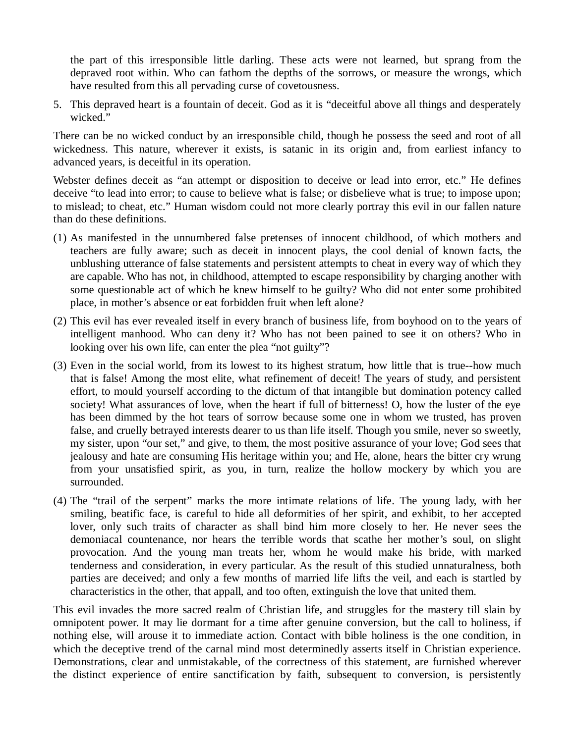the part of this irresponsible little darling. These acts were not learned, but sprang from the depraved root within. Who can fathom the depths of the sorrows, or measure the wrongs, which have resulted from this all pervading curse of covetousness.

5. This depraved heart is a fountain of deceit. God as it is "deceitful above all things and desperately wicked."

There can be no wicked conduct by an irresponsible child, though he possess the seed and root of all wickedness. This nature, wherever it exists, is satanic in its origin and, from earliest infancy to advanced years, is deceitful in its operation.

Webster defines deceit as "an attempt or disposition to deceive or lead into error, etc." He defines deceive "to lead into error; to cause to believe what is false; or disbelieve what is true; to impose upon; to mislead; to cheat, etc." Human wisdom could not more clearly portray this evil in our fallen nature than do these definitions.

- (1) As manifested in the unnumbered false pretenses of innocent childhood, of which mothers and teachers are fully aware; such as deceit in innocent plays, the cool denial of known facts, the unblushing utterance of false statements and persistent attempts to cheat in every way of which they are capable. Who has not, in childhood, attempted to escape responsibility by charging another with some questionable act of which he knew himself to be guilty? Who did not enter some prohibited place, in mother's absence or eat forbidden fruit when left alone?
- (2) This evil has ever revealed itself in every branch of business life, from boyhood on to the years of intelligent manhood. Who can deny it? Who has not been pained to see it on others? Who in looking over his own life, can enter the plea "not guilty"?
- (3) Even in the social world, from its lowest to its highest stratum, how little that is true--how much that is false! Among the most elite, what refinement of deceit! The years of study, and persistent effort, to mould yourself according to the dictum of that intangible but domination potency called society! What assurances of love, when the heart if full of bitterness! O, how the luster of the eye has been dimmed by the hot tears of sorrow because some one in whom we trusted, has proven false, and cruelly betrayed interests dearer to us than life itself. Though you smile, never so sweetly, my sister, upon "our set," and give, to them, the most positive assurance of your love; God sees that jealousy and hate are consuming His heritage within you; and He, alone, hears the bitter cry wrung from your unsatisfied spirit, as you, in turn, realize the hollow mockery by which you are surrounded.
- (4) The "trail of the serpent" marks the more intimate relations of life. The young lady, with her smiling, beatific face, is careful to hide all deformities of her spirit, and exhibit, to her accepted lover, only such traits of character as shall bind him more closely to her. He never sees the demoniacal countenance, nor hears the terrible words that scathe her mother's soul, on slight provocation. And the young man treats her, whom he would make his bride, with marked tenderness and consideration, in every particular. As the result of this studied unnaturalness, both parties are deceived; and only a few months of married life lifts the veil, and each is startled by characteristics in the other, that appall, and too often, extinguish the love that united them.

This evil invades the more sacred realm of Christian life, and struggles for the mastery till slain by omnipotent power. It may lie dormant for a time after genuine conversion, but the call to holiness, if nothing else, will arouse it to immediate action. Contact with bible holiness is the one condition, in which the deceptive trend of the carnal mind most determinedly asserts itself in Christian experience. Demonstrations, clear and unmistakable, of the correctness of this statement, are furnished wherever the distinct experience of entire sanctification by faith, subsequent to conversion, is persistently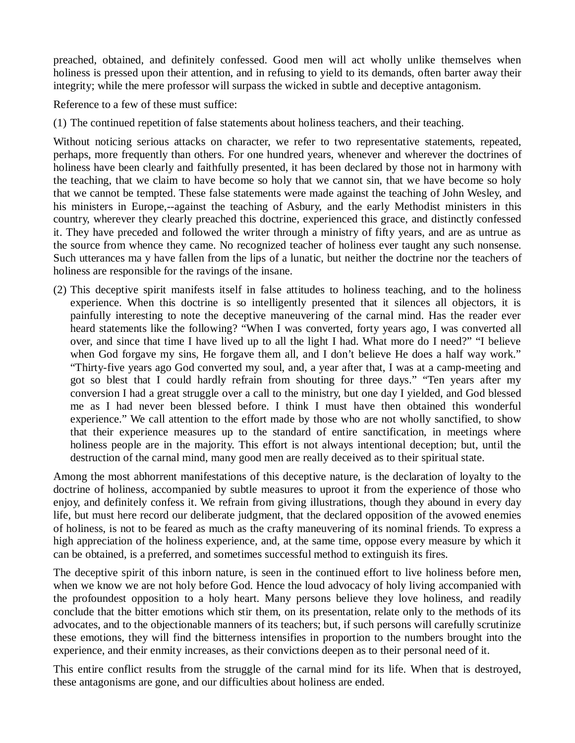preached, obtained, and definitely confessed. Good men will act wholly unlike themselves when holiness is pressed upon their attention, and in refusing to yield to its demands, often barter away their integrity; while the mere professor will surpass the wicked in subtle and deceptive antagonism.

Reference to a few of these must suffice:

(1) The continued repetition of false statements about holiness teachers, and their teaching.

Without noticing serious attacks on character, we refer to two representative statements, repeated, perhaps, more frequently than others. For one hundred years, whenever and wherever the doctrines of holiness have been clearly and faithfully presented, it has been declared by those not in harmony with the teaching, that we claim to have become so holy that we cannot sin, that we have become so holy that we cannot be tempted. These false statements were made against the teaching of John Wesley, and his ministers in Europe,--against the teaching of Asbury, and the early Methodist ministers in this country, wherever they clearly preached this doctrine, experienced this grace, and distinctly confessed it. They have preceded and followed the writer through a ministry of fifty years, and are as untrue as the source from whence they came. No recognized teacher of holiness ever taught any such nonsense. Such utterances ma y have fallen from the lips of a lunatic, but neither the doctrine nor the teachers of holiness are responsible for the ravings of the insane.

(2) This deceptive spirit manifests itself in false attitudes to holiness teaching, and to the holiness experience. When this doctrine is so intelligently presented that it silences all objectors, it is painfully interesting to note the deceptive maneuvering of the carnal mind. Has the reader ever heard statements like the following? "When I was converted, forty years ago, I was converted all over, and since that time I have lived up to all the light I had. What more do I need?" "I believe when God forgave my sins, He forgave them all, and I don't believe He does a half way work." "Thirty-five years ago God converted my soul, and, a year after that, I was at a camp-meeting and got so blest that I could hardly refrain from shouting for three days." "Ten years after my conversion I had a great struggle over a call to the ministry, but one day I yielded, and God blessed me as I had never been blessed before. I think I must have then obtained this wonderful experience." We call attention to the effort made by those who are not wholly sanctified, to show that their experience measures up to the standard of entire sanctification, in meetings where holiness people are in the majority. This effort is not always intentional deception; but, until the destruction of the carnal mind, many good men are really deceived as to their spiritual state.

Among the most abhorrent manifestations of this deceptive nature, is the declaration of loyalty to the doctrine of holiness, accompanied by subtle measures to uproot it from the experience of those who enjoy, and definitely confess it. We refrain from giving illustrations, though they abound in every day life, but must here record our deliberate judgment, that the declared opposition of the avowed enemies of holiness, is not to be feared as much as the crafty maneuvering of its nominal friends. To express a high appreciation of the holiness experience, and, at the same time, oppose every measure by which it can be obtained, is a preferred, and sometimes successful method to extinguish its fires.

The deceptive spirit of this inborn nature, is seen in the continued effort to live holiness before men, when we know we are not holy before God. Hence the loud advocacy of holy living accompanied with the profoundest opposition to a holy heart. Many persons believe they love holiness, and readily conclude that the bitter emotions which stir them, on its presentation, relate only to the methods of its advocates, and to the objectionable manners of its teachers; but, if such persons will carefully scrutinize these emotions, they will find the bitterness intensifies in proportion to the numbers brought into the experience, and their enmity increases, as their convictions deepen as to their personal need of it.

This entire conflict results from the struggle of the carnal mind for its life. When that is destroyed, these antagonisms are gone, and our difficulties about holiness are ended.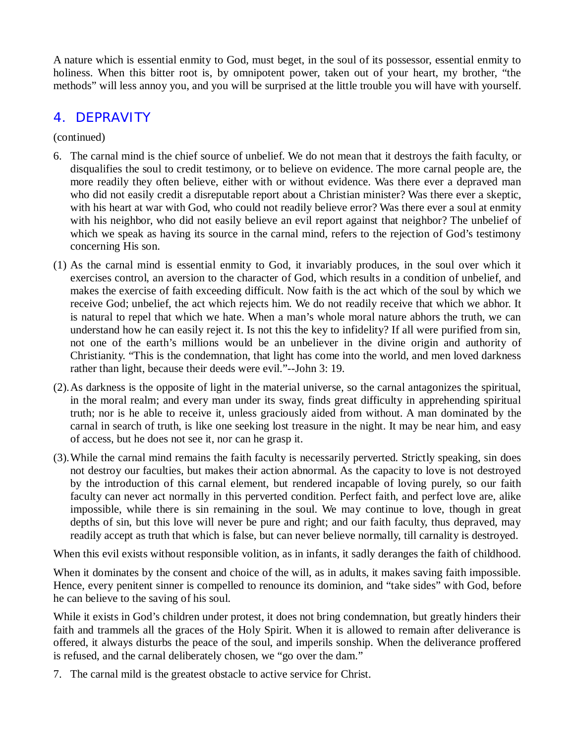A nature which is essential enmity to God, must beget, in the soul of its possessor, essential enmity to holiness. When this bitter root is, by omnipotent power, taken out of your heart, my brother, "the methods" will less annoy you, and you will be surprised at the little trouble you will have with yourself.

#### *4. DEPRAVITY*

(continued)

- 6. The carnal mind is the chief source of unbelief. We do not mean that it destroys the faith faculty, or disqualifies the soul to credit testimony, or to believe on evidence. The more carnal people are, the more readily they often believe, either with or without evidence. Was there ever a depraved man who did not easily credit a disreputable report about a Christian minister? Was there ever a skeptic, with his heart at war with God, who could not readily believe error? Was there ever a soul at enmity with his neighbor, who did not easily believe an evil report against that neighbor? The unbelief of which we speak as having its source in the carnal mind, refers to the rejection of God's testimony concerning His son.
- (1) As the carnal mind is essential enmity to God, it invariably produces, in the soul over which it exercises control, an aversion to the character of God, which results in a condition of unbelief, and makes the exercise of faith exceeding difficult. Now faith is the act which of the soul by which we receive God; unbelief, the act which rejects him. We do not readily receive that which we abhor. It is natural to repel that which we hate. When a man's whole moral nature abhors the truth, we can understand how he can easily reject it. Is not this the key to infidelity? If all were purified from sin, not one of the earth's millions would be an unbeliever in the divine origin and authority of Christianity. "This is the condemnation, that light has come into the world, and men loved darkness rather than light, because their deeds were evil."--John 3: 19.
- (2).As darkness is the opposite of light in the material universe, so the carnal antagonizes the spiritual, in the moral realm; and every man under its sway, finds great difficulty in apprehending spiritual truth; nor is he able to receive it, unless graciously aided from without. A man dominated by the carnal in search of truth, is like one seeking lost treasure in the night. It may be near him, and easy of access, but he does not see it, nor can he grasp it.
- (3).While the carnal mind remains the faith faculty is necessarily perverted. Strictly speaking, sin does not destroy our faculties, but makes their action abnormal. As the capacity to love is not destroyed by the introduction of this carnal element, but rendered incapable of loving purely, so our faith faculty can never act normally in this perverted condition. Perfect faith, and perfect love are, alike impossible, while there is sin remaining in the soul. We may continue to love, though in great depths of sin, but this love will never be pure and right; and our faith faculty, thus depraved, may readily accept as truth that which is false, but can never believe normally, till carnality is destroyed.

When this evil exists without responsible volition, as in infants, it sadly deranges the faith of childhood.

When it dominates by the consent and choice of the will, as in adults, it makes saving faith impossible. Hence, every penitent sinner is compelled to renounce its dominion, and "take sides" with God, before he can believe to the saving of his soul.

While it exists in God's children under protest, it does not bring condemnation, but greatly hinders their faith and trammels all the graces of the Holy Spirit. When it is allowed to remain after deliverance is offered, it always disturbs the peace of the soul, and imperils sonship. When the deliverance proffered is refused, and the carnal deliberately chosen, we "go over the dam."

7. The carnal mild is the greatest obstacle to active service for Christ.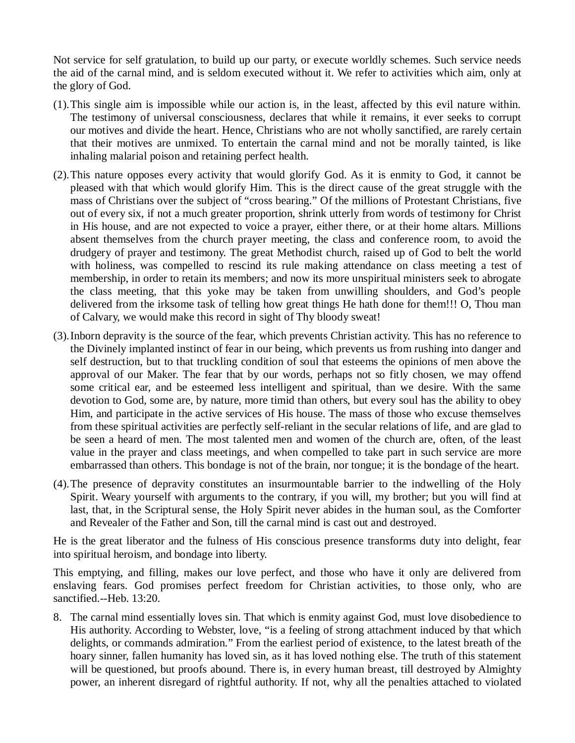Not service for self gratulation, to build up our party, or execute worldly schemes. Such service needs the aid of the carnal mind, and is seldom executed without it. We refer to activities which aim, only at the glory of God.

- (1).This single aim is impossible while our action is, in the least, affected by this evil nature within. The testimony of universal consciousness, declares that while it remains, it ever seeks to corrupt our motives and divide the heart. Hence, Christians who are not wholly sanctified, are rarely certain that their motives are unmixed. To entertain the carnal mind and not be morally tainted, is like inhaling malarial poison and retaining perfect health.
- (2).This nature opposes every activity that would glorify God. As it is enmity to God, it cannot be pleased with that which would glorify Him. This is the direct cause of the great struggle with the mass of Christians over the subject of "cross bearing." Of the millions of Protestant Christians, five out of every six, if not a much greater proportion, shrink utterly from words of testimony for Christ in His house, and are not expected to voice a prayer, either there, or at their home altars. Millions absent themselves from the church prayer meeting, the class and conference room, to avoid the drudgery of prayer and testimony. The great Methodist church, raised up of God to belt the world with holiness, was compelled to rescind its rule making attendance on class meeting a test of membership, in order to retain its members; and now its more unspiritual ministers seek to abrogate the class meeting, that this yoke may be taken from unwilling shoulders, and God's people delivered from the irksome task of telling how great things He hath done for them!!! O, Thou man of Calvary, we would make this record in sight of Thy bloody sweat!
- (3).Inborn depravity is the source of the fear, which prevents Christian activity. This has no reference to the Divinely implanted instinct of fear in our being, which prevents us from rushing into danger and self destruction, but to that truckling condition of soul that esteems the opinions of men above the approval of our Maker. The fear that by our words, perhaps not so fitly chosen, we may offend some critical ear, and be esteemed less intelligent and spiritual, than we desire. With the same devotion to God, some are, by nature, more timid than others, but every soul has the ability to obey Him, and participate in the active services of His house. The mass of those who excuse themselves from these spiritual activities are perfectly self-reliant in the secular relations of life, and are glad to be seen a heard of men. The most talented men and women of the church are, often, of the least value in the prayer and class meetings, and when compelled to take part in such service are more embarrassed than others. This bondage is not of the brain, nor tongue; it is the bondage of the heart.
- (4).The presence of depravity constitutes an insurmountable barrier to the indwelling of the Holy Spirit. Weary yourself with arguments to the contrary, if you will, my brother; but you will find at last, that, in the Scriptural sense, the Holy Spirit never abides in the human soul, as the Comforter and Revealer of the Father and Son, till the carnal mind is cast out and destroyed.

He is the great liberator and the fulness of His conscious presence transforms duty into delight, fear into spiritual heroism, and bondage into liberty.

This emptying, and filling, makes our love perfect, and those who have it only are delivered from enslaving fears. God promises perfect freedom for Christian activities, to those only, who are sanctified.--Heb. 13:20.

8. The carnal mind essentially loves sin. That which is enmity against God, must love disobedience to His authority. According to Webster, love, "is a feeling of strong attachment induced by that which delights, or commands admiration." From the earliest period of existence, to the latest breath of the hoary sinner, fallen humanity has loved sin, as it has loved nothing else. The truth of this statement will be questioned, but proofs abound. There is, in every human breast, till destroyed by Almighty power, an inherent disregard of rightful authority. If not, why all the penalties attached to violated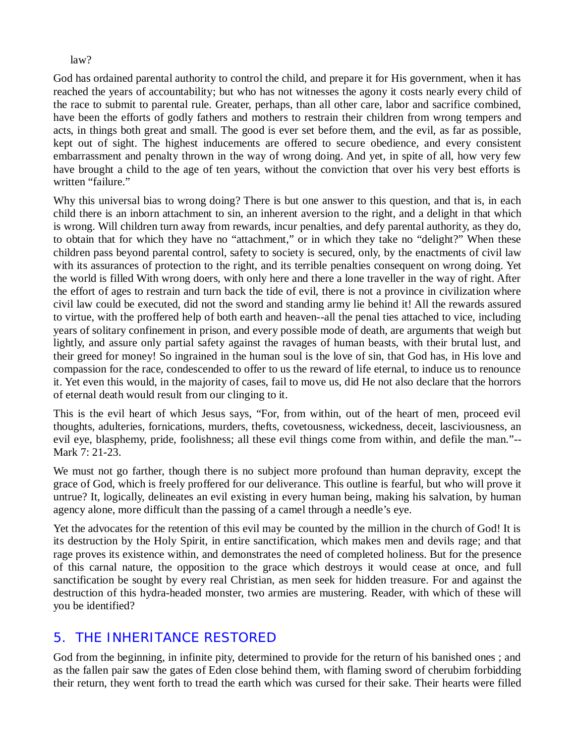#### law?

God has ordained parental authority to control the child, and prepare it for His government, when it has reached the years of accountability; but who has not witnesses the agony it costs nearly every child of the race to submit to parental rule. Greater, perhaps, than all other care, labor and sacrifice combined, have been the efforts of godly fathers and mothers to restrain their children from wrong tempers and acts, in things both great and small. The good is ever set before them, and the evil, as far as possible, kept out of sight. The highest inducements are offered to secure obedience, and every consistent embarrassment and penalty thrown in the way of wrong doing. And yet, in spite of all, how very few have brought a child to the age of ten years, without the conviction that over his very best efforts is written "failure."

Why this universal bias to wrong doing? There is but one answer to this question, and that is, in each child there is an inborn attachment to sin, an inherent aversion to the right, and a delight in that which is wrong. Will children turn away from rewards, incur penalties, and defy parental authority, as they do, to obtain that for which they have no "attachment," or in which they take no "delight?" When these children pass beyond parental control, safety to society is secured, only, by the enactments of civil law with its assurances of protection to the right, and its terrible penalties consequent on wrong doing. Yet the world is filled With wrong doers, with only here and there a lone traveller in the way of right. After the effort of ages to restrain and turn back the tide of evil, there is not a province in civilization where civil law could be executed, did not the sword and standing army lie behind it! All the rewards assured to virtue, with the proffered help of both earth and heaven--all the penal ties attached to vice, including years of solitary confinement in prison, and every possible mode of death, are arguments that weigh but lightly, and assure only partial safety against the ravages of human beasts, with their brutal lust, and their greed for money! So ingrained in the human soul is the love of sin, that God has, in His love and compassion for the race, condescended to offer to us the reward of life eternal, to induce us to renounce it. Yet even this would, in the majority of cases, fail to move us, did He not also declare that the horrors of eternal death would result from our clinging to it.

This is the evil heart of which Jesus says, "For, from within, out of the heart of men, proceed evil thoughts, adulteries, fornications, murders, thefts, covetousness, wickedness, deceit, lasciviousness, an evil eye, blasphemy, pride, foolishness; all these evil things come from within, and defile the man."-- Mark 7: 21-23.

We must not go farther, though there is no subject more profound than human depravity, except the grace of God, which is freely proffered for our deliverance. This outline is fearful, but who will prove it untrue? It, logically, delineates an evil existing in every human being, making his salvation, by human agency alone, more difficult than the passing of a camel through a needle's eye.

Yet the advocates for the retention of this evil may be counted by the million in the church of God! It is its destruction by the Holy Spirit, in entire sanctification, which makes men and devils rage; and that rage proves its existence within, and demonstrates the need of completed holiness. But for the presence of this carnal nature, the opposition to the grace which destroys it would cease at once, and full sanctification be sought by every real Christian, as men seek for hidden treasure. For and against the destruction of this hydra-headed monster, two armies are mustering. Reader, with which of these will you be identified?

## *5. THE INHERITANCE RESTORED*

God from the beginning, in infinite pity, determined to provide for the return of his banished ones ; and as the fallen pair saw the gates of Eden close behind them, with flaming sword of cherubim forbidding their return, they went forth to tread the earth which was cursed for their sake. Their hearts were filled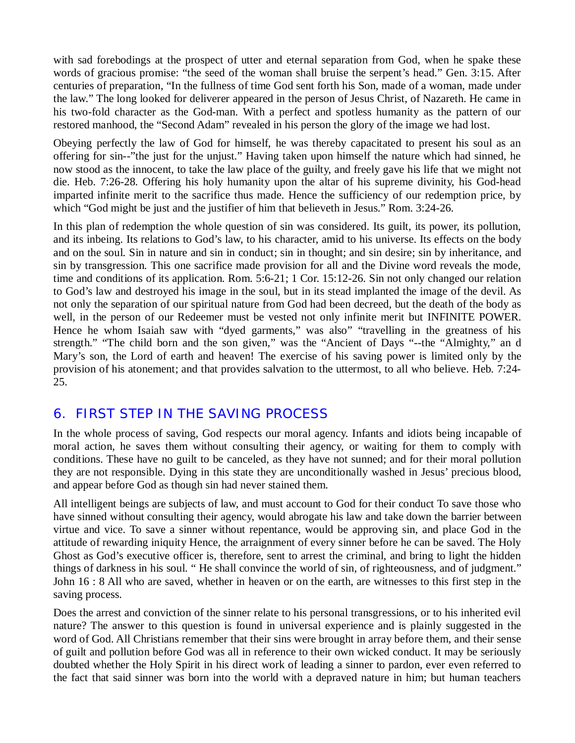with sad forebodings at the prospect of utter and eternal separation from God, when he spake these words of gracious promise: "the seed of the woman shall bruise the serpent's head." Gen. 3:15. After centuries of preparation, "In the fullness of time God sent forth his Son, made of a woman, made under the law." The long looked for deliverer appeared in the person of Jesus Christ, of Nazareth. He came in his two-fold character as the God-man. With a perfect and spotless humanity as the pattern of our restored manhood, the "Second Adam" revealed in his person the glory of the image we had lost.

Obeying perfectly the law of God for himself, he was thereby capacitated to present his soul as an offering for sin--"the just for the unjust." Having taken upon himself the nature which had sinned, he now stood as the innocent, to take the law place of the guilty, and freely gave his life that we might not die. Heb. 7:26-28. Offering his holy humanity upon the altar of his supreme divinity, his God-head imparted infinite merit to the sacrifice thus made. Hence the sufficiency of our redemption price, by which "God might be just and the justifier of him that believeth in Jesus." Rom. 3:24-26.

In this plan of redemption the whole question of sin was considered. Its guilt, its power, its pollution, and its inbeing. Its relations to God's law, to his character, amid to his universe. Its effects on the body and on the soul. Sin in nature and sin in conduct; sin in thought; and sin desire; sin by inheritance, and sin by transgression. This one sacrifice made provision for all and the Divine word reveals the mode, time and conditions of its application. Rom. 5:6-21; 1 Cor. 15:12-26. Sin not only changed our relation to God's law and destroyed his image in the soul, but in its stead implanted the image of the devil. As not only the separation of our spiritual nature from God had been decreed, but the death of the body as well, in the person of our Redeemer must be vested not only infinite merit but INFINITE POWER. Hence he whom Isaiah saw with "dyed garments," was also" "travelling in the greatness of his strength." "The child born and the son given," was the "Ancient of Days "--the "Almighty," an d Mary's son, the Lord of earth and heaven! The exercise of his saving power is limited only by the provision of his atonement; and that provides salvation to the uttermost, to all who believe. Heb. 7:24- 25.

## *6. FIRST STEP IN THE SAVING PROCESS*

In the whole process of saving, God respects our moral agency. Infants and idiots being incapable of moral action, he saves them without consulting their agency, or waiting for them to comply with conditions. These have no guilt to be canceled, as they have not sunned; and for their moral pollution they are not responsible. Dying in this state they are unconditionally washed in Jesus' precious blood, and appear before God as though sin had never stained them.

All intelligent beings are subjects of law, and must account to God for their conduct To save those who have sinned without consulting their agency, would abrogate his law and take down the barrier between virtue and vice. To save a sinner without repentance, would be approving sin, and place God in the attitude of rewarding iniquity Hence, the arraignment of every sinner before he can be saved. The Holy Ghost as God's executive officer is, therefore, sent to arrest the criminal, and bring to light the hidden things of darkness in his soul. " He shall convince the world of sin, of righteousness, and of judgment." John 16 : 8 All who are saved, whether in heaven or on the earth, are witnesses to this first step in the saving process.

Does the arrest and conviction of the sinner relate to his personal transgressions, or to his inherited evil nature? The answer to this question is found in universal experience and is plainly suggested in the word of God. All Christians remember that their sins were brought in array before them, and their sense of guilt and pollution before God was all in reference to their own wicked conduct. It may be seriously doubted whether the Holy Spirit in his direct work of leading a sinner to pardon, ever even referred to the fact that said sinner was born into the world with a depraved nature in him; but human teachers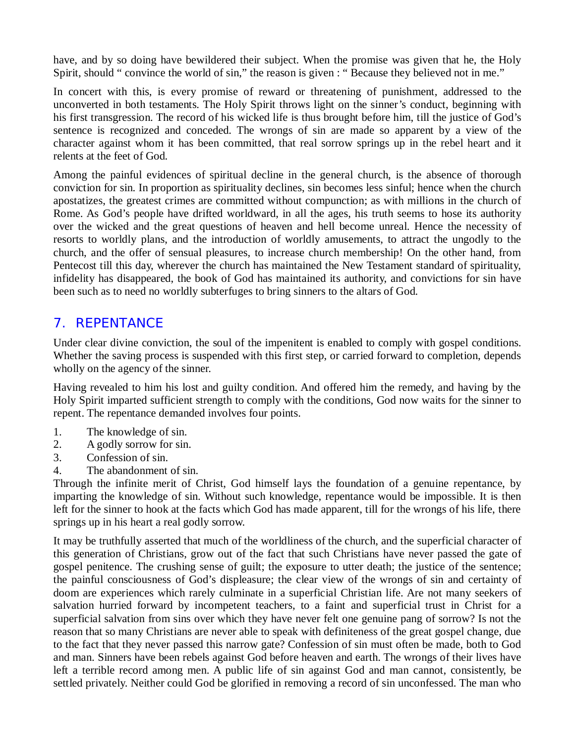have, and by so doing have bewildered their subject. When the promise was given that he, the Holy Spirit, should " convince the world of sin," the reason is given : " Because they believed not in me."

In concert with this, is every promise of reward or threatening of punishment, addressed to the unconverted in both testaments. The Holy Spirit throws light on the sinner's conduct, beginning with his first transgression. The record of his wicked life is thus brought before him, till the justice of God's sentence is recognized and conceded. The wrongs of sin are made so apparent by a view of the character against whom it has been committed, that real sorrow springs up in the rebel heart and it relents at the feet of God.

Among the painful evidences of spiritual decline in the general church, is the absence of thorough conviction for sin. In proportion as spirituality declines, sin becomes less sinful; hence when the church apostatizes, the greatest crimes are committed without compunction; as with millions in the church of Rome. As God's people have drifted worldward, in all the ages, his truth seems to hose its authority over the wicked and the great questions of heaven and hell become unreal. Hence the necessity of resorts to worldly plans, and the introduction of worldly amusements, to attract the ungodly to the church, and the offer of sensual pleasures, to increase church membership! On the other hand, from Pentecost till this day, wherever the church has maintained the New Testament standard of spirituality, infidelity has disappeared, the book of God has maintained its authority, and convictions for sin have been such as to need no worldly subterfuges to bring sinners to the altars of God.

# *7. REPENTANCE*

Under clear divine conviction, the soul of the impenitent is enabled to comply with gospel conditions. Whether the saving process is suspended with this first step, or carried forward to completion, depends wholly on the agency of the sinner.

Having revealed to him his lost and guilty condition. And offered him the remedy, and having by the Holy Spirit imparted sufficient strength to comply with the conditions, God now waits for the sinner to repent. The repentance demanded involves four points.

- 1. The knowledge of sin.
- 2. A godly sorrow for sin.
- 3. Confession of sin.
- 4. The abandonment of sin.

Through the infinite merit of Christ, God himself lays the foundation of a genuine repentance, by imparting the knowledge of sin. Without such knowledge, repentance would be impossible. It is then left for the sinner to hook at the facts which God has made apparent, till for the wrongs of his life, there springs up in his heart a real godly sorrow.

It may be truthfully asserted that much of the worldliness of the church, and the superficial character of this generation of Christians, grow out of the fact that such Christians have never passed the gate of gospel penitence. The crushing sense of guilt; the exposure to utter death; the justice of the sentence; the painful consciousness of God's displeasure; the clear view of the wrongs of sin and certainty of doom are experiences which rarely culminate in a superficial Christian life. Are not many seekers of salvation hurried forward by incompetent teachers, to a faint and superficial trust in Christ for a superficial salvation from sins over which they have never felt one genuine pang of sorrow? Is not the reason that so many Christians are never able to speak with definiteness of the great gospel change, due to the fact that they never passed this narrow gate? Confession of sin must often be made, both to God and man. Sinners have been rebels against God before heaven and earth. The wrongs of their lives have left a terrible record among men. A public life of sin against God and man cannot, consistently, be settled privately. Neither could God be glorified in removing a record of sin unconfessed. The man who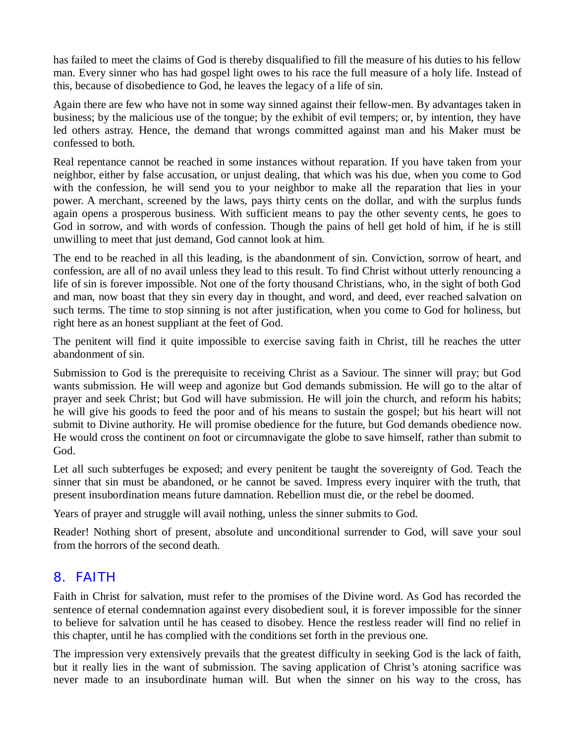has failed to meet the claims of God is thereby disqualified to fill the measure of his duties to his fellow man. Every sinner who has had gospel light owes to his race the full measure of a holy life. Instead of this, because of disobedience to God, he leaves the legacy of a life of sin.

Again there are few who have not in some way sinned against their fellow-men. By advantages taken in business; by the malicious use of the tongue; by the exhibit of evil tempers; or, by intention, they have led others astray. Hence, the demand that wrongs committed against man and his Maker must be confessed to both.

Real repentance cannot be reached in some instances without reparation. If you have taken from your neighbor, either by false accusation, or unjust dealing, that which was his due, when you come to God with the confession, he will send you to your neighbor to make all the reparation that lies in your power. A merchant, screened by the laws, pays thirty cents on the dollar, and with the surplus funds again opens a prosperous business. With sufficient means to pay the other seventy cents, he goes to God in sorrow, and with words of confession. Though the pains of hell get hold of him, if he is still unwilling to meet that just demand, God cannot look at him.

The end to be reached in all this leading, is the abandonment of sin. Conviction, sorrow of heart, and confession, are all of no avail unless they lead to this result. To find Christ without utterly renouncing a life of sin is forever impossible. Not one of the forty thousand Christians, who, in the sight of both God and man, now boast that they sin every day in thought, and word, and deed, ever reached salvation on such terms. The time to stop sinning is not after justification, when you come to God for holiness, but right here as an honest suppliant at the feet of God.

The penitent will find it quite impossible to exercise saving faith in Christ, till he reaches the utter abandonment of sin.

Submission to God is the prerequisite to receiving Christ as a Saviour. The sinner will pray; but God wants submission. He will weep and agonize but God demands submission. He will go to the altar of prayer and seek Christ; but God will have submission. He will join the church, and reform his habits; he will give his goods to feed the poor and of his means to sustain the gospel; but his heart will not submit to Divine authority. He will promise obedience for the future, but God demands obedience now. He would cross the continent on foot or circumnavigate the globe to save himself, rather than submit to God.

Let all such subterfuges be exposed; and every penitent be taught the sovereignty of God. Teach the sinner that sin must be abandoned, or he cannot be saved. Impress every inquirer with the truth, that present insubordination means future damnation. Rebellion must die, or the rebel be doomed.

Years of prayer and struggle will avail nothing, unless the sinner submits to God.

Reader! Nothing short of present, absolute and unconditional surrender to God, will save your soul from the horrors of the second death.

## *8. FAITH*

Faith in Christ for salvation, must refer to the promises of the Divine word. As God has recorded the sentence of eternal condemnation against every disobedient soul, it is forever impossible for the sinner to believe for salvation until he has ceased to disobey. Hence the restless reader will find no relief in this chapter, until he has complied with the conditions set forth in the previous one.

The impression very extensively prevails that the greatest difficulty in seeking God is the lack of faith, but it really lies in the want of submission. The saving application of Christ's atoning sacrifice was never made to an insubordinate human will. But when the sinner on his way to the cross, has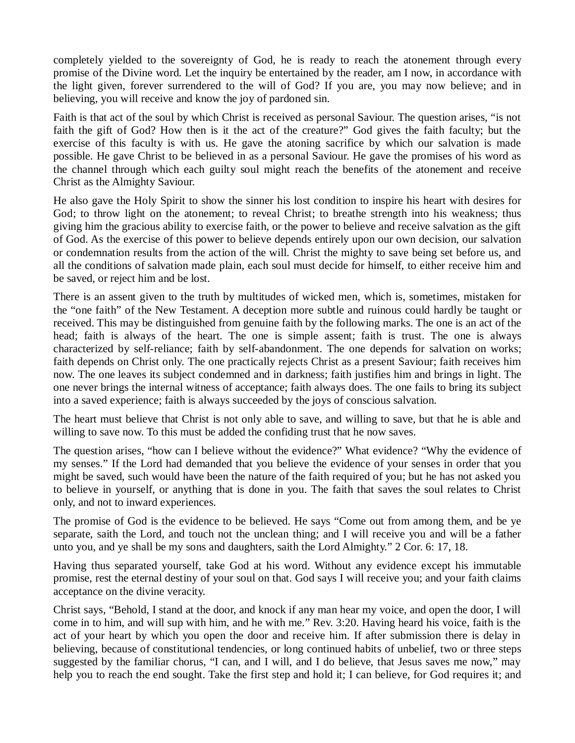completely yielded to the sovereignty of God, he is ready to reach the atonement through every promise of the Divine word. Let the inquiry be entertained by the reader, am I now, in accordance with the light given, forever surrendered to the will of God? If you are, you may now believe; and in believing, you will receive and know the joy of pardoned sin.

Faith is that act of the soul by which Christ is received as personal Saviour. The question arises, "is not faith the gift of God? How then is it the act of the creature?" God gives the faith faculty; but the exercise of this faculty is with us. He gave the atoning sacrifice by which our salvation is made possible. He gave Christ to be believed in as a personal Saviour. He gave the promises of his word as the channel through which each guilty soul might reach the benefits of the atonement and receive Christ as the Almighty Saviour.

He also gave the Holy Spirit to show the sinner his lost condition to inspire his heart with desires for God; to throw light on the atonement; to reveal Christ; to breathe strength into his weakness; thus giving him the gracious ability to exercise faith, or the power to believe and receive salvation as the gift of God. As the exercise of this power to believe depends entirely upon our own decision, our salvation or condemnation results from the action of the will. Christ the mighty to save being set before us, and all the conditions of salvation made plain, each soul must decide for himself, to either receive him and be saved, or reject him and be lost.

There is an assent given to the truth by multitudes of wicked men, which is, sometimes, mistaken for the "one faith" of the New Testament. A deception more subtle and ruinous could hardly be taught or received. This may be distinguished from genuine faith by the following marks. The one is an act of the head; faith is always of the heart. The one is simple assent; faith is trust. The one is always characterized by self-reliance; faith by self-abandonment. The one depends for salvation on works; faith depends on Christ only. The one practically rejects Christ as a present Saviour; faith receives him now. The one leaves its subject condemned and in darkness; faith justifies him and brings in light. The one never brings the internal witness of acceptance; faith always does. The one fails to bring its subject into a saved experience; faith is always succeeded by the joys of conscious salvation.

The heart must believe that Christ is not only able to save, and willing to save, but that he is able and willing to save now. To this must be added the confiding trust that he now saves.

The question arises, "how can I believe without the evidence?" What evidence? "Why the evidence of my senses." If the Lord had demanded that you believe the evidence of your senses in order that you might be saved, such would have been the nature of the faith required of you; but he has not asked you to believe in yourself, or anything that is done in you. The faith that saves the soul relates to Christ only, and not to inward experiences.

The promise of God is the evidence to be believed. He says "Come out from among them, and be ye separate, saith the Lord, and touch not the unclean thing; and I will receive you and will be a father unto you, and ye shall be my sons and daughters, saith the Lord Almighty." 2 Cor. 6: 17, 18.

Having thus separated yourself, take God at his word. Without any evidence except his immutable promise, rest the eternal destiny of your soul on that. God says I will receive you; and your faith claims acceptance on the divine veracity.

Christ says, "Behold, I stand at the door, and knock if any man hear my voice, and open the door, I will come in to him, and will sup with him, and he with me." Rev. 3:20. Having heard his voice, faith is the act of your heart by which you open the door and receive him. If after submission there is delay in believing, because of constitutional tendencies, or long continued habits of unbelief, two or three steps suggested by the familiar chorus, "I can, and I will, and I do believe, that Jesus saves me now," may help you to reach the end sought. Take the first step and hold it; I can believe, for God requires it; and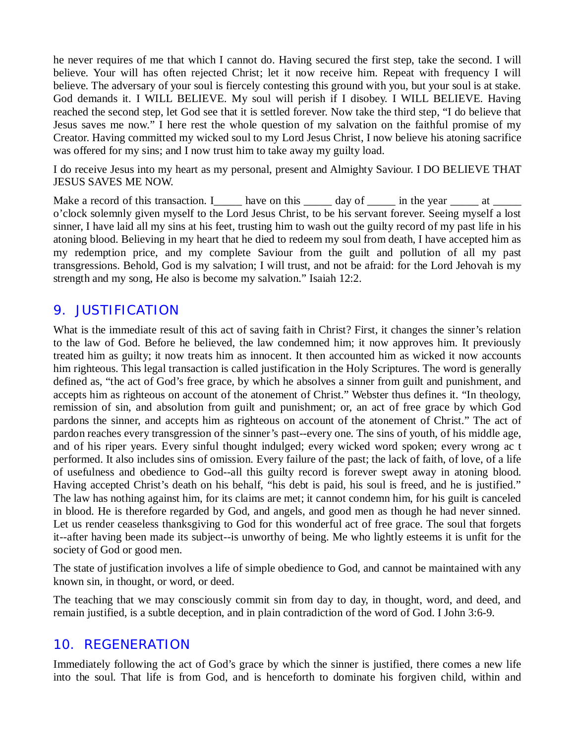he never requires of me that which I cannot do. Having secured the first step, take the second. I will believe. Your will has often rejected Christ; let it now receive him. Repeat with frequency I will believe. The adversary of your soul is fiercely contesting this ground with you, but your soul is at stake. God demands it. I WILL BELIEVE. My soul will perish if I disobey. I WILL BELIEVE. Having reached the second step, let God see that it is settled forever. Now take the third step, "I do believe that Jesus saves me now." I here rest the whole question of my salvation on the faithful promise of my Creator. Having committed my wicked soul to my Lord Jesus Christ, I now believe his atoning sacrifice was offered for my sins; and I now trust him to take away my guilty load.

I do receive Jesus into my heart as my personal, present and Almighty Saviour. I DO BELIEVE THAT JESUS SAVES ME NOW.

Make a record of this transaction. I\_\_\_\_\_ have on this \_\_\_\_\_ day of \_\_\_\_\_ in the year  $\frac{1}{\sqrt{2}}$  at \_\_\_\_\_ o'clock solemnly given myself to the Lord Jesus Christ, to be his servant forever. Seeing myself a lost sinner, I have laid all my sins at his feet, trusting him to wash out the guilty record of my past life in his atoning blood. Believing in my heart that he died to redeem my soul from death, I have accepted him as my redemption price, and my complete Saviour from the guilt and pollution of all my past transgressions. Behold, God is my salvation; I will trust, and not be afraid: for the Lord Jehovah is my strength and my song, He also is become my salvation." Isaiah 12:2.

# *9. JUSTIFICATION*

What is the immediate result of this act of saving faith in Christ? First, it changes the sinner's relation to the law of God. Before he believed, the law condemned him; it now approves him. It previously treated him as guilty; it now treats him as innocent. It then accounted him as wicked it now accounts him righteous. This legal transaction is called justification in the Holy Scriptures. The word is generally defined as, "the act of God's free grace, by which he absolves a sinner from guilt and punishment, and accepts him as righteous on account of the atonement of Christ." Webster thus defines it. "In theology, remission of sin, and absolution from guilt and punishment; or, an act of free grace by which God pardons the sinner, and accepts him as righteous on account of the atonement of Christ." The act of pardon reaches every transgression of the sinner's past--every one. The sins of youth, of his middle age, and of his riper years. Every sinful thought indulged; every wicked word spoken; every wrong ac t performed. It also includes sins of omission. Every failure of the past; the lack of faith, of love, of a life of usefulness and obedience to God--all this guilty record is forever swept away in atoning blood. Having accepted Christ's death on his behalf, "his debt is paid, his soul is freed, and he is justified." The law has nothing against him, for its claims are met; it cannot condemn him, for his guilt is canceled in blood. He is therefore regarded by God, and angels, and good men as though he had never sinned. Let us render ceaseless thanksgiving to God for this wonderful act of free grace. The soul that forgets it--after having been made its subject--is unworthy of being. Me who lightly esteems it is unfit for the society of God or good men.

The state of justification involves a life of simple obedience to God, and cannot be maintained with any known sin, in thought, or word, or deed.

The teaching that we may consciously commit sin from day to day, in thought, word, and deed, and remain justified, is a subtle deception, and in plain contradiction of the word of God. I John 3:6-9.

#### *10. REGENERATION*

Immediately following the act of God's grace by which the sinner is justified, there comes a new life into the soul. That life is from God, and is henceforth to dominate his forgiven child, within and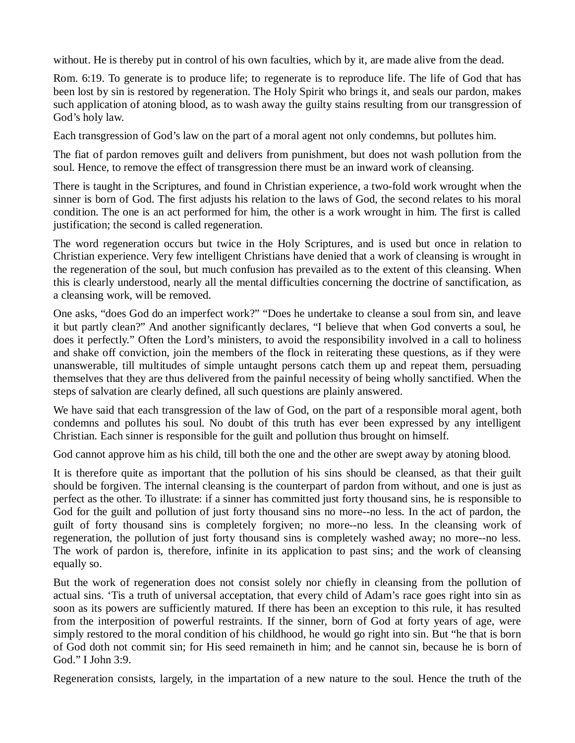without. He is thereby put in control of his own faculties, which by it, are made alive from the dead.

Rom. 6:19. To generate is to produce life; to regenerate is to reproduce life. The life of God that has been lost by sin is restored by regeneration. The Holy Spirit who brings it, and seals our pardon, makes such application of atoning blood, as to wash away the guilty stains resulting from our transgression of God's holy law.

Each transgression of God's law on the part of a moral agent not only condemns, but pollutes him.

The fiat of pardon removes guilt and delivers from punishment, but does not wash pollution from the soul. Hence, to remove the effect of transgression there must be an inward work of cleansing.

There is taught in the Scriptures, and found in Christian experience, a two-fold work wrought when the sinner is born of God. The first adjusts his relation to the laws of God, the second relates to his moral condition. The one is an act performed for him, the other is a work wrought in him. The first is called justification; the second is called regeneration.

The word regeneration occurs but twice in the Holy Scriptures, and is used but once in relation to Christian experience. Very few intelligent Christians have denied that a work of cleansing is wrought in the regeneration of the soul, but much confusion has prevailed as to the extent of this cleansing. When this is clearly understood, nearly all the mental difficulties concerning the doctrine of sanctification, as a cleansing work, will be removed.

One asks, "does God do an imperfect work?" "Does he undertake to cleanse a soul from sin, and leave it but partly clean?" And another significantly declares, "I believe that when God converts a soul, he does it perfectly." Often the Lord's ministers, to avoid the responsibility involved in a call to holiness and shake off conviction, join the members of the flock in reiterating these questions, as if they were unanswerable, till multitudes of simple untaught persons catch them up and repeat them, persuading themselves that they are thus delivered from the painful necessity of being wholly sanctified. When the steps of salvation are clearly defined, all such questions are plainly answered.

We have said that each transgression of the law of God, on the part of a responsible moral agent, both condemns and pollutes his soul. No doubt of this truth has ever been expressed by any intelligent Christian. Each sinner is responsible for the guilt and pollution thus brought on himself.

God cannot approve him as his child, till both the one and the other are swept away by atoning blood.

It is therefore quite as important that the pollution of his sins should be cleansed, as that their guilt should be forgiven. The internal cleansing is the counterpart of pardon from without, and one is just as perfect as the other. To illustrate: if a sinner has committed just forty thousand sins, he is responsible to God for the guilt and pollution of just forty thousand sins no more--no less. In the act of pardon, the guilt of forty thousand sins is completely forgiven; no more--no less. In the cleansing work of regeneration, the pollution of just forty thousand sins is completely washed away; no more--no less. The work of pardon is, therefore, infinite in its application to past sins; and the work of cleansing equally so.

But the work of regeneration does not consist solely nor chiefly in cleansing from the pollution of actual sins. 'Tis a truth of universal acceptation, that every child of Adam's race goes right into sin as soon as its powers are sufficiently matured. If there has been an exception to this rule, it has resulted from the interposition of powerful restraints. If the sinner, born of God at forty years of age, were simply restored to the moral condition of his childhood, he would go right into sin. But "he that is born of God doth not commit sin; for His seed remaineth in him; and he cannot sin, because he is born of God." I John 3:9.

Regeneration consists, largely, in the impartation of a new nature to the soul. Hence the truth of the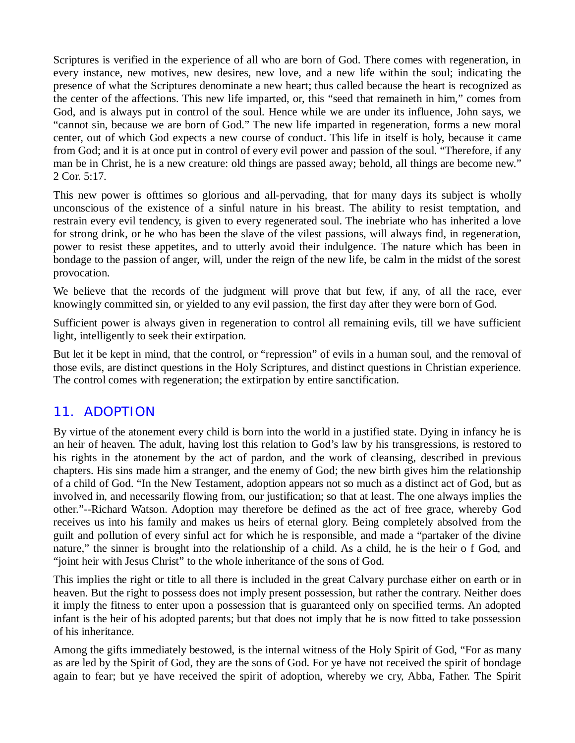Scriptures is verified in the experience of all who are born of God. There comes with regeneration, in every instance, new motives, new desires, new love, and a new life within the soul; indicating the presence of what the Scriptures denominate a new heart; thus called because the heart is recognized as the center of the affections. This new life imparted, or, this "seed that remaineth in him," comes from God, and is always put in control of the soul. Hence while we are under its influence, John says, we "cannot sin, because we are born of God." The new life imparted in regeneration, forms a new moral center, out of which God expects a new course of conduct. This life in itself is holy, because it came from God; and it is at once put in control of every evil power and passion of the soul. "Therefore, if any man be in Christ, he is a new creature: old things are passed away; behold, all things are become new." 2 Cor. 5:17.

This new power is ofttimes so glorious and all-pervading, that for many days its subject is wholly unconscious of the existence of a sinful nature in his breast. The ability to resist temptation, and restrain every evil tendency, is given to every regenerated soul. The inebriate who has inherited a love for strong drink, or he who has been the slave of the vilest passions, will always find, in regeneration, power to resist these appetites, and to utterly avoid their indulgence. The nature which has been in bondage to the passion of anger, will, under the reign of the new life, be calm in the midst of the sorest provocation.

We believe that the records of the judgment will prove that but few, if any, of all the race, ever knowingly committed sin, or yielded to any evil passion, the first day after they were born of God.

Sufficient power is always given in regeneration to control all remaining evils, till we have sufficient light, intelligently to seek their extirpation.

But let it be kept in mind, that the control, or "repression" of evils in a human soul, and the removal of those evils, are distinct questions in the Holy Scriptures, and distinct questions in Christian experience. The control comes with regeneration; the extirpation by entire sanctification.

#### *11. ADOPTION*

By virtue of the atonement every child is born into the world in a justified state. Dying in infancy he is an heir of heaven. The adult, having lost this relation to God's law by his transgressions, is restored to his rights in the atonement by the act of pardon, and the work of cleansing, described in previous chapters. His sins made him a stranger, and the enemy of God; the new birth gives him the relationship of a child of God. "In the New Testament, adoption appears not so much as a distinct act of God, but as involved in, and necessarily flowing from, our justification; so that at least. The one always implies the other."--Richard Watson. Adoption may therefore be defined as the act of free grace, whereby God receives us into his family and makes us heirs of eternal glory. Being completely absolved from the guilt and pollution of every sinful act for which he is responsible, and made a "partaker of the divine nature," the sinner is brought into the relationship of a child. As a child, he is the heir o f God, and "joint heir with Jesus Christ" to the whole inheritance of the sons of God.

This implies the right or title to all there is included in the great Calvary purchase either on earth or in heaven. But the right to possess does not imply present possession, but rather the contrary. Neither does it imply the fitness to enter upon a possession that is guaranteed only on specified terms. An adopted infant is the heir of his adopted parents; but that does not imply that he is now fitted to take possession of his inheritance.

Among the gifts immediately bestowed, is the internal witness of the Holy Spirit of God, "For as many as are led by the Spirit of God, they are the sons of God. For ye have not received the spirit of bondage again to fear; but ye have received the spirit of adoption, whereby we cry, Abba, Father. The Spirit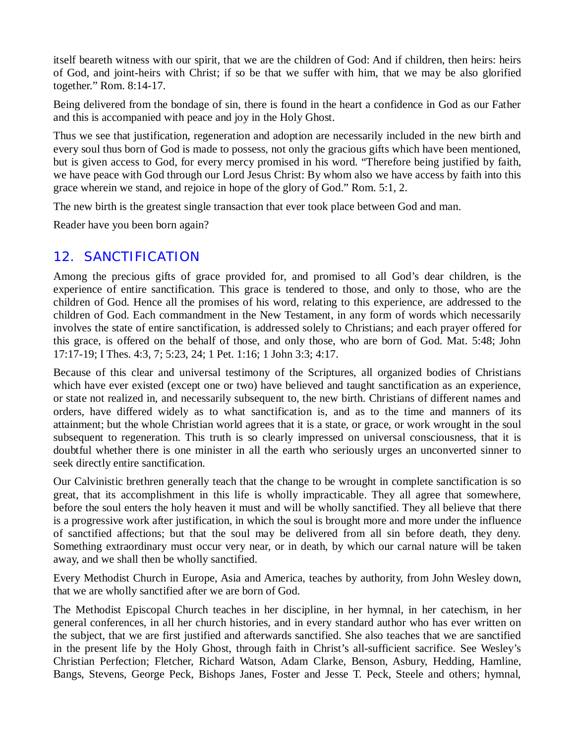itself beareth witness with our spirit, that we are the children of God: And if children, then heirs: heirs of God, and joint-heirs with Christ; if so be that we suffer with him, that we may be also glorified together." Rom. 8:14-17.

Being delivered from the bondage of sin, there is found in the heart a confidence in God as our Father and this is accompanied with peace and joy in the Holy Ghost.

Thus we see that justification, regeneration and adoption are necessarily included in the new birth and every soul thus born of God is made to possess, not only the gracious gifts which have been mentioned, but is given access to God, for every mercy promised in his word. "Therefore being justified by faith, we have peace with God through our Lord Jesus Christ: By whom also we have access by faith into this grace wherein we stand, and rejoice in hope of the glory of God." Rom. 5:1, 2.

The new birth is the greatest single transaction that ever took place between God and man.

Reader have you been born again?

## *12. SANCTIFICATION*

Among the precious gifts of grace provided for, and promised to all God's dear children, is the experience of entire sanctification. This grace is tendered to those, and only to those, who are the children of God. Hence all the promises of his word, relating to this experience, are addressed to the children of God. Each commandment in the New Testament, in any form of words which necessarily involves the state of entire sanctification, is addressed solely to Christians; and each prayer offered for this grace, is offered on the behalf of those, and only those, who are born of God. Mat. 5:48; John 17:17-19; I Thes. 4:3, 7; 5:23, 24; 1 Pet. 1:16; 1 John 3:3; 4:17.

Because of this clear and universal testimony of the Scriptures, all organized bodies of Christians which have ever existed (except one or two) have believed and taught sanctification as an experience, or state not realized in, and necessarily subsequent to, the new birth. Christians of different names and orders, have differed widely as to what sanctification is, and as to the time and manners of its attainment; but the whole Christian world agrees that it is a state, or grace, or work wrought in the soul subsequent to regeneration. This truth is so clearly impressed on universal consciousness, that it is doubtful whether there is one minister in all the earth who seriously urges an unconverted sinner to seek directly entire sanctification.

Our Calvinistic brethren generally teach that the change to be wrought in complete sanctification is so great, that its accomplishment in this life is wholly impracticable. They all agree that somewhere, before the soul enters the holy heaven it must and will be wholly sanctified. They all believe that there is a progressive work after justification, in which the soul is brought more and more under the influence of sanctified affections; but that the soul may be delivered from all sin before death, they deny. Something extraordinary must occur very near, or in death, by which our carnal nature will be taken away, and we shall then be wholly sanctified.

Every Methodist Church in Europe, Asia and America, teaches by authority, from John Wesley down, that we are wholly sanctified after we are born of God.

The Methodist Episcopal Church teaches in her discipline, in her hymnal, in her catechism, in her general conferences, in all her church histories, and in every standard author who has ever written on the subject, that we are first justified and afterwards sanctified. She also teaches that we are sanctified in the present life by the Holy Ghost, through faith in Christ's all-sufficient sacrifice. See Wesley's Christian Perfection; Fletcher, Richard Watson, Adam Clarke, Benson, Asbury, Hedding, Hamline, Bangs, Stevens, George Peck, Bishops Janes, Foster and Jesse T. Peck, Steele and others; hymnal,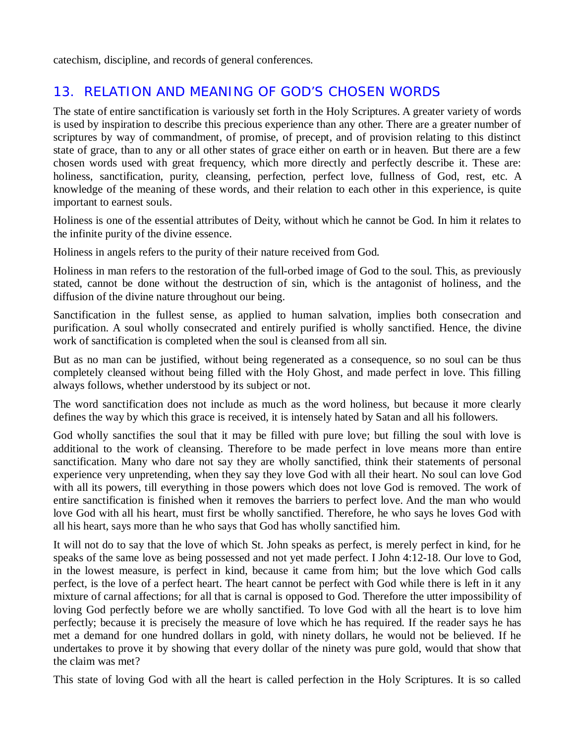catechism, discipline, and records of general conferences.

# *13. RELATION AND MEANING OF GOD'S CHOSEN WORDS*

The state of entire sanctification is variously set forth in the Holy Scriptures. A greater variety of words is used by inspiration to describe this precious experience than any other. There are a greater number of scriptures by way of commandment, of promise, of precept, and of provision relating to this distinct state of grace, than to any or all other states of grace either on earth or in heaven. But there are a few chosen words used with great frequency, which more directly and perfectly describe it. These are: holiness, sanctification, purity, cleansing, perfection, perfect love, fullness of God, rest, etc. A knowledge of the meaning of these words, and their relation to each other in this experience, is quite important to earnest souls.

Holiness is one of the essential attributes of Deity, without which he cannot be God. In him it relates to the infinite purity of the divine essence.

Holiness in angels refers to the purity of their nature received from God.

Holiness in man refers to the restoration of the full-orbed image of God to the soul. This, as previously stated, cannot be done without the destruction of sin, which is the antagonist of holiness, and the diffusion of the divine nature throughout our being.

Sanctification in the fullest sense, as applied to human salvation, implies both consecration and purification. A soul wholly consecrated and entirely purified is wholly sanctified. Hence, the divine work of sanctification is completed when the soul is cleansed from all sin.

But as no man can be justified, without being regenerated as a consequence, so no soul can be thus completely cleansed without being filled with the Holy Ghost, and made perfect in love. This filling always follows, whether understood by its subject or not.

The word sanctification does not include as much as the word holiness, but because it more clearly defines the way by which this grace is received, it is intensely hated by Satan and all his followers.

God wholly sanctifies the soul that it may be filled with pure love; but filling the soul with love is additional to the work of cleansing. Therefore to be made perfect in love means more than entire sanctification. Many who dare not say they are wholly sanctified, think their statements of personal experience very unpretending, when they say they love God with all their heart. No soul can love God with all its powers, till everything in those powers which does not love God is removed. The work of entire sanctification is finished when it removes the barriers to perfect love. And the man who would love God with all his heart, must first be wholly sanctified. Therefore, he who says he loves God with all his heart, says more than he who says that God has wholly sanctified him.

It will not do to say that the love of which St. John speaks as perfect, is merely perfect in kind, for he speaks of the same love as being possessed and not yet made perfect. I John 4:12-18. Our love to God, in the lowest measure, is perfect in kind, because it came from him; but the love which God calls perfect, is the love of a perfect heart. The heart cannot be perfect with God while there is left in it any mixture of carnal affections; for all that is carnal is opposed to God. Therefore the utter impossibility of loving God perfectly before we are wholly sanctified. To love God with all the heart is to love him perfectly; because it is precisely the measure of love which he has required. If the reader says he has met a demand for one hundred dollars in gold, with ninety dollars, he would not be believed. If he undertakes to prove it by showing that every dollar of the ninety was pure gold, would that show that the claim was met?

This state of loving God with all the heart is called perfection in the Holy Scriptures. It is so called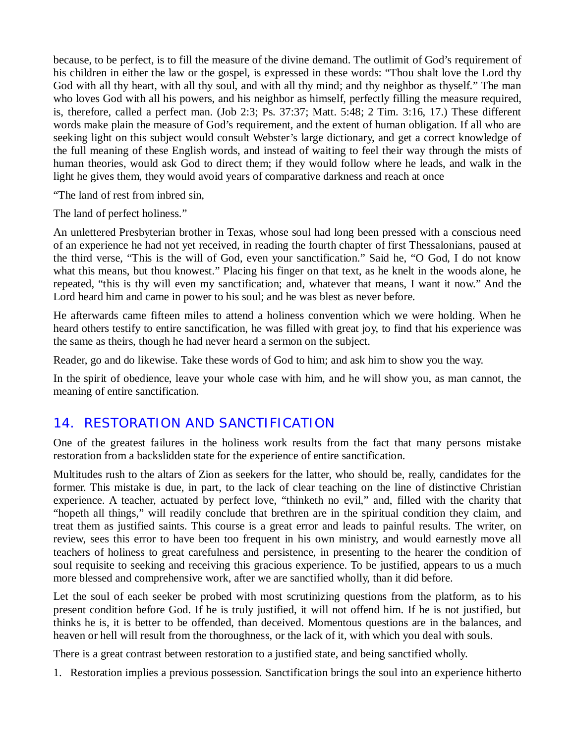because, to be perfect, is to fill the measure of the divine demand. The outlimit of God's requirement of his children in either the law or the gospel, is expressed in these words: "Thou shalt love the Lord thy God with all thy heart, with all thy soul, and with all thy mind; and thy neighbor as thyself." The man who loves God with all his powers, and his neighbor as himself, perfectly filling the measure required, is, therefore, called a perfect man. (Job 2:3; Ps. 37:37; Matt. 5:48; 2 Tim. 3:16, 17.) These different words make plain the measure of God's requirement, and the extent of human obligation. If all who are seeking light on this subject would consult Webster's large dictionary, and get a correct knowledge of the full meaning of these English words, and instead of waiting to feel their way through the mists of human theories, would ask God to direct them; if they would follow where he leads, and walk in the light he gives them, they would avoid years of comparative darkness and reach at once

"The land of rest from inbred sin,

The land of perfect holiness."

An unlettered Presbyterian brother in Texas, whose soul had long been pressed with a conscious need of an experience he had not yet received, in reading the fourth chapter of first Thessalonians, paused at the third verse, "This is the will of God, even your sanctification." Said he, "O God, I do not know what this means, but thou knowest." Placing his finger on that text, as he knelt in the woods alone, he repeated, "this is thy will even my sanctification; and, whatever that means, I want it now." And the Lord heard him and came in power to his soul; and he was blest as never before.

He afterwards came fifteen miles to attend a holiness convention which we were holding. When he heard others testify to entire sanctification, he was filled with great joy, to find that his experience was the same as theirs, though he had never heard a sermon on the subject.

Reader, go and do likewise. Take these words of God to him; and ask him to show you the way.

In the spirit of obedience, leave your whole case with him, and he will show you, as man cannot, the meaning of entire sanctification.

## *14. RESTORATION AND SANCTIFICATION*

One of the greatest failures in the holiness work results from the fact that many persons mistake restoration from a backslidden state for the experience of entire sanctification.

Multitudes rush to the altars of Zion as seekers for the latter, who should be, really, candidates for the former. This mistake is due, in part, to the lack of clear teaching on the line of distinctive Christian experience. A teacher, actuated by perfect love, "thinketh no evil," and, filled with the charity that "hopeth all things," will readily conclude that brethren are in the spiritual condition they claim, and treat them as justified saints. This course is a great error and leads to painful results. The writer, on review, sees this error to have been too frequent in his own ministry, and would earnestly move all teachers of holiness to great carefulness and persistence, in presenting to the hearer the condition of soul requisite to seeking and receiving this gracious experience. To be justified, appears to us a much more blessed and comprehensive work, after we are sanctified wholly, than it did before.

Let the soul of each seeker be probed with most scrutinizing questions from the platform, as to his present condition before God. If he is truly justified, it will not offend him. If he is not justified, but thinks he is, it is better to be offended, than deceived. Momentous questions are in the balances, and heaven or hell will result from the thoroughness, or the lack of it, with which you deal with souls.

There is a great contrast between restoration to a justified state, and being sanctified wholly.

1. Restoration implies a previous possession. Sanctification brings the soul into an experience hitherto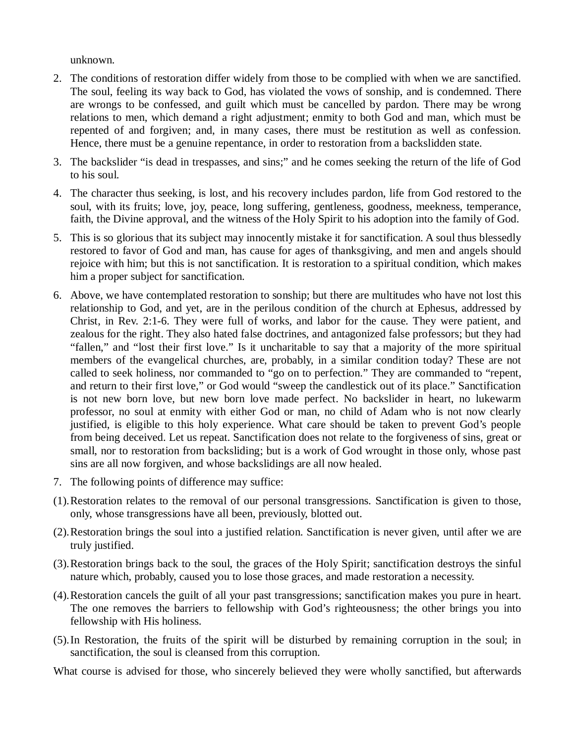unknown.

- 2. The conditions of restoration differ widely from those to be complied with when we are sanctified. The soul, feeling its way back to God, has violated the vows of sonship, and is condemned. There are wrongs to be confessed, and guilt which must be cancelled by pardon. There may be wrong relations to men, which demand a right adjustment; enmity to both God and man, which must be repented of and forgiven; and, in many cases, there must be restitution as well as confession. Hence, there must be a genuine repentance, in order to restoration from a backslidden state.
- 3. The backslider "is dead in trespasses, and sins;" and he comes seeking the return of the life of God to his soul.
- 4. The character thus seeking, is lost, and his recovery includes pardon, life from God restored to the soul, with its fruits; love, joy, peace, long suffering, gentleness, goodness, meekness, temperance, faith, the Divine approval, and the witness of the Holy Spirit to his adoption into the family of God.
- 5. This is so glorious that its subject may innocently mistake it for sanctification. A soul thus blessedly restored to favor of God and man, has cause for ages of thanksgiving, and men and angels should rejoice with him; but this is not sanctification. It is restoration to a spiritual condition, which makes him a proper subject for sanctification.
- 6. Above, we have contemplated restoration to sonship; but there are multitudes who have not lost this relationship to God, and yet, are in the perilous condition of the church at Ephesus, addressed by Christ, in Rev. 2:1-6. They were full of works, and labor for the cause. They were patient, and zealous for the right. They also hated false doctrines, and antagonized false professors; but they had "fallen," and "lost their first love." Is it uncharitable to say that a majority of the more spiritual members of the evangelical churches, are, probably, in a similar condition today? These are not called to seek holiness, nor commanded to "go on to perfection." They are commanded to "repent, and return to their first love," or God would "sweep the candlestick out of its place." Sanctification is not new born love, but new born love made perfect. No backslider in heart, no lukewarm professor, no soul at enmity with either God or man, no child of Adam who is not now clearly justified, is eligible to this holy experience. What care should be taken to prevent God's people from being deceived. Let us repeat. Sanctification does not relate to the forgiveness of sins, great or small, nor to restoration from backsliding; but is a work of God wrought in those only, whose past sins are all now forgiven, and whose backslidings are all now healed.
- 7. The following points of difference may suffice:
- (1).Restoration relates to the removal of our personal transgressions. Sanctification is given to those, only, whose transgressions have all been, previously, blotted out.
- (2).Restoration brings the soul into a justified relation. Sanctification is never given, until after we are truly justified.
- (3).Restoration brings back to the soul, the graces of the Holy Spirit; sanctification destroys the sinful nature which, probably, caused you to lose those graces, and made restoration a necessity.
- (4).Restoration cancels the guilt of all your past transgressions; sanctification makes you pure in heart. The one removes the barriers to fellowship with God's righteousness; the other brings you into fellowship with His holiness.
- (5).In Restoration, the fruits of the spirit will be disturbed by remaining corruption in the soul; in sanctification, the soul is cleansed from this corruption.

What course is advised for those, who sincerely believed they were wholly sanctified, but afterwards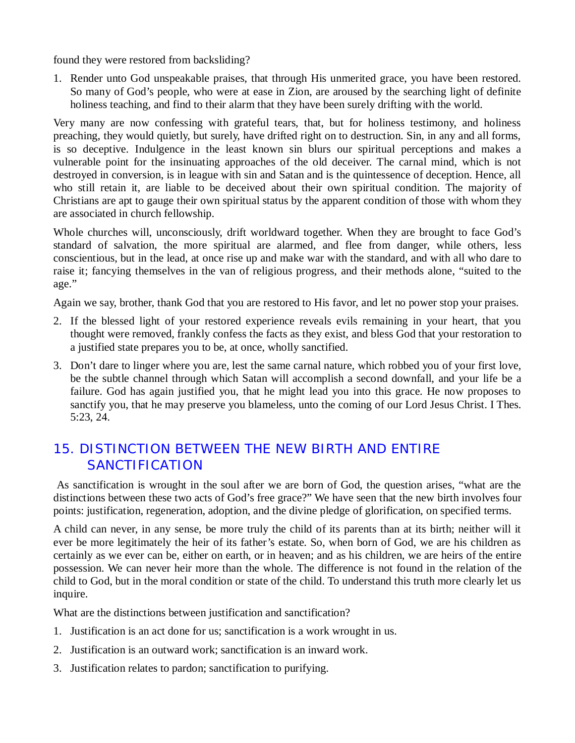found they were restored from backsliding?

1. Render unto God unspeakable praises, that through His unmerited grace, you have been restored. So many of God's people, who were at ease in Zion, are aroused by the searching light of definite holiness teaching, and find to their alarm that they have been surely drifting with the world.

Very many are now confessing with grateful tears, that, but for holiness testimony, and holiness preaching, they would quietly, but surely, have drifted right on to destruction. Sin, in any and all forms, is so deceptive. Indulgence in the least known sin blurs our spiritual perceptions and makes a vulnerable point for the insinuating approaches of the old deceiver. The carnal mind, which is not destroyed in conversion, is in league with sin and Satan and is the quintessence of deception. Hence, all who still retain it, are liable to be deceived about their own spiritual condition. The majority of Christians are apt to gauge their own spiritual status by the apparent condition of those with whom they are associated in church fellowship.

Whole churches will, unconsciously, drift worldward together. When they are brought to face God's standard of salvation, the more spiritual are alarmed, and flee from danger, while others, less conscientious, but in the lead, at once rise up and make war with the standard, and with all who dare to raise it; fancying themselves in the van of religious progress, and their methods alone, "suited to the age."

Again we say, brother, thank God that you are restored to His favor, and let no power stop your praises.

- 2. If the blessed light of your restored experience reveals evils remaining in your heart, that you thought were removed, frankly confess the facts as they exist, and bless God that your restoration to a justified state prepares you to be, at once, wholly sanctified.
- 3. Don't dare to linger where you are, lest the same carnal nature, which robbed you of your first love, be the subtle channel through which Satan will accomplish a second downfall, and your life be a failure. God has again justified you, that he might lead you into this grace. He now proposes to sanctify you, that he may preserve you blameless, unto the coming of our Lord Jesus Christ. I Thes. 5:23, 24.

# *15. DISTINCTION BETWEEN THE NEW BIRTH AND ENTIRE SANCTIFICATION*

As sanctification is wrought in the soul after we are born of God, the question arises, "what are the distinctions between these two acts of God's free grace?" We have seen that the new birth involves four points: justification, regeneration, adoption, and the divine pledge of glorification, on specified terms.

A child can never, in any sense, be more truly the child of its parents than at its birth; neither will it ever be more legitimately the heir of its father's estate. So, when born of God, we are his children as certainly as we ever can be, either on earth, or in heaven; and as his children, we are heirs of the entire possession. We can never heir more than the whole. The difference is not found in the relation of the child to God, but in the moral condition or state of the child. To understand this truth more clearly let us inquire.

What are the distinctions between justification and sanctification?

- 1. Justification is an act done for us; sanctification is a work wrought in us.
- 2. Justification is an outward work; sanctification is an inward work.
- 3. Justification relates to pardon; sanctification to purifying.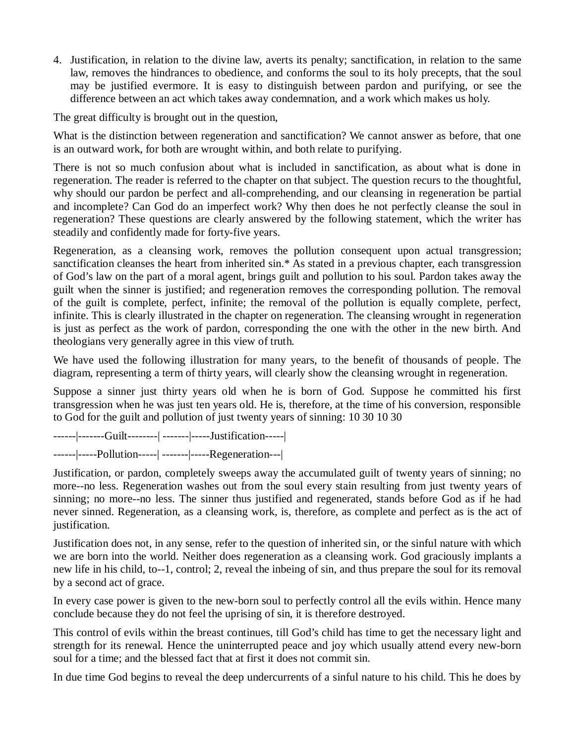4. Justification, in relation to the divine law, averts its penalty; sanctification, in relation to the same law, removes the hindrances to obedience, and conforms the soul to its holy precepts, that the soul may be justified evermore. It is easy to distinguish between pardon and purifying, or see the difference between an act which takes away condemnation, and a work which makes us holy.

The great difficulty is brought out in the question,

What is the distinction between regeneration and sanctification? We cannot answer as before, that one is an outward work, for both are wrought within, and both relate to purifying.

There is not so much confusion about what is included in sanctification, as about what is done in regeneration. The reader is referred to the chapter on that subject. The question recurs to the thoughtful, why should our pardon be perfect and all-comprehending, and our cleansing in regeneration be partial and incomplete? Can God do an imperfect work? Why then does he not perfectly cleanse the soul in regeneration? These questions are clearly answered by the following statement, which the writer has steadily and confidently made for forty-five years.

Regeneration, as a cleansing work, removes the pollution consequent upon actual transgression; sanctification cleanses the heart from inherited sin.\* As stated in a previous chapter, each transgression of God's law on the part of a moral agent, brings guilt and pollution to his soul. Pardon takes away the guilt when the sinner is justified; and regeneration removes the corresponding pollution. The removal of the guilt is complete, perfect, infinite; the removal of the pollution is equally complete, perfect, infinite. This is clearly illustrated in the chapter on regeneration. The cleansing wrought in regeneration is just as perfect as the work of pardon, corresponding the one with the other in the new birth. And theologians very generally agree in this view of truth.

We have used the following illustration for many years, to the benefit of thousands of people. The diagram, representing a term of thirty years, will clearly show the cleansing wrought in regeneration.

Suppose a sinner just thirty years old when he is born of God. Suppose he committed his first transgression when he was just ten years old. He is, therefore, at the time of his conversion, responsible to God for the guilt and pollution of just twenty years of sinning: 10 30 10 30

------|-------Guilt--------| -------|-----Justification-----|

------|-----Pollution-----| -------|-----Regeneration---|

Justification, or pardon, completely sweeps away the accumulated guilt of twenty years of sinning; no more--no less. Regeneration washes out from the soul every stain resulting from just twenty years of sinning; no more--no less. The sinner thus justified and regenerated, stands before God as if he had never sinned. Regeneration, as a cleansing work, is, therefore, as complete and perfect as is the act of justification.

Justification does not, in any sense, refer to the question of inherited sin, or the sinful nature with which we are born into the world. Neither does regeneration as a cleansing work. God graciously implants a new life in his child, to--1, control; 2, reveal the inbeing of sin, and thus prepare the soul for its removal by a second act of grace.

In every case power is given to the new-born soul to perfectly control all the evils within. Hence many conclude because they do not feel the uprising of sin, it is therefore destroyed.

This control of evils within the breast continues, till God's child has time to get the necessary light and strength for its renewal. Hence the uninterrupted peace and joy which usually attend every new-born soul for a time; and the blessed fact that at first it does not commit sin.

In due time God begins to reveal the deep undercurrents of a sinful nature to his child. This he does by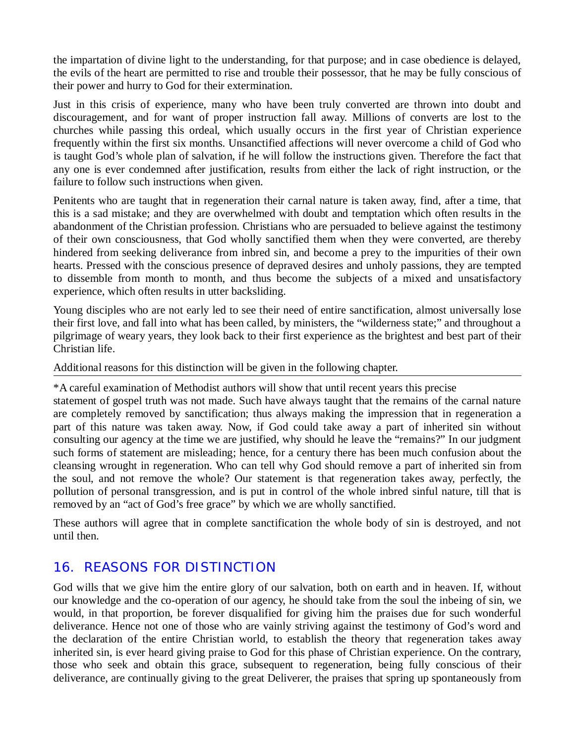the impartation of divine light to the understanding, for that purpose; and in case obedience is delayed, the evils of the heart are permitted to rise and trouble their possessor, that he may be fully conscious of their power and hurry to God for their extermination.

Just in this crisis of experience, many who have been truly converted are thrown into doubt and discouragement, and for want of proper instruction fall away. Millions of converts are lost to the churches while passing this ordeal, which usually occurs in the first year of Christian experience frequently within the first six months. Unsanctified affections will never overcome a child of God who is taught God's whole plan of salvation, if he will follow the instructions given. Therefore the fact that any one is ever condemned after justification, results from either the lack of right instruction, or the failure to follow such instructions when given.

Penitents who are taught that in regeneration their carnal nature is taken away, find, after a time, that this is a sad mistake; and they are overwhelmed with doubt and temptation which often results in the abandonment of the Christian profession. Christians who are persuaded to believe against the testimony of their own consciousness, that God wholly sanctified them when they were converted, are thereby hindered from seeking deliverance from inbred sin, and become a prey to the impurities of their own hearts. Pressed with the conscious presence of depraved desires and unholy passions, they are tempted to dissemble from month to month, and thus become the subjects of a mixed and unsatisfactory experience, which often results in utter backsliding.

Young disciples who are not early led to see their need of entire sanctification, almost universally lose their first love, and fall into what has been called, by ministers, the "wilderness state;" and throughout a pilgrimage of weary years, they look back to their first experience as the brightest and best part of their Christian life.

Additional reasons for this distinction will be given in the following chapter.

\*A careful examination of Methodist authors will show that until recent years this precise

statement of gospel truth was not made. Such have always taught that the remains of the carnal nature are completely removed by sanctification; thus always making the impression that in regeneration a part of this nature was taken away. Now, if God could take away a part of inherited sin without consulting our agency at the time we are justified, why should he leave the "remains?" In our judgment such forms of statement are misleading; hence, for a century there has been much confusion about the cleansing wrought in regeneration. Who can tell why God should remove a part of inherited sin from the soul, and not remove the whole? Our statement is that regeneration takes away, perfectly, the pollution of personal transgression, and is put in control of the whole inbred sinful nature, till that is removed by an "act of God's free grace" by which we are wholly sanctified.

These authors will agree that in complete sanctification the whole body of sin is destroyed, and not until then.

#### *16. REASONS FOR DISTINCTION*

God wills that we give him the entire glory of our salvation, both on earth and in heaven. If, without our knowledge and the co-operation of our agency, he should take from the soul the inbeing of sin, we would, in that proportion, be forever disqualified for giving him the praises due for such wonderful deliverance. Hence not one of those who are vainly striving against the testimony of God's word and the declaration of the entire Christian world, to establish the theory that regeneration takes away inherited sin, is ever heard giving praise to God for this phase of Christian experience. On the contrary, those who seek and obtain this grace, subsequent to regeneration, being fully conscious of their deliverance, are continually giving to the great Deliverer, the praises that spring up spontaneously from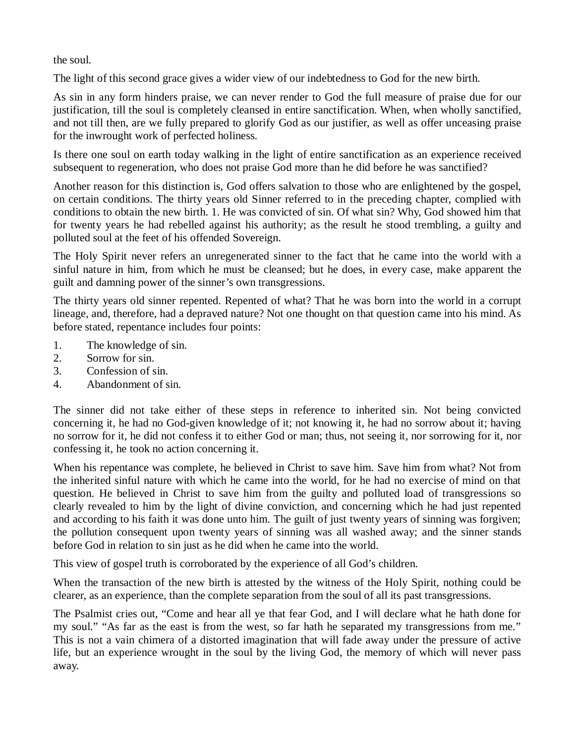the soul.

The light of this second grace gives a wider view of our indebtedness to God for the new birth.

As sin in any form hinders praise, we can never render to God the full measure of praise due for our justification, till the soul is completely cleansed in entire sanctification. When, when wholly sanctified, and not till then, are we fully prepared to glorify God as our justifier, as well as offer unceasing praise for the inwrought work of perfected holiness.

Is there one soul on earth today walking in the light of entire sanctification as an experience received subsequent to regeneration, who does not praise God more than he did before he was sanctified?

Another reason for this distinction is, God offers salvation to those who are enlightened by the gospel, on certain conditions. The thirty years old Sinner referred to in the preceding chapter, complied with conditions to obtain the new birth. 1. He was convicted of sin. Of what sin? Why, God showed him that for twenty years he had rebelled against his authority; as the result he stood trembling, a guilty and polluted soul at the feet of his offended Sovereign.

The Holy Spirit never refers an unregenerated sinner to the fact that he came into the world with a sinful nature in him, from which he must be cleansed; but he does, in every case, make apparent the guilt and damning power of the sinner's own transgressions.

The thirty years old sinner repented. Repented of what? That he was born into the world in a corrupt lineage, and, therefore, had a depraved nature? Not one thought on that question came into his mind. As before stated, repentance includes four points:

- 1. The knowledge of sin.
- 2. Sorrow for sin.
- 3. Confession of sin.
- 4. Abandonment of sin.

The sinner did not take either of these steps in reference to inherited sin. Not being convicted concerning it, he had no God-given knowledge of it; not knowing it, he had no sorrow about it; having no sorrow for it, he did not confess it to either God or man; thus, not seeing it, nor sorrowing for it, nor confessing it, he took no action concerning it.

When his repentance was complete, he believed in Christ to save him. Save him from what? Not from the inherited sinful nature with which he came into the world, for he had no exercise of mind on that question. He believed in Christ to save him from the guilty and polluted load of transgressions so clearly revealed to him by the light of divine conviction, and concerning which he had just repented and according to his faith it was done unto him. The guilt of just twenty years of sinning was forgiven; the pollution consequent upon twenty years of sinning was all washed away; and the sinner stands before God in relation to sin just as he did when he came into the world.

This view of gospel truth is corroborated by the experience of all God's children.

When the transaction of the new birth is attested by the witness of the Holy Spirit, nothing could be clearer, as an experience, than the complete separation from the soul of all its past transgressions.

The Psalmist cries out, "Come and hear all ye that fear God, and I will declare what he hath done for my soul." "As far as the east is from the west, so far hath he separated my transgressions from me." This is not a vain chimera of a distorted imagination that will fade away under the pressure of active life, but an experience wrought in the soul by the living God, the memory of which will never pass away.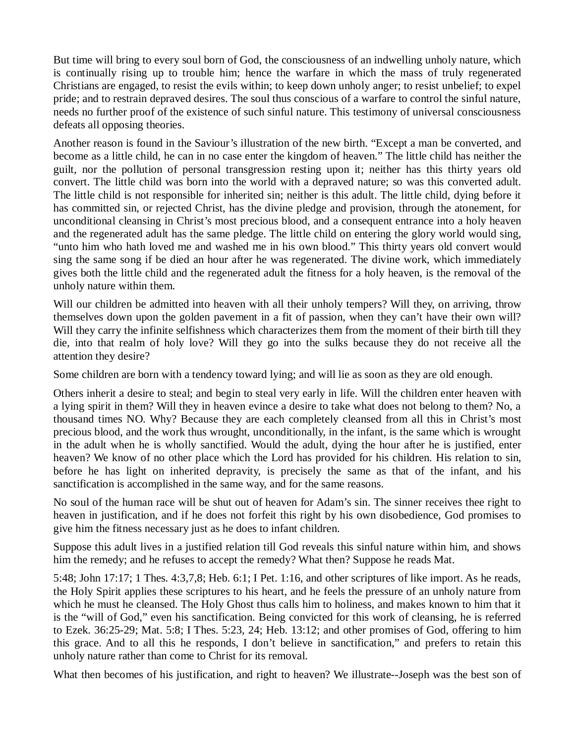But time will bring to every soul born of God, the consciousness of an indwelling unholy nature, which is continually rising up to trouble him; hence the warfare in which the mass of truly regenerated Christians are engaged, to resist the evils within; to keep down unholy anger; to resist unbelief; to expel pride; and to restrain depraved desires. The soul thus conscious of a warfare to control the sinful nature, needs no further proof of the existence of such sinful nature. This testimony of universal consciousness defeats all opposing theories.

Another reason is found in the Saviour's illustration of the new birth. "Except a man be converted, and become as a little child, he can in no case enter the kingdom of heaven." The little child has neither the guilt, nor the pollution of personal transgression resting upon it; neither has this thirty years old convert. The little child was born into the world with a depraved nature; so was this converted adult. The little child is not responsible for inherited sin; neither is this adult. The little child, dying before it has committed sin, or rejected Christ, has the divine pledge and provision, through the atonement, for unconditional cleansing in Christ's most precious blood, and a consequent entrance into a holy heaven and the regenerated adult has the same pledge. The little child on entering the glory world would sing, "unto him who hath loved me and washed me in his own blood." This thirty years old convert would sing the same song if be died an hour after he was regenerated. The divine work, which immediately gives both the little child and the regenerated adult the fitness for a holy heaven, is the removal of the unholy nature within them.

Will our children be admitted into heaven with all their unholy tempers? Will they, on arriving, throw themselves down upon the golden pavement in a fit of passion, when they can't have their own will? Will they carry the infinite selfishness which characterizes them from the moment of their birth till they die, into that realm of holy love? Will they go into the sulks because they do not receive all the attention they desire?

Some children are born with a tendency toward lying; and will lie as soon as they are old enough.

Others inherit a desire to steal; and begin to steal very early in life. Will the children enter heaven with a lying spirit in them? Will they in heaven evince a desire to take what does not belong to them? No, a thousand times NO. Why? Because they are each completely cleansed from all this in Christ's most precious blood, and the work thus wrought, unconditionally, in the infant, is the same which is wrought in the adult when he is wholly sanctified. Would the adult, dying the hour after he is justified, enter heaven? We know of no other place which the Lord has provided for his children. His relation to sin, before he has light on inherited depravity, is precisely the same as that of the infant, and his sanctification is accomplished in the same way, and for the same reasons.

No soul of the human race will be shut out of heaven for Adam's sin. The sinner receives thee right to heaven in justification, and if he does not forfeit this right by his own disobedience, God promises to give him the fitness necessary just as he does to infant children.

Suppose this adult lives in a justified relation till God reveals this sinful nature within him, and shows him the remedy; and he refuses to accept the remedy? What then? Suppose he reads Mat.

5:48; John 17:17; 1 Thes. 4:3,7,8; Heb. 6:1; I Pet. 1:16, and other scriptures of like import. As he reads, the Holy Spirit applies these scriptures to his heart, and he feels the pressure of an unholy nature from which he must he cleansed. The Holy Ghost thus calls him to holiness, and makes known to him that it is the "will of God," even his sanctification. Being convicted for this work of cleansing, he is referred to Ezek. 36:25-29; Mat. 5:8; I Thes. 5:23, 24; Heb. 13:12; and other promises of God, offering to him this grace. And to all this he responds, I don't believe in sanctification," and prefers to retain this unholy nature rather than come to Christ for its removal.

What then becomes of his justification, and right to heaven? We illustrate--Joseph was the best son of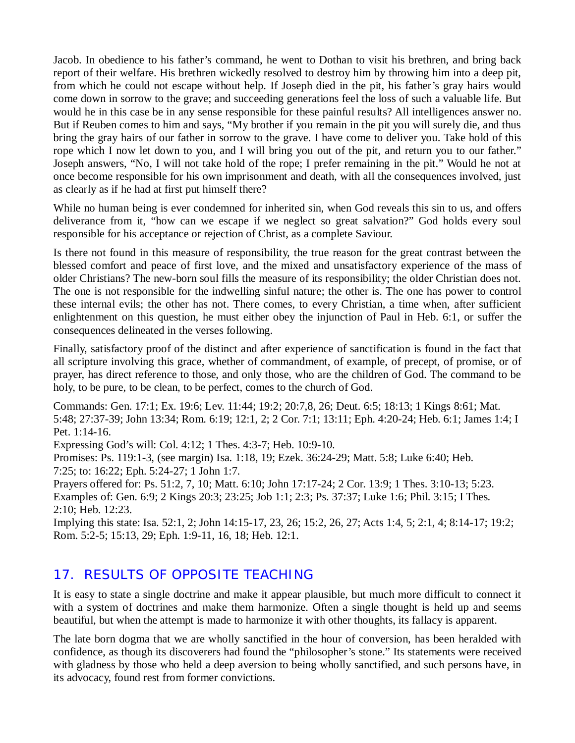Jacob. In obedience to his father's command, he went to Dothan to visit his brethren, and bring back report of their welfare. His brethren wickedly resolved to destroy him by throwing him into a deep pit, from which he could not escape without help. If Joseph died in the pit, his father's gray hairs would come down in sorrow to the grave; and succeeding generations feel the loss of such a valuable life. But would he in this case be in any sense responsible for these painful results? All intelligences answer no. But if Reuben comes to him and says, "My brother if you remain in the pit you will surely die, and thus bring the gray hairs of our father in sorrow to the grave. I have come to deliver you. Take hold of this rope which I now let down to you, and I will bring you out of the pit, and return you to our father." Joseph answers, "No, I will not take hold of the rope; I prefer remaining in the pit." Would he not at once become responsible for his own imprisonment and death, with all the consequences involved, just as clearly as if he had at first put himself there?

While no human being is ever condemned for inherited sin, when God reveals this sin to us, and offers deliverance from it, "how can we escape if we neglect so great salvation?" God holds every soul responsible for his acceptance or rejection of Christ, as a complete Saviour.

Is there not found in this measure of responsibility, the true reason for the great contrast between the blessed comfort and peace of first love, and the mixed and unsatisfactory experience of the mass of older Christians? The new-born soul fills the measure of its responsibility; the older Christian does not. The one is not responsible for the indwelling sinful nature; the other is. The one has power to control these internal evils; the other has not. There comes, to every Christian, a time when, after sufficient enlightenment on this question, he must either obey the injunction of Paul in Heb. 6:1, or suffer the consequences delineated in the verses following.

Finally, satisfactory proof of the distinct and after experience of sanctification is found in the fact that all scripture involving this grace, whether of commandment, of example, of precept, of promise, or of prayer, has direct reference to those, and only those, who are the children of God. The command to be holy, to be pure, to be clean, to be perfect, comes to the church of God.

Commands: Gen. 17:1; Ex. 19:6; Lev. 11:44; 19:2; 20:7,8, 26; Deut. 6:5; 18:13; 1 Kings 8:61; Mat. 5:48; 27:37-39; John 13:34; Rom. 6:19; 12:1, 2; 2 Cor. 7:1; 13:11; Eph. 4:20-24; Heb. 6:1; James 1:4; I Pet. 1:14-16.

Expressing God's will: Col. 4:12; 1 Thes. 4:3-7; Heb. 10:9-10.

Promises: Ps. 119:1-3, (see margin) Isa. 1:18, 19; Ezek. 36:24-29; Matt. 5:8; Luke 6:40; Heb. 7:25; to: 16:22; Eph. 5:24-27; 1 John 1:7.

Prayers offered for: Ps. 51:2, 7, 10; Matt. 6:10; John 17:17-24; 2 Cor. 13:9; 1 Thes. 3:10-13; 5:23. Examples of: Gen. 6:9; 2 Kings 20:3; 23:25; Job 1:1; 2:3; Ps. 37:37; Luke 1:6; Phil. 3:15; I Thes. 2:10; Heb. 12:23.

Implying this state: Isa. 52:1, 2; John 14:15-17, 23, 26; 15:2, 26, 27; Acts 1:4, 5; 2:1, 4; 8:14-17; 19:2; Rom. 5:2-5; 15:13, 29; Eph. 1:9-11, 16, 18; Heb. 12:1.

## *17. RESULTS OF OPPOSITE TEACHING*

It is easy to state a single doctrine and make it appear plausible, but much more difficult to connect it with a system of doctrines and make them harmonize. Often a single thought is held up and seems beautiful, but when the attempt is made to harmonize it with other thoughts, its fallacy is apparent.

The late born dogma that we are wholly sanctified in the hour of conversion, has been heralded with confidence, as though its discoverers had found the "philosopher's stone." Its statements were received with gladness by those who held a deep aversion to being wholly sanctified, and such persons have, in its advocacy, found rest from former convictions.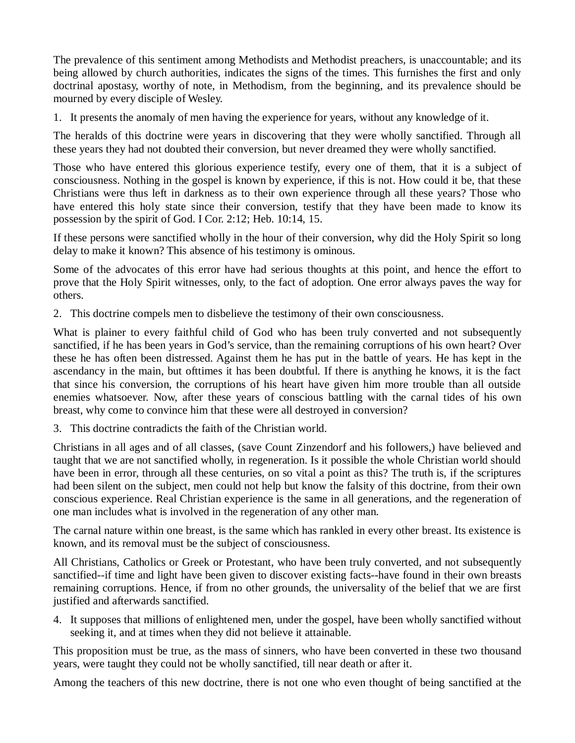The prevalence of this sentiment among Methodists and Methodist preachers, is unaccountable; and its being allowed by church authorities, indicates the signs of the times. This furnishes the first and only doctrinal apostasy, worthy of note, in Methodism, from the beginning, and its prevalence should be mourned by every disciple of Wesley.

1. It presents the anomaly of men having the experience for years, without any knowledge of it.

The heralds of this doctrine were years in discovering that they were wholly sanctified. Through all these years they had not doubted their conversion, but never dreamed they were wholly sanctified.

Those who have entered this glorious experience testify, every one of them, that it is a subject of consciousness. Nothing in the gospel is known by experience, if this is not. How could it be, that these Christians were thus left in darkness as to their own experience through all these years? Those who have entered this holy state since their conversion, testify that they have been made to know its possession by the spirit of God. I Cor. 2:12; Heb. 10:14, 15.

If these persons were sanctified wholly in the hour of their conversion, why did the Holy Spirit so long delay to make it known? This absence of his testimony is ominous.

Some of the advocates of this error have had serious thoughts at this point, and hence the effort to prove that the Holy Spirit witnesses, only, to the fact of adoption. One error always paves the way for others.

2. This doctrine compels men to disbelieve the testimony of their own consciousness.

What is plainer to every faithful child of God who has been truly converted and not subsequently sanctified, if he has been years in God's service, than the remaining corruptions of his own heart? Over these he has often been distressed. Against them he has put in the battle of years. He has kept in the ascendancy in the main, but ofttimes it has been doubtful. If there is anything he knows, it is the fact that since his conversion, the corruptions of his heart have given him more trouble than all outside enemies whatsoever. Now, after these years of conscious battling with the carnal tides of his own breast, why come to convince him that these were all destroyed in conversion?

3. This doctrine contradicts the faith of the Christian world.

Christians in all ages and of all classes, (save Count Zinzendorf and his followers,) have believed and taught that we are not sanctified wholly, in regeneration. Is it possible the whole Christian world should have been in error, through all these centuries, on so vital a point as this? The truth is, if the scriptures had been silent on the subject, men could not help but know the falsity of this doctrine, from their own conscious experience. Real Christian experience is the same in all generations, and the regeneration of one man includes what is involved in the regeneration of any other man.

The carnal nature within one breast, is the same which has rankled in every other breast. Its existence is known, and its removal must be the subject of consciousness.

All Christians, Catholics or Greek or Protestant, who have been truly converted, and not subsequently sanctified--if time and light have been given to discover existing facts--have found in their own breasts remaining corruptions. Hence, if from no other grounds, the universality of the belief that we are first justified and afterwards sanctified.

4. It supposes that millions of enlightened men, under the gospel, have been wholly sanctified without seeking it, and at times when they did not believe it attainable.

This proposition must be true, as the mass of sinners, who have been converted in these two thousand years, were taught they could not be wholly sanctified, till near death or after it.

Among the teachers of this new doctrine, there is not one who even thought of being sanctified at the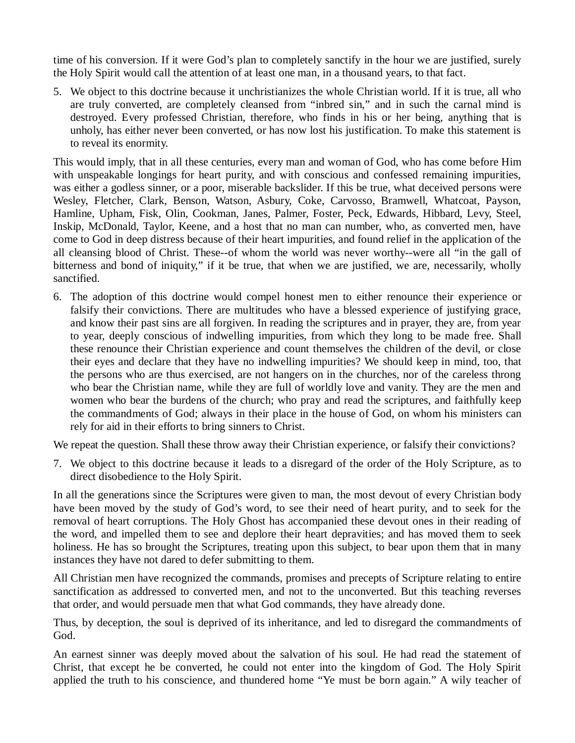time of his conversion. If it were God's plan to completely sanctify in the hour we are justified, surely the Holy Spirit would call the attention of at least one man, in a thousand years, to that fact.

5. We object to this doctrine because it unchristianizes the whole Christian world. If it is true, all who are truly converted, are completely cleansed from "inbred sin," and in such the carnal mind is destroyed. Every professed Christian, therefore, who finds in his or her being, anything that is unholy, has either never been converted, or has now lost his justification. To make this statement is to reveal its enormity.

This would imply, that in all these centuries, every man and woman of God, who has come before Him with unspeakable longings for heart purity, and with conscious and confessed remaining impurities, was either a godless sinner, or a poor, miserable backslider. If this be true, what deceived persons were Wesley, Fletcher, Clark, Benson, Watson, Asbury, Coke, Carvosso, Bramwell, Whatcoat, Payson, Hamline, Upham, Fisk, Olin, Cookman, Janes, Palmer, Foster, Peck, Edwards, Hibbard, Levy, Steel, Inskip, McDonald, Taylor, Keene, and a host that no man can number, who, as converted men, have come to God in deep distress because of their heart impurities, and found relief in the application of the all cleansing blood of Christ. These--of whom the world was never worthy--were all "in the gall of bitterness and bond of iniquity," if it be true, that when we are justified, we are, necessarily, wholly sanctified.

6. The adoption of this doctrine would compel honest men to either renounce their experience or falsify their convictions. There are multitudes who have a blessed experience of justifying grace, and know their past sins are all forgiven. In reading the scriptures and in prayer, they are, from year to year, deeply conscious of indwelling impurities, from which they long to be made free. Shall these renounce their Christian experience and count themselves the children of the devil, or close their eyes and declare that they have no indwelling impurities? We should keep in mind, too, that the persons who are thus exercised, are not hangers on in the churches, nor of the careless throng who bear the Christian name, while they are full of worldly love and vanity. They are the men and women who bear the burdens of the church; who pray and read the scriptures, and faithfully keep the commandments of God; always in their place in the house of God, on whom his ministers can rely for aid in their efforts to bring sinners to Christ.

We repeat the question. Shall these throw away their Christian experience, or falsify their convictions?

7. We object to this doctrine because it leads to a disregard of the order of the Holy Scripture, as to direct disobedience to the Holy Spirit.

In all the generations since the Scriptures were given to man, the most devout of every Christian body have been moved by the study of God's word, to see their need of heart purity, and to seek for the removal of heart corruptions. The Holy Ghost has accompanied these devout ones in their reading of the word, and impelled them to see and deplore their heart depravities; and has moved them to seek holiness. He has so brought the Scriptures, treating upon this subject, to bear upon them that in many instances they have not dared to defer submitting to them.

All Christian men have recognized the commands, promises and precepts of Scripture relating to entire sanctification as addressed to converted men, and not to the unconverted. But this teaching reverses that order, and would persuade men that what God commands, they have already done.

Thus, by deception, the soul is deprived of its inheritance, and led to disregard the commandments of God.

An earnest sinner was deeply moved about the salvation of his soul. He had read the statement of Christ, that except he be converted, he could not enter into the kingdom of God. The Holy Spirit applied the truth to his conscience, and thundered home "Ye must be born again." A wily teacher of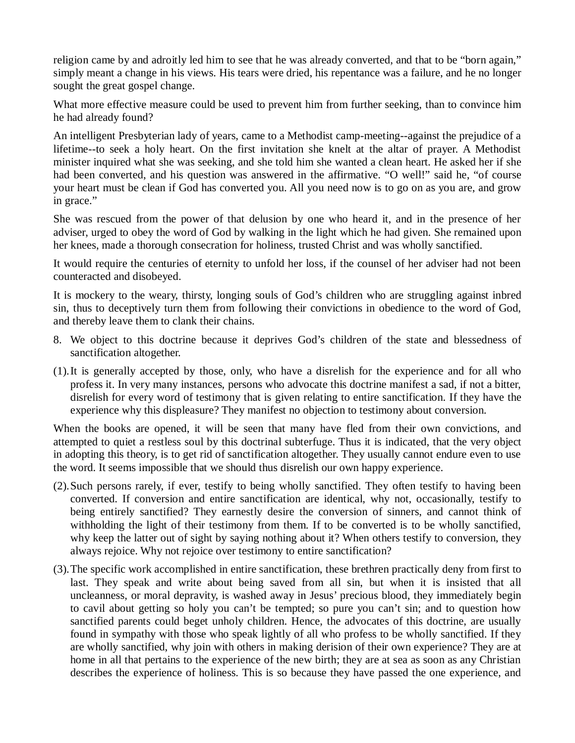religion came by and adroitly led him to see that he was already converted, and that to be "born again," simply meant a change in his views. His tears were dried, his repentance was a failure, and he no longer sought the great gospel change.

What more effective measure could be used to prevent him from further seeking, than to convince him he had already found?

An intelligent Presbyterian lady of years, came to a Methodist camp-meeting--against the prejudice of a lifetime--to seek a holy heart. On the first invitation she knelt at the altar of prayer. A Methodist minister inquired what she was seeking, and she told him she wanted a clean heart. He asked her if she had been converted, and his question was answered in the affirmative. "O well!" said he, "of course your heart must be clean if God has converted you. All you need now is to go on as you are, and grow in grace."

She was rescued from the power of that delusion by one who heard it, and in the presence of her adviser, urged to obey the word of God by walking in the light which he had given. She remained upon her knees, made a thorough consecration for holiness, trusted Christ and was wholly sanctified.

It would require the centuries of eternity to unfold her loss, if the counsel of her adviser had not been counteracted and disobeyed.

It is mockery to the weary, thirsty, longing souls of God's children who are struggling against inbred sin, thus to deceptively turn them from following their convictions in obedience to the word of God, and thereby leave them to clank their chains.

- 8. We object to this doctrine because it deprives God's children of the state and blessedness of sanctification altogether.
- (1).It is generally accepted by those, only, who have a disrelish for the experience and for all who profess it. In very many instances, persons who advocate this doctrine manifest a sad, if not a bitter, disrelish for every word of testimony that is given relating to entire sanctification. If they have the experience why this displeasure? They manifest no objection to testimony about conversion.

When the books are opened, it will be seen that many have fled from their own convictions, and attempted to quiet a restless soul by this doctrinal subterfuge. Thus it is indicated, that the very object in adopting this theory, is to get rid of sanctification altogether. They usually cannot endure even to use the word. It seems impossible that we should thus disrelish our own happy experience.

- (2).Such persons rarely, if ever, testify to being wholly sanctified. They often testify to having been converted. If conversion and entire sanctification are identical, why not, occasionally, testify to being entirely sanctified? They earnestly desire the conversion of sinners, and cannot think of withholding the light of their testimony from them. If to be converted is to be wholly sanctified, why keep the latter out of sight by saying nothing about it? When others testify to conversion, they always rejoice. Why not rejoice over testimony to entire sanctification?
- (3).The specific work accomplished in entire sanctification, these brethren practically deny from first to last. They speak and write about being saved from all sin, but when it is insisted that all uncleanness, or moral depravity, is washed away in Jesus' precious blood, they immediately begin to cavil about getting so holy you can't be tempted; so pure you can't sin; and to question how sanctified parents could beget unholy children. Hence, the advocates of this doctrine, are usually found in sympathy with those who speak lightly of all who profess to be wholly sanctified. If they are wholly sanctified, why join with others in making derision of their own experience? They are at home in all that pertains to the experience of the new birth; they are at sea as soon as any Christian describes the experience of holiness. This is so because they have passed the one experience, and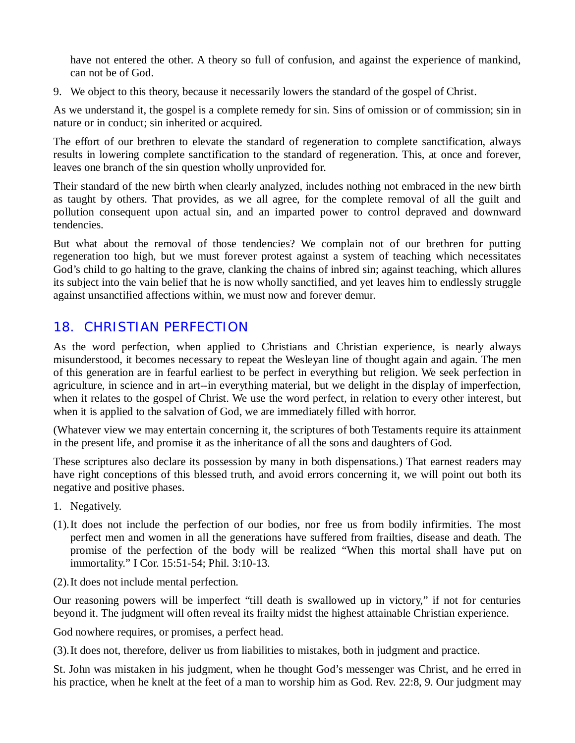have not entered the other. A theory so full of confusion, and against the experience of mankind, can not be of God.

9. We object to this theory, because it necessarily lowers the standard of the gospel of Christ.

As we understand it, the gospel is a complete remedy for sin. Sins of omission or of commission; sin in nature or in conduct; sin inherited or acquired.

The effort of our brethren to elevate the standard of regeneration to complete sanctification, always results in lowering complete sanctification to the standard of regeneration. This, at once and forever, leaves one branch of the sin question wholly unprovided for.

Their standard of the new birth when clearly analyzed, includes nothing not embraced in the new birth as taught by others. That provides, as we all agree, for the complete removal of all the guilt and pollution consequent upon actual sin, and an imparted power to control depraved and downward tendencies.

But what about the removal of those tendencies? We complain not of our brethren for putting regeneration too high, but we must forever protest against a system of teaching which necessitates God's child to go halting to the grave, clanking the chains of inbred sin; against teaching, which allures its subject into the vain belief that he is now wholly sanctified, and yet leaves him to endlessly struggle against unsanctified affections within, we must now and forever demur.

## *18. CHRISTIAN PERFECTION*

As the word perfection, when applied to Christians and Christian experience, is nearly always misunderstood, it becomes necessary to repeat the Wesleyan line of thought again and again. The men of this generation are in fearful earliest to be perfect in everything but religion. We seek perfection in agriculture, in science and in art--in everything material, but we delight in the display of imperfection, when it relates to the gospel of Christ. We use the word perfect, in relation to every other interest, but when it is applied to the salvation of God, we are immediately filled with horror.

(Whatever view we may entertain concerning it, the scriptures of both Testaments require its attainment in the present life, and promise it as the inheritance of all the sons and daughters of God.

These scriptures also declare its possession by many in both dispensations.) That earnest readers may have right conceptions of this blessed truth, and avoid errors concerning it, we will point out both its negative and positive phases.

- 1. Negatively.
- (1).It does not include the perfection of our bodies, nor free us from bodily infirmities. The most perfect men and women in all the generations have suffered from frailties, disease and death. The promise of the perfection of the body will be realized "When this mortal shall have put on immortality." I Cor. 15:51-54; Phil. 3:10-13.
- (2).It does not include mental perfection.

Our reasoning powers will be imperfect "till death is swallowed up in victory," if not for centuries beyond it. The judgment will often reveal its frailty midst the highest attainable Christian experience.

God nowhere requires, or promises, a perfect head.

(3).It does not, therefore, deliver us from liabilities to mistakes, both in judgment and practice.

St. John was mistaken in his judgment, when he thought God's messenger was Christ, and he erred in his practice, when he knelt at the feet of a man to worship him as God. Rev. 22:8, 9. Our judgment may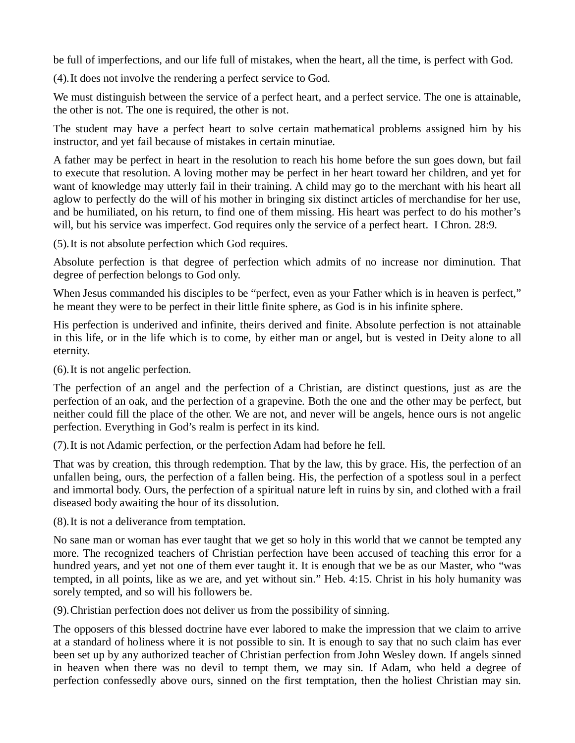be full of imperfections, and our life full of mistakes, when the heart, all the time, is perfect with God.

(4).It does not involve the rendering a perfect service to God.

We must distinguish between the service of a perfect heart, and a perfect service. The one is attainable, the other is not. The one is required, the other is not.

The student may have a perfect heart to solve certain mathematical problems assigned him by his instructor, and yet fail because of mistakes in certain minutiae.

A father may be perfect in heart in the resolution to reach his home before the sun goes down, but fail to execute that resolution. A loving mother may be perfect in her heart toward her children, and yet for want of knowledge may utterly fail in their training. A child may go to the merchant with his heart all aglow to perfectly do the will of his mother in bringing six distinct articles of merchandise for her use, and be humiliated, on his return, to find one of them missing. His heart was perfect to do his mother's will, but his service was imperfect. God requires only the service of a perfect heart. I Chron. 28:9.

(5).It is not absolute perfection which God requires.

Absolute perfection is that degree of perfection which admits of no increase nor diminution. That degree of perfection belongs to God only.

When Jesus commanded his disciples to be "perfect, even as your Father which is in heaven is perfect," he meant they were to be perfect in their little finite sphere, as God is in his infinite sphere.

His perfection is underived and infinite, theirs derived and finite. Absolute perfection is not attainable in this life, or in the life which is to come, by either man or angel, but is vested in Deity alone to all eternity.

(6).It is not angelic perfection.

The perfection of an angel and the perfection of a Christian, are distinct questions, just as are the perfection of an oak, and the perfection of a grapevine. Both the one and the other may be perfect, but neither could fill the place of the other. We are not, and never will be angels, hence ours is not angelic perfection. Everything in God's realm is perfect in its kind.

(7).It is not Adamic perfection, or the perfection Adam had before he fell.

That was by creation, this through redemption. That by the law, this by grace. His, the perfection of an unfallen being, ours, the perfection of a fallen being. His, the perfection of a spotless soul in a perfect and immortal body. Ours, the perfection of a spiritual nature left in ruins by sin, and clothed with a frail diseased body awaiting the hour of its dissolution.

(8).It is not a deliverance from temptation.

No sane man or woman has ever taught that we get so holy in this world that we cannot be tempted any more. The recognized teachers of Christian perfection have been accused of teaching this error for a hundred years, and yet not one of them ever taught it. It is enough that we be as our Master, who "was tempted, in all points, like as we are, and yet without sin." Heb. 4:15. Christ in his holy humanity was sorely tempted, and so will his followers be.

(9).Christian perfection does not deliver us from the possibility of sinning.

The opposers of this blessed doctrine have ever labored to make the impression that we claim to arrive at a standard of holiness where it is not possible to sin. It is enough to say that no such claim has ever been set up by any authorized teacher of Christian perfection from John Wesley down. If angels sinned in heaven when there was no devil to tempt them, we may sin. If Adam, who held a degree of perfection confessedly above ours, sinned on the first temptation, then the holiest Christian may sin.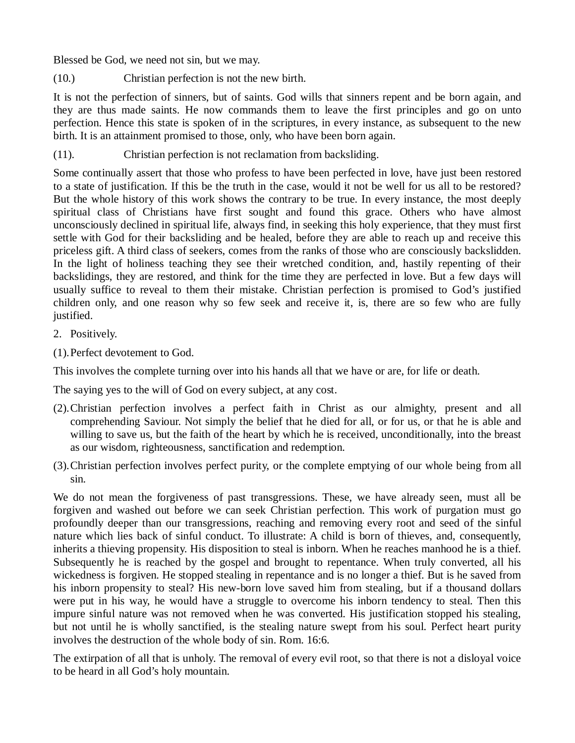Blessed be God, we need not sin, but we may.

(10.) Christian perfection is not the new birth.

It is not the perfection of sinners, but of saints. God wills that sinners repent and be born again, and they are thus made saints. He now commands them to leave the first principles and go on unto perfection. Hence this state is spoken of in the scriptures, in every instance, as subsequent to the new birth. It is an attainment promised to those, only, who have been born again.

(11). Christian perfection is not reclamation from backsliding.

Some continually assert that those who profess to have been perfected in love, have just been restored to a state of justification. If this be the truth in the case, would it not be well for us all to be restored? But the whole history of this work shows the contrary to be true. In every instance, the most deeply spiritual class of Christians have first sought and found this grace. Others who have almost unconsciously declined in spiritual life, always find, in seeking this holy experience, that they must first settle with God for their backsliding and be healed, before they are able to reach up and receive this priceless gift. A third class of seekers, comes from the ranks of those who are consciously backslidden. In the light of holiness teaching they see their wretched condition, and, hastily repenting of their backslidings, they are restored, and think for the time they are perfected in love. But a few days will usually suffice to reveal to them their mistake. Christian perfection is promised to God's justified children only, and one reason why so few seek and receive it, is, there are so few who are fully justified.

- 2. Positively.
- (1).Perfect devotement to God.

This involves the complete turning over into his hands all that we have or are, for life or death.

The saying yes to the will of God on every subject, at any cost.

- (2).Christian perfection involves a perfect faith in Christ as our almighty, present and all comprehending Saviour. Not simply the belief that he died for all, or for us, or that he is able and willing to save us, but the faith of the heart by which he is received, unconditionally, into the breast as our wisdom, righteousness, sanctification and redemption.
- (3).Christian perfection involves perfect purity, or the complete emptying of our whole being from all sin.

We do not mean the forgiveness of past transgressions. These, we have already seen, must all be forgiven and washed out before we can seek Christian perfection. This work of purgation must go profoundly deeper than our transgressions, reaching and removing every root and seed of the sinful nature which lies back of sinful conduct. To illustrate: A child is born of thieves, and, consequently, inherits a thieving propensity. His disposition to steal is inborn. When he reaches manhood he is a thief. Subsequently he is reached by the gospel and brought to repentance. When truly converted, all his wickedness is forgiven. He stopped stealing in repentance and is no longer a thief. But is he saved from his inborn propensity to steal? His new-born love saved him from stealing, but if a thousand dollars were put in his way, he would have a struggle to overcome his inborn tendency to steal. Then this impure sinful nature was not removed when he was converted. His justification stopped his stealing, but not until he is wholly sanctified, is the stealing nature swept from his soul. Perfect heart purity involves the destruction of the whole body of sin. Rom. 16:6.

The extirpation of all that is unholy. The removal of every evil root, so that there is not a disloyal voice to be heard in all God's holy mountain.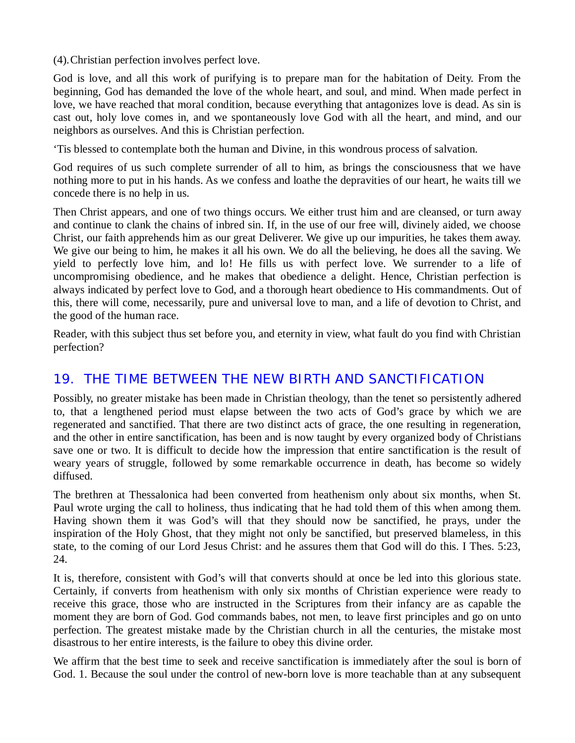(4).Christian perfection involves perfect love.

God is love, and all this work of purifying is to prepare man for the habitation of Deity. From the beginning, God has demanded the love of the whole heart, and soul, and mind. When made perfect in love, we have reached that moral condition, because everything that antagonizes love is dead. As sin is cast out, holy love comes in, and we spontaneously love God with all the heart, and mind, and our neighbors as ourselves. And this is Christian perfection.

'Tis blessed to contemplate both the human and Divine, in this wondrous process of salvation.

God requires of us such complete surrender of all to him, as brings the consciousness that we have nothing more to put in his hands. As we confess and loathe the depravities of our heart, he waits till we concede there is no help in us.

Then Christ appears, and one of two things occurs. We either trust him and are cleansed, or turn away and continue to clank the chains of inbred sin. If, in the use of our free will, divinely aided, we choose Christ, our faith apprehends him as our great Deliverer. We give up our impurities, he takes them away. We give our being to him, he makes it all his own. We do all the believing, he does all the saving. We yield to perfectly love him, and lo! He fills us with perfect love. We surrender to a life of uncompromising obedience, and he makes that obedience a delight. Hence, Christian perfection is always indicated by perfect love to God, and a thorough heart obedience to His commandments. Out of this, there will come, necessarily, pure and universal love to man, and a life of devotion to Christ, and the good of the human race.

Reader, with this subject thus set before you, and eternity in view, what fault do you find with Christian perfection?

#### *19. THE TIME BETWEEN THE NEW BIRTH AND SANCTIFICATION*

Possibly, no greater mistake has been made in Christian theology, than the tenet so persistently adhered to, that a lengthened period must elapse between the two acts of God's grace by which we are regenerated and sanctified. That there are two distinct acts of grace, the one resulting in regeneration, and the other in entire sanctification, has been and is now taught by every organized body of Christians save one or two. It is difficult to decide how the impression that entire sanctification is the result of weary years of struggle, followed by some remarkable occurrence in death, has become so widely diffused.

The brethren at Thessalonica had been converted from heathenism only about six months, when St. Paul wrote urging the call to holiness, thus indicating that he had told them of this when among them. Having shown them it was God's will that they should now be sanctified, he prays, under the inspiration of the Holy Ghost, that they might not only be sanctified, but preserved blameless, in this state, to the coming of our Lord Jesus Christ: and he assures them that God will do this. I Thes. 5:23, 24.

It is, therefore, consistent with God's will that converts should at once be led into this glorious state. Certainly, if converts from heathenism with only six months of Christian experience were ready to receive this grace, those who are instructed in the Scriptures from their infancy are as capable the moment they are born of God. God commands babes, not men, to leave first principles and go on unto perfection. The greatest mistake made by the Christian church in all the centuries, the mistake most disastrous to her entire interests, is the failure to obey this divine order.

We affirm that the best time to seek and receive sanctification is immediately after the soul is born of God. 1. Because the soul under the control of new-born love is more teachable than at any subsequent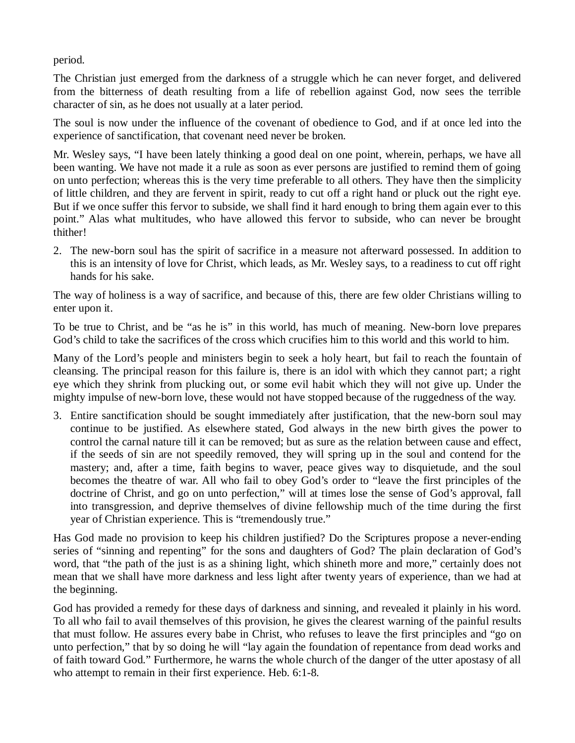period.

The Christian just emerged from the darkness of a struggle which he can never forget, and delivered from the bitterness of death resulting from a life of rebellion against God, now sees the terrible character of sin, as he does not usually at a later period.

The soul is now under the influence of the covenant of obedience to God, and if at once led into the experience of sanctification, that covenant need never be broken.

Mr. Wesley says, "I have been lately thinking a good deal on one point, wherein, perhaps, we have all been wanting. We have not made it a rule as soon as ever persons are justified to remind them of going on unto perfection; whereas this is the very time preferable to all others. They have then the simplicity of little children, and they are fervent in spirit, ready to cut off a right hand or pluck out the right eye. But if we once suffer this fervor to subside, we shall find it hard enough to bring them again ever to this point." Alas what multitudes, who have allowed this fervor to subside, who can never be brought thither!

2. The new-born soul has the spirit of sacrifice in a measure not afterward possessed. In addition to this is an intensity of love for Christ, which leads, as Mr. Wesley says, to a readiness to cut off right hands for his sake.

The way of holiness is a way of sacrifice, and because of this, there are few older Christians willing to enter upon it.

To be true to Christ, and be "as he is" in this world, has much of meaning. New-born love prepares God's child to take the sacrifices of the cross which crucifies him to this world and this world to him.

Many of the Lord's people and ministers begin to seek a holy heart, but fail to reach the fountain of cleansing. The principal reason for this failure is, there is an idol with which they cannot part; a right eye which they shrink from plucking out, or some evil habit which they will not give up. Under the mighty impulse of new-born love, these would not have stopped because of the ruggedness of the way.

3. Entire sanctification should be sought immediately after justification, that the new-born soul may continue to be justified. As elsewhere stated, God always in the new birth gives the power to control the carnal nature till it can be removed; but as sure as the relation between cause and effect, if the seeds of sin are not speedily removed, they will spring up in the soul and contend for the mastery; and, after a time, faith begins to waver, peace gives way to disquietude, and the soul becomes the theatre of war. All who fail to obey God's order to "leave the first principles of the doctrine of Christ, and go on unto perfection," will at times lose the sense of God's approval, fall into transgression, and deprive themselves of divine fellowship much of the time during the first year of Christian experience. This is "tremendously true."

Has God made no provision to keep his children justified? Do the Scriptures propose a never-ending series of "sinning and repenting" for the sons and daughters of God? The plain declaration of God's word, that "the path of the just is as a shining light, which shineth more and more," certainly does not mean that we shall have more darkness and less light after twenty years of experience, than we had at the beginning.

God has provided a remedy for these days of darkness and sinning, and revealed it plainly in his word. To all who fail to avail themselves of this provision, he gives the clearest warning of the painful results that must follow. He assures every babe in Christ, who refuses to leave the first principles and "go on unto perfection," that by so doing he will "lay again the foundation of repentance from dead works and of faith toward God." Furthermore, he warns the whole church of the danger of the utter apostasy of all who attempt to remain in their first experience. Heb. 6:1-8.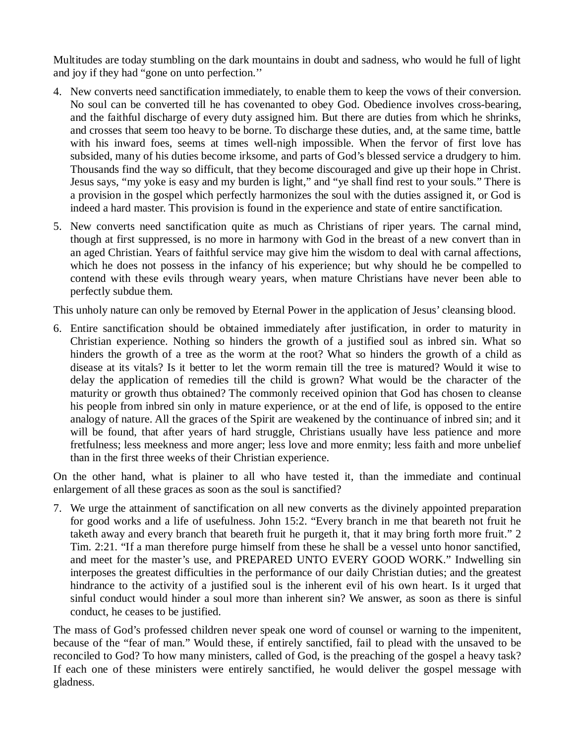Multitudes are today stumbling on the dark mountains in doubt and sadness, who would he full of light and joy if they had "gone on unto perfection.''

- 4. New converts need sanctification immediately, to enable them to keep the vows of their conversion. No soul can be converted till he has covenanted to obey God. Obedience involves cross-bearing, and the faithful discharge of every duty assigned him. But there are duties from which he shrinks, and crosses that seem too heavy to be borne. To discharge these duties, and, at the same time, battle with his inward foes, seems at times well-nigh impossible. When the fervor of first love has subsided, many of his duties become irksome, and parts of God's blessed service a drudgery to him. Thousands find the way so difficult, that they become discouraged and give up their hope in Christ. Jesus says, "my yoke is easy and my burden is light," and "ye shall find rest to your souls." There is a provision in the gospel which perfectly harmonizes the soul with the duties assigned it, or God is indeed a hard master. This provision is found in the experience and state of entire sanctification.
- 5. New converts need sanctification quite as much as Christians of riper years. The carnal mind, though at first suppressed, is no more in harmony with God in the breast of a new convert than in an aged Christian. Years of faithful service may give him the wisdom to deal with carnal affections, which he does not possess in the infancy of his experience; but why should he be compelled to contend with these evils through weary years, when mature Christians have never been able to perfectly subdue them.

This unholy nature can only be removed by Eternal Power in the application of Jesus' cleansing blood.

6. Entire sanctification should be obtained immediately after justification, in order to maturity in Christian experience. Nothing so hinders the growth of a justified soul as inbred sin. What so hinders the growth of a tree as the worm at the root? What so hinders the growth of a child as disease at its vitals? Is it better to let the worm remain till the tree is matured? Would it wise to delay the application of remedies till the child is grown? What would be the character of the maturity or growth thus obtained? The commonly received opinion that God has chosen to cleanse his people from inbred sin only in mature experience, or at the end of life, is opposed to the entire analogy of nature. All the graces of the Spirit are weakened by the continuance of inbred sin; and it will be found, that after years of hard struggle, Christians usually have less patience and more fretfulness; less meekness and more anger; less love and more enmity; less faith and more unbelief than in the first three weeks of their Christian experience.

On the other hand, what is plainer to all who have tested it, than the immediate and continual enlargement of all these graces as soon as the soul is sanctified?

7. We urge the attainment of sanctification on all new converts as the divinely appointed preparation for good works and a life of usefulness. John 15:2. "Every branch in me that beareth not fruit he taketh away and every branch that beareth fruit he purgeth it, that it may bring forth more fruit." 2 Tim. 2:21. "If a man therefore purge himself from these he shall be a vessel unto honor sanctified, and meet for the master's use, and PREPARED UNTO EVERY GOOD WORK." Indwelling sin interposes the greatest difficulties in the performance of our daily Christian duties; and the greatest hindrance to the activity of a justified soul is the inherent evil of his own heart. Is it urged that sinful conduct would hinder a soul more than inherent sin? We answer, as soon as there is sinful conduct, he ceases to be justified.

The mass of God's professed children never speak one word of counsel or warning to the impenitent, because of the "fear of man." Would these, if entirely sanctified, fail to plead with the unsaved to be reconciled to God? To how many ministers, called of God, is the preaching of the gospel a heavy task? If each one of these ministers were entirely sanctified, he would deliver the gospel message with gladness.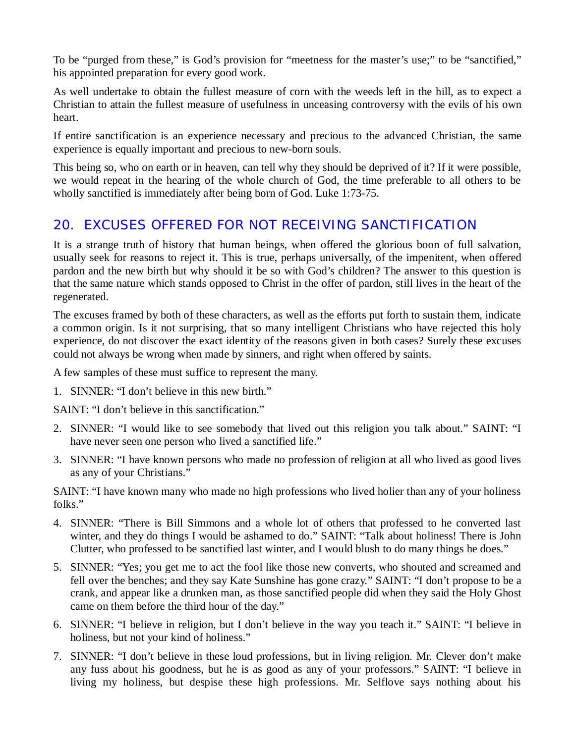To be "purged from these," is God's provision for "meetness for the master's use;" to be "sanctified," his appointed preparation for every good work.

As well undertake to obtain the fullest measure of corn with the weeds left in the hill, as to expect a Christian to attain the fullest measure of usefulness in unceasing controversy with the evils of his own heart.

If entire sanctification is an experience necessary and precious to the advanced Christian, the same experience is equally important and precious to new-born souls.

This being so, who on earth or in heaven, can tell why they should be deprived of it? If it were possible, we would repeat in the hearing of the whole church of God, the time preferable to all others to be wholly sanctified is immediately after being born of God. Luke 1:73-75.

# *20. EXCUSES OFFERED FOR NOT RECEIVING SANCTIFICATION*

It is a strange truth of history that human beings, when offered the glorious boon of full salvation, usually seek for reasons to reject it. This is true, perhaps universally, of the impenitent, when offered pardon and the new birth but why should it be so with God's children? The answer to this question is that the same nature which stands opposed to Christ in the offer of pardon, still lives in the heart of the regenerated.

The excuses framed by both of these characters, as well as the efforts put forth to sustain them, indicate a common origin. Is it not surprising, that so many intelligent Christians who have rejected this holy experience, do not discover the exact identity of the reasons given in both cases? Surely these excuses could not always be wrong when made by sinners, and right when offered by saints.

A few samples of these must suffice to represent the many.

1. SINNER: "I don't believe in this new birth."

SAINT: "I don't believe in this sanctification."

- 2. SINNER: "I would like to see somebody that lived out this religion you talk about." SAINT: "I have never seen one person who lived a sanctified life."
- 3. SINNER: "I have known persons who made no profession of religion at all who lived as good lives as any of your Christians."

SAINT: "I have known many who made no high professions who lived holier than any of your holiness folks."

- 4. SINNER: "There is Bill Simmons and a whole lot of others that professed to he converted last winter, and they do things I would be ashamed to do." SAINT: "Talk about holiness! There is John Clutter, who professed to be sanctified last winter, and I would blush to do many things he does."
- 5. SINNER: "Yes; you get me to act the fool like those new converts, who shouted and screamed and fell over the benches; and they say Kate Sunshine has gone crazy." SAINT: "I don't propose to be a crank, and appear like a drunken man, as those sanctified people did when they said the Holy Ghost came on them before the third hour of the day."
- 6. SINNER: "I believe in religion, but I don't believe in the way you teach it." SAINT: "I believe in holiness, but not your kind of holiness."
- 7. SINNER: "I don't believe in these loud professions, but in living religion. Mr. Clever don't make any fuss about his goodness, but he is as good as any of your professors." SAINT: "I believe in living my holiness, but despise these high professions. Mr. Selflove says nothing about his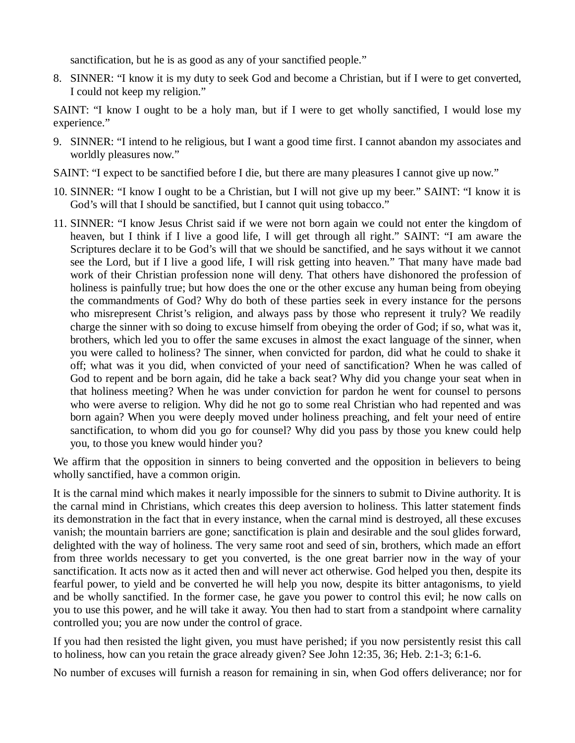sanctification, but he is as good as any of your sanctified people."

8. SINNER: "I know it is my duty to seek God and become a Christian, but if I were to get converted, I could not keep my religion."

SAINT: "I know I ought to be a holy man, but if I were to get wholly sanctified, I would lose my experience."

- 9. SINNER: "I intend to he religious, but I want a good time first. I cannot abandon my associates and worldly pleasures now."
- SAINT: "I expect to be sanctified before I die, but there are many pleasures I cannot give up now."
- 10. SINNER: "I know I ought to be a Christian, but I will not give up my beer." SAINT: "I know it is God's will that I should be sanctified, but I cannot quit using tobacco."
- 11. SINNER: "I know Jesus Christ said if we were not born again we could not enter the kingdom of heaven, but I think if I live a good life, I will get through all right." SAINT: "I am aware the Scriptures declare it to be God's will that we should be sanctified, and he says without it we cannot see the Lord, but if I live a good life, I will risk getting into heaven." That many have made bad work of their Christian profession none will deny. That others have dishonored the profession of holiness is painfully true; but how does the one or the other excuse any human being from obeying the commandments of God? Why do both of these parties seek in every instance for the persons who misrepresent Christ's religion, and always pass by those who represent it truly? We readily charge the sinner with so doing to excuse himself from obeying the order of God; if so, what was it, brothers, which led you to offer the same excuses in almost the exact language of the sinner, when you were called to holiness? The sinner, when convicted for pardon, did what he could to shake it off; what was it you did, when convicted of your need of sanctification? When he was called of God to repent and be born again, did he take a back seat? Why did you change your seat when in that holiness meeting? When he was under conviction for pardon he went for counsel to persons who were averse to religion. Why did he not go to some real Christian who had repented and was born again? When you were deeply moved under holiness preaching, and felt your need of entire sanctification, to whom did you go for counsel? Why did you pass by those you knew could help you, to those you knew would hinder you?

We affirm that the opposition in sinners to being converted and the opposition in believers to being wholly sanctified, have a common origin.

It is the carnal mind which makes it nearly impossible for the sinners to submit to Divine authority. It is the carnal mind in Christians, which creates this deep aversion to holiness. This latter statement finds its demonstration in the fact that in every instance, when the carnal mind is destroyed, all these excuses vanish; the mountain barriers are gone; sanctification is plain and desirable and the soul glides forward, delighted with the way of holiness. The very same root and seed of sin, brothers, which made an effort from three worlds necessary to get you converted, is the one great barrier now in the way of your sanctification. It acts now as it acted then and will never act otherwise. God helped you then, despite its fearful power, to yield and be converted he will help you now, despite its bitter antagonisms, to yield and be wholly sanctified. In the former case, he gave you power to control this evil; he now calls on you to use this power, and he will take it away. You then had to start from a standpoint where carnality controlled you; you are now under the control of grace.

If you had then resisted the light given, you must have perished; if you now persistently resist this call to holiness, how can you retain the grace already given? See John 12:35, 36; Heb. 2:1-3; 6:1-6.

No number of excuses will furnish a reason for remaining in sin, when God offers deliverance; nor for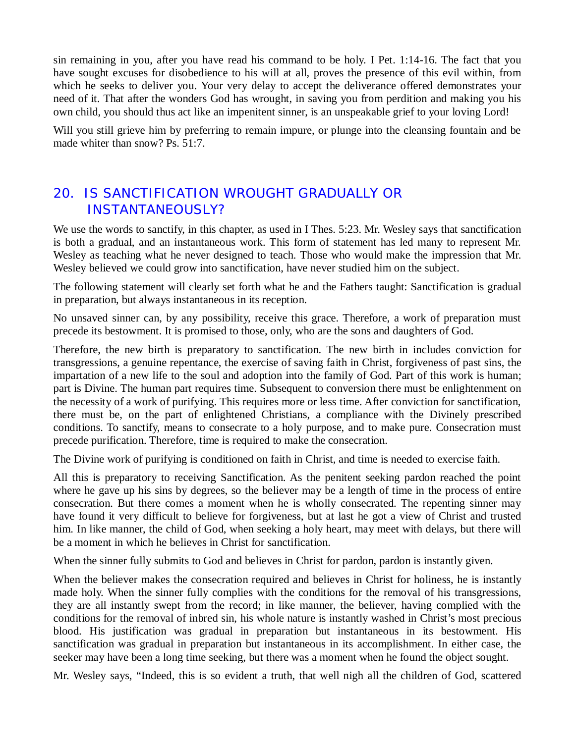sin remaining in you, after you have read his command to be holy. I Pet. 1:14-16. The fact that you have sought excuses for disobedience to his will at all, proves the presence of this evil within, from which he seeks to deliver you. Your very delay to accept the deliverance offered demonstrates your need of it. That after the wonders God has wrought, in saving you from perdition and making you his own child, you should thus act like an impenitent sinner, is an unspeakable grief to your loving Lord!

Will you still grieve him by preferring to remain impure, or plunge into the cleansing fountain and be made whiter than snow? Ps. 51:7.

### *20. IS SANCTIFICATION WROUGHT GRADUALLY OR INSTANTANEOUSLY?*

We use the words to sanctify, in this chapter, as used in I Thes. 5:23. Mr. Wesley says that sanctification is both a gradual, and an instantaneous work. This form of statement has led many to represent Mr. Wesley as teaching what he never designed to teach. Those who would make the impression that Mr. Wesley believed we could grow into sanctification, have never studied him on the subject.

The following statement will clearly set forth what he and the Fathers taught: Sanctification is gradual in preparation, but always instantaneous in its reception.

No unsaved sinner can, by any possibility, receive this grace. Therefore, a work of preparation must precede its bestowment. It is promised to those, only, who are the sons and daughters of God.

Therefore, the new birth is preparatory to sanctification. The new birth in includes conviction for transgressions, a genuine repentance, the exercise of saving faith in Christ, forgiveness of past sins, the impartation of a new life to the soul and adoption into the family of God. Part of this work is human; part is Divine. The human part requires time. Subsequent to conversion there must be enlightenment on the necessity of a work of purifying. This requires more or less time. After conviction for sanctification, there must be, on the part of enlightened Christians, a compliance with the Divinely prescribed conditions. To sanctify, means to consecrate to a holy purpose, and to make pure. Consecration must precede purification. Therefore, time is required to make the consecration.

The Divine work of purifying is conditioned on faith in Christ, and time is needed to exercise faith.

All this is preparatory to receiving Sanctification. As the penitent seeking pardon reached the point where he gave up his sins by degrees, so the believer may be a length of time in the process of entire consecration. But there comes a moment when he is wholly consecrated. The repenting sinner may have found it very difficult to believe for forgiveness, but at last he got a view of Christ and trusted him. In like manner, the child of God, when seeking a holy heart, may meet with delays, but there will be a moment in which he believes in Christ for sanctification.

When the sinner fully submits to God and believes in Christ for pardon, pardon is instantly given.

When the believer makes the consecration required and believes in Christ for holiness, he is instantly made holy. When the sinner fully complies with the conditions for the removal of his transgressions, they are all instantly swept from the record; in like manner, the believer, having complied with the conditions for the removal of inbred sin, his whole nature is instantly washed in Christ's most precious blood. His justification was gradual in preparation but instantaneous in its bestowment. His sanctification was gradual in preparation but instantaneous in its accomplishment. In either case, the seeker may have been a long time seeking, but there was a moment when he found the object sought.

Mr. Wesley says, "Indeed, this is so evident a truth, that well nigh all the children of God, scattered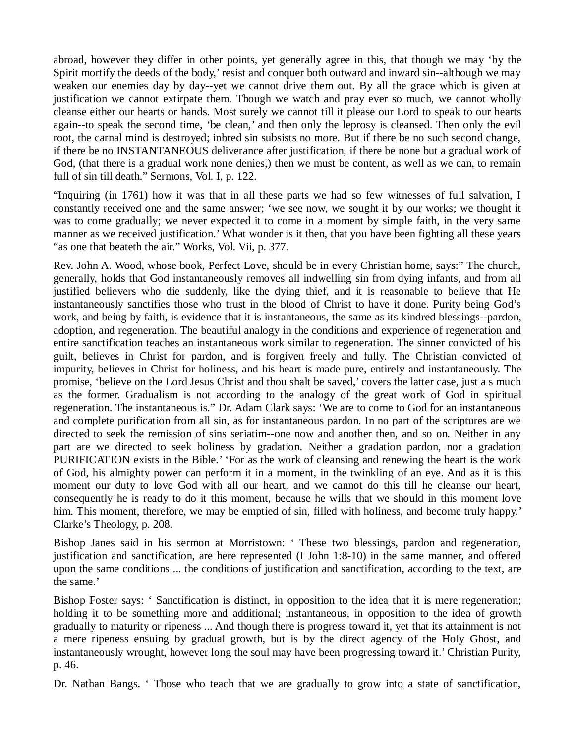abroad, however they differ in other points, yet generally agree in this, that though we may 'by the Spirit mortify the deeds of the body,' resist and conquer both outward and inward sin--although we may weaken our enemies day by day--yet we cannot drive them out. By all the grace which is given at justification we cannot extirpate them. Though we watch and pray ever so much, we cannot wholly cleanse either our hearts or hands. Most surely we cannot till it please our Lord to speak to our hearts again--to speak the second time, 'be clean,' and then only the leprosy is cleansed. Then only the evil root, the carnal mind is destroyed; inbred sin subsists no more. But if there be no such second change, if there be no INSTANTANEOUS deliverance after justification, if there be none but a gradual work of God, (that there is a gradual work none denies,) then we must be content, as well as we can, to remain full of sin till death." Sermons, Vol. I, p. 122.

"Inquiring (in 1761) how it was that in all these parts we had so few witnesses of full salvation, I constantly received one and the same answer; 'we see now, we sought it by our works; we thought it was to come gradually; we never expected it to come in a moment by simple faith, in the very same manner as we received justification.'What wonder is it then, that you have been fighting all these years "as one that beateth the air." Works, Vol. Vii, p. 377.

Rev. John A. Wood, whose book, Perfect Love, should be in every Christian home, says:" The church, generally, holds that God instantaneously removes all indwelling sin from dying infants, and from all justified believers who die suddenly, like the dying thief, and it is reasonable to believe that He instantaneously sanctifies those who trust in the blood of Christ to have it done. Purity being God's work, and being by faith, is evidence that it is instantaneous, the same as its kindred blessings--pardon, adoption, and regeneration. The beautiful analogy in the conditions and experience of regeneration and entire sanctification teaches an instantaneous work similar to regeneration. The sinner convicted of his guilt, believes in Christ for pardon, and is forgiven freely and fully. The Christian convicted of impurity, believes in Christ for holiness, and his heart is made pure, entirely and instantaneously. The promise, 'believe on the Lord Jesus Christ and thou shalt be saved,' covers the latter case, just a s much as the former. Gradualism is not according to the analogy of the great work of God in spiritual regeneration. The instantaneous is." Dr. Adam Clark says: 'We are to come to God for an instantaneous and complete purification from all sin, as for instantaneous pardon. In no part of the scriptures are we directed to seek the remission of sins seriatim--one now and another then, and so on. Neither in any part are we directed to seek holiness by gradation. Neither a gradation pardon, nor a gradation PURIFICATION exists in the Bible.' 'For as the work of cleansing and renewing the heart is the work of God, his almighty power can perform it in a moment, in the twinkling of an eye. And as it is this moment our duty to love God with all our heart, and we cannot do this till he cleanse our heart, consequently he is ready to do it this moment, because he wills that we should in this moment love him. This moment, therefore, we may be emptied of sin, filled with holiness, and become truly happy.' Clarke's Theology, p. 208.

Bishop Janes said in his sermon at Morristown: ' These two blessings, pardon and regeneration, justification and sanctification, are here represented (I John 1:8-10) in the same manner, and offered upon the same conditions ... the conditions of justification and sanctification, according to the text, are the same.'

Bishop Foster says: ' Sanctification is distinct, in opposition to the idea that it is mere regeneration; holding it to be something more and additional; instantaneous, in opposition to the idea of growth gradually to maturity or ripeness ... And though there is progress toward it, yet that its attainment is not a mere ripeness ensuing by gradual growth, but is by the direct agency of the Holy Ghost, and instantaneously wrought, however long the soul may have been progressing toward it.' Christian Purity, p. 46.

Dr. Nathan Bangs. ' Those who teach that we are gradually to grow into a state of sanctification,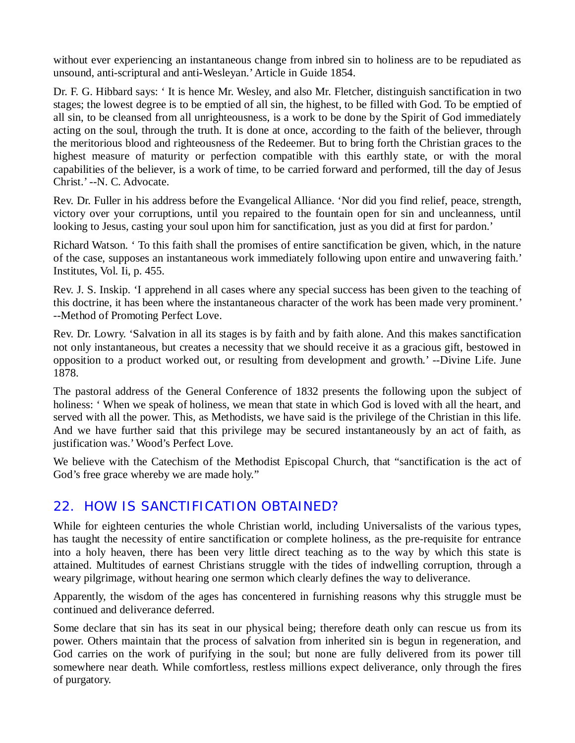without ever experiencing an instantaneous change from inbred sin to holiness are to be repudiated as unsound, anti-scriptural and anti-Wesleyan.'Article in Guide 1854.

Dr. F. G. Hibbard says: ' It is hence Mr. Wesley, and also Mr. Fletcher, distinguish sanctification in two stages; the lowest degree is to be emptied of all sin, the highest, to be filled with God. To be emptied of all sin, to be cleansed from all unrighteousness, is a work to be done by the Spirit of God immediately acting on the soul, through the truth. It is done at once, according to the faith of the believer, through the meritorious blood and righteousness of the Redeemer. But to bring forth the Christian graces to the highest measure of maturity or perfection compatible with this earthly state, or with the moral capabilities of the believer, is a work of time, to be carried forward and performed, till the day of Jesus Christ.' --N. C. Advocate.

Rev. Dr. Fuller in his address before the Evangelical Alliance. 'Nor did you find relief, peace, strength, victory over your corruptions, until you repaired to the fountain open for sin and uncleanness, until looking to Jesus, casting your soul upon him for sanctification, just as you did at first for pardon.'

Richard Watson. ' To this faith shall the promises of entire sanctification be given, which, in the nature of the case, supposes an instantaneous work immediately following upon entire and unwavering faith.' Institutes, Vol. Ii, p. 455.

Rev. J. S. Inskip. 'I apprehend in all cases where any special success has been given to the teaching of this doctrine, it has been where the instantaneous character of the work has been made very prominent.' --Method of Promoting Perfect Love.

Rev. Dr. Lowry. 'Salvation in all its stages is by faith and by faith alone. And this makes sanctification not only instantaneous, but creates a necessity that we should receive it as a gracious gift, bestowed in opposition to a product worked out, or resulting from development and growth.' --Divine Life. June 1878.

The pastoral address of the General Conference of 1832 presents the following upon the subject of holiness: 'When we speak of holiness, we mean that state in which God is loved with all the heart, and served with all the power. This, as Methodists, we have said is the privilege of the Christian in this life. And we have further said that this privilege may be secured instantaneously by an act of faith, as justification was.'Wood's Perfect Love.

We believe with the Catechism of the Methodist Episcopal Church, that "sanctification is the act of God's free grace whereby we are made holy."

### *22. HOW IS SANCTIFICATION OBTAINED?*

While for eighteen centuries the whole Christian world, including Universalists of the various types, has taught the necessity of entire sanctification or complete holiness, as the pre-requisite for entrance into a holy heaven, there has been very little direct teaching as to the way by which this state is attained. Multitudes of earnest Christians struggle with the tides of indwelling corruption, through a weary pilgrimage, without hearing one sermon which clearly defines the way to deliverance.

Apparently, the wisdom of the ages has concentered in furnishing reasons why this struggle must be continued and deliverance deferred.

Some declare that sin has its seat in our physical being; therefore death only can rescue us from its power. Others maintain that the process of salvation from inherited sin is begun in regeneration, and God carries on the work of purifying in the soul; but none are fully delivered from its power till somewhere near death. While comfortless, restless millions expect deliverance, only through the fires of purgatory.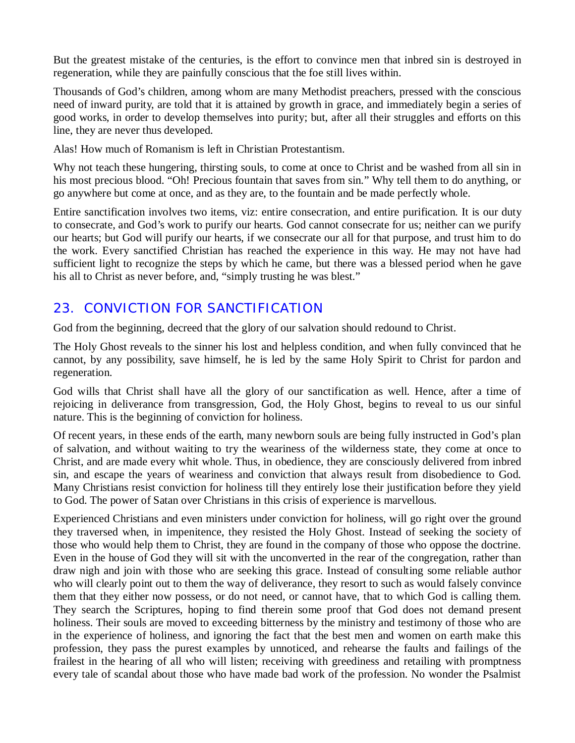But the greatest mistake of the centuries, is the effort to convince men that inbred sin is destroyed in regeneration, while they are painfully conscious that the foe still lives within.

Thousands of God's children, among whom are many Methodist preachers, pressed with the conscious need of inward purity, are told that it is attained by growth in grace, and immediately begin a series of good works, in order to develop themselves into purity; but, after all their struggles and efforts on this line, they are never thus developed.

Alas! How much of Romanism is left in Christian Protestantism.

Why not teach these hungering, thirsting souls, to come at once to Christ and be washed from all sin in his most precious blood. "Oh! Precious fountain that saves from sin." Why tell them to do anything, or go anywhere but come at once, and as they are, to the fountain and be made perfectly whole.

Entire sanctification involves two items, viz: entire consecration, and entire purification. It is our duty to consecrate, and God's work to purify our hearts. God cannot consecrate for us; neither can we purify our hearts; but God will purify our hearts, if we consecrate our all for that purpose, and trust him to do the work. Every sanctified Christian has reached the experience in this way. He may not have had sufficient light to recognize the steps by which he came, but there was a blessed period when he gave his all to Christ as never before, and, "simply trusting he was blest."

# *23. CONVICTION FOR SANCTIFICATION*

God from the beginning, decreed that the glory of our salvation should redound to Christ.

The Holy Ghost reveals to the sinner his lost and helpless condition, and when fully convinced that he cannot, by any possibility, save himself, he is led by the same Holy Spirit to Christ for pardon and regeneration.

God wills that Christ shall have all the glory of our sanctification as well. Hence, after a time of rejoicing in deliverance from transgression, God, the Holy Ghost, begins to reveal to us our sinful nature. This is the beginning of conviction for holiness.

Of recent years, in these ends of the earth, many newborn souls are being fully instructed in God's plan of salvation, and without waiting to try the weariness of the wilderness state, they come at once to Christ, and are made every whit whole. Thus, in obedience, they are consciously delivered from inbred sin, and escape the years of weariness and conviction that always result from disobedience to God. Many Christians resist conviction for holiness till they entirely lose their justification before they yield to God. The power of Satan over Christians in this crisis of experience is marvellous.

Experienced Christians and even ministers under conviction for holiness, will go right over the ground they traversed when, in impenitence, they resisted the Holy Ghost. Instead of seeking the society of those who would help them to Christ, they are found in the company of those who oppose the doctrine. Even in the house of God they will sit with the unconverted in the rear of the congregation, rather than draw nigh and join with those who are seeking this grace. Instead of consulting some reliable author who will clearly point out to them the way of deliverance, they resort to such as would falsely convince them that they either now possess, or do not need, or cannot have, that to which God is calling them. They search the Scriptures, hoping to find therein some proof that God does not demand present holiness. Their souls are moved to exceeding bitterness by the ministry and testimony of those who are in the experience of holiness, and ignoring the fact that the best men and women on earth make this profession, they pass the purest examples by unnoticed, and rehearse the faults and failings of the frailest in the hearing of all who will listen; receiving with greediness and retailing with promptness every tale of scandal about those who have made bad work of the profession. No wonder the Psalmist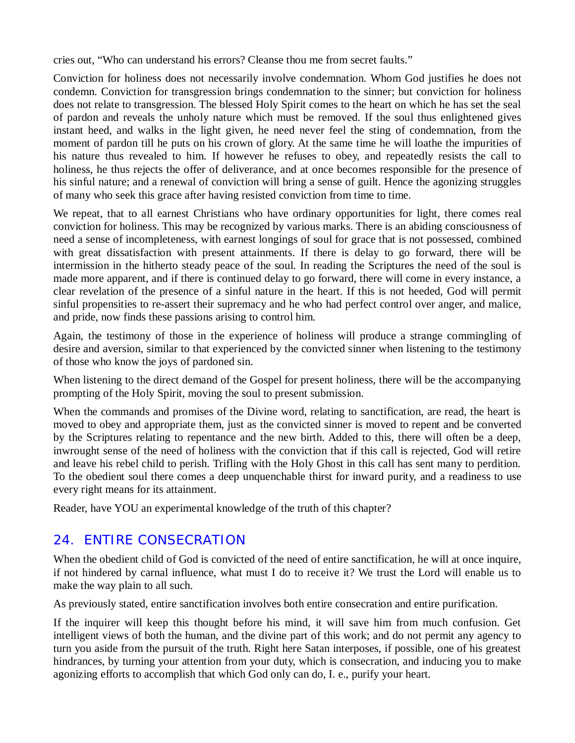cries out, "Who can understand his errors? Cleanse thou me from secret faults."

Conviction for holiness does not necessarily involve condemnation. Whom God justifies he does not condemn. Conviction for transgression brings condemnation to the sinner; but conviction for holiness does not relate to transgression. The blessed Holy Spirit comes to the heart on which he has set the seal of pardon and reveals the unholy nature which must be removed. If the soul thus enlightened gives instant heed, and walks in the light given, he need never feel the sting of condemnation, from the moment of pardon till he puts on his crown of glory. At the same time he will loathe the impurities of his nature thus revealed to him. If however he refuses to obey, and repeatedly resists the call to holiness, he thus rejects the offer of deliverance, and at once becomes responsible for the presence of his sinful nature; and a renewal of conviction will bring a sense of guilt. Hence the agonizing struggles of many who seek this grace after having resisted conviction from time to time.

We repeat, that to all earnest Christians who have ordinary opportunities for light, there comes real conviction for holiness. This may be recognized by various marks. There is an abiding consciousness of need a sense of incompleteness, with earnest longings of soul for grace that is not possessed, combined with great dissatisfaction with present attainments. If there is delay to go forward, there will be intermission in the hitherto steady peace of the soul. In reading the Scriptures the need of the soul is made more apparent, and if there is continued delay to go forward, there will come in every instance, a clear revelation of the presence of a sinful nature in the heart. If this is not heeded, God will permit sinful propensities to re-assert their supremacy and he who had perfect control over anger, and malice, and pride, now finds these passions arising to control him.

Again, the testimony of those in the experience of holiness will produce a strange commingling of desire and aversion, similar to that experienced by the convicted sinner when listening to the testimony of those who know the joys of pardoned sin.

When listening to the direct demand of the Gospel for present holiness, there will be the accompanying prompting of the Holy Spirit, moving the soul to present submission.

When the commands and promises of the Divine word, relating to sanctification, are read, the heart is moved to obey and appropriate them, just as the convicted sinner is moved to repent and be converted by the Scriptures relating to repentance and the new birth. Added to this, there will often be a deep, inwrought sense of the need of holiness with the conviction that if this call is rejected, God will retire and leave his rebel child to perish. Trifling with the Holy Ghost in this call has sent many to perdition. To the obedient soul there comes a deep unquenchable thirst for inward purity, and a readiness to use every right means for its attainment.

Reader, have YOU an experimental knowledge of the truth of this chapter?

# *24. ENTIRE CONSECRATION*

When the obedient child of God is convicted of the need of entire sanctification, he will at once inquire, if not hindered by carnal influence, what must I do to receive it? We trust the Lord will enable us to make the way plain to all such.

As previously stated, entire sanctification involves both entire consecration and entire purification.

If the inquirer will keep this thought before his mind, it will save him from much confusion. Get intelligent views of both the human, and the divine part of this work; and do not permit any agency to turn you aside from the pursuit of the truth. Right here Satan interposes, if possible, one of his greatest hindrances, by turning your attention from your duty, which is consecration, and inducing you to make agonizing efforts to accomplish that which God only can do, I. e., purify your heart.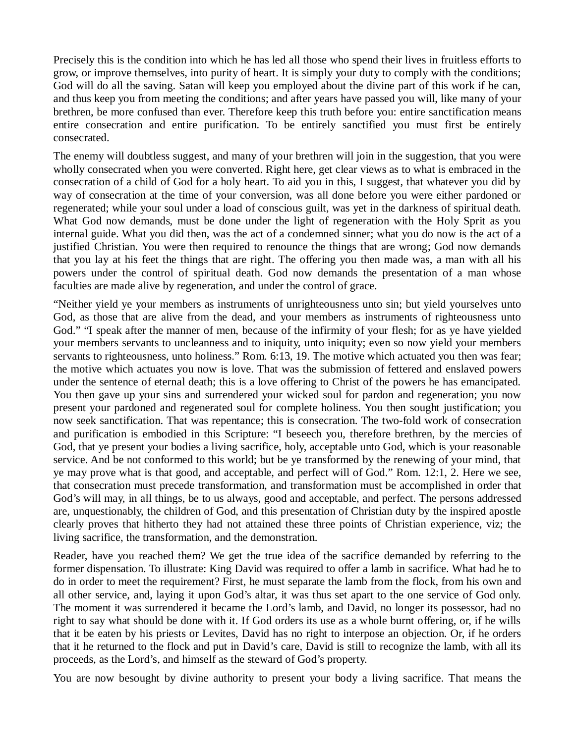Precisely this is the condition into which he has led all those who spend their lives in fruitless efforts to grow, or improve themselves, into purity of heart. It is simply your duty to comply with the conditions; God will do all the saving. Satan will keep you employed about the divine part of this work if he can, and thus keep you from meeting the conditions; and after years have passed you will, like many of your brethren, be more confused than ever. Therefore keep this truth before you: entire sanctification means entire consecration and entire purification. To be entirely sanctified you must first be entirely consecrated.

The enemy will doubtless suggest, and many of your brethren will join in the suggestion, that you were wholly consecrated when you were converted. Right here, get clear views as to what is embraced in the consecration of a child of God for a holy heart. To aid you in this, I suggest, that whatever you did by way of consecration at the time of your conversion, was all done before you were either pardoned or regenerated; while your soul under a load of conscious guilt, was yet in the darkness of spiritual death. What God now demands, must be done under the light of regeneration with the Holy Sprit as you internal guide. What you did then, was the act of a condemned sinner; what you do now is the act of a justified Christian. You were then required to renounce the things that are wrong; God now demands that you lay at his feet the things that are right. The offering you then made was, a man with all his powers under the control of spiritual death. God now demands the presentation of a man whose faculties are made alive by regeneration, and under the control of grace.

"Neither yield ye your members as instruments of unrighteousness unto sin; but yield yourselves unto God, as those that are alive from the dead, and your members as instruments of righteousness unto God." "I speak after the manner of men, because of the infirmity of your flesh; for as ye have yielded your members servants to uncleanness and to iniquity, unto iniquity; even so now yield your members servants to righteousness, unto holiness." Rom. 6:13, 19. The motive which actuated you then was fear; the motive which actuates you now is love. That was the submission of fettered and enslaved powers under the sentence of eternal death; this is a love offering to Christ of the powers he has emancipated. You then gave up your sins and surrendered your wicked soul for pardon and regeneration; you now present your pardoned and regenerated soul for complete holiness. You then sought justification; you now seek sanctification. That was repentance; this is consecration. The two-fold work of consecration and purification is embodied in this Scripture: "I beseech you, therefore brethren, by the mercies of God, that ye present your bodies a living sacrifice, holy, acceptable unto God, which is your reasonable service. And be not conformed to this world; but be ye transformed by the renewing of your mind, that ye may prove what is that good, and acceptable, and perfect will of God." Rom. 12:1, 2. Here we see, that consecration must precede transformation, and transformation must be accomplished in order that God's will may, in all things, be to us always, good and acceptable, and perfect. The persons addressed are, unquestionably, the children of God, and this presentation of Christian duty by the inspired apostle clearly proves that hitherto they had not attained these three points of Christian experience, viz; the living sacrifice, the transformation, and the demonstration.

Reader, have you reached them? We get the true idea of the sacrifice demanded by referring to the former dispensation. To illustrate: King David was required to offer a lamb in sacrifice. What had he to do in order to meet the requirement? First, he must separate the lamb from the flock, from his own and all other service, and, laying it upon God's altar, it was thus set apart to the one service of God only. The moment it was surrendered it became the Lord's lamb, and David, no longer its possessor, had no right to say what should be done with it. If God orders its use as a whole burnt offering, or, if he wills that it be eaten by his priests or Levites, David has no right to interpose an objection. Or, if he orders that it he returned to the flock and put in David's care, David is still to recognize the lamb, with all its proceeds, as the Lord's, and himself as the steward of God's property.

You are now besought by divine authority to present your body a living sacrifice. That means the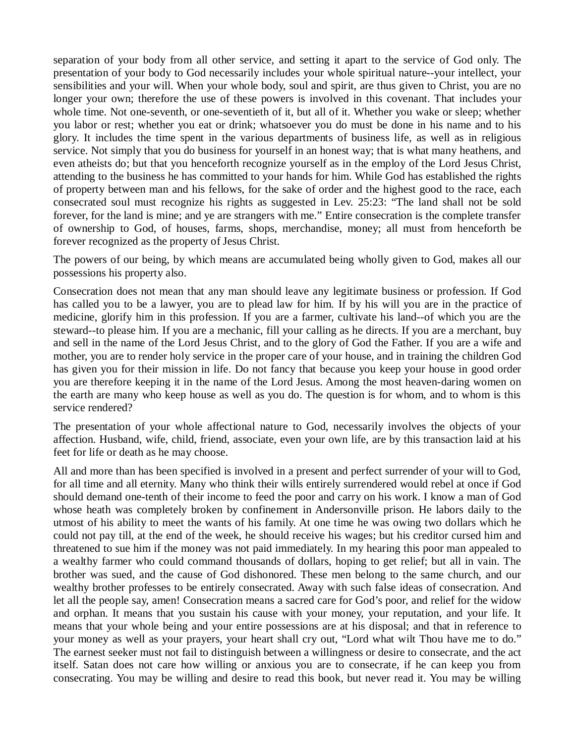separation of your body from all other service, and setting it apart to the service of God only. The presentation of your body to God necessarily includes your whole spiritual nature--your intellect, your sensibilities and your will. When your whole body, soul and spirit, are thus given to Christ, you are no longer your own; therefore the use of these powers is involved in this covenant. That includes your whole time. Not one-seventh, or one-seventieth of it, but all of it. Whether you wake or sleep; whether you labor or rest; whether you eat or drink; whatsoever you do must be done in his name and to his glory. It includes the time spent in the various departments of business life, as well as in religious service. Not simply that you do business for yourself in an honest way; that is what many heathens, and even atheists do; but that you henceforth recognize yourself as in the employ of the Lord Jesus Christ, attending to the business he has committed to your hands for him. While God has established the rights of property between man and his fellows, for the sake of order and the highest good to the race, each consecrated soul must recognize his rights as suggested in Lev. 25:23: "The land shall not be sold forever, for the land is mine; and ye are strangers with me." Entire consecration is the complete transfer of ownership to God, of houses, farms, shops, merchandise, money; all must from henceforth be forever recognized as the property of Jesus Christ.

The powers of our being, by which means are accumulated being wholly given to God, makes all our possessions his property also.

Consecration does not mean that any man should leave any legitimate business or profession. If God has called you to be a lawyer, you are to plead law for him. If by his will you are in the practice of medicine, glorify him in this profession. If you are a farmer, cultivate his land--of which you are the steward--to please him. If you are a mechanic, fill your calling as he directs. If you are a merchant, buy and sell in the name of the Lord Jesus Christ, and to the glory of God the Father. If you are a wife and mother, you are to render holy service in the proper care of your house, and in training the children God has given you for their mission in life. Do not fancy that because you keep your house in good order you are therefore keeping it in the name of the Lord Jesus. Among the most heaven-daring women on the earth are many who keep house as well as you do. The question is for whom, and to whom is this service rendered?

The presentation of your whole affectional nature to God, necessarily involves the objects of your affection. Husband, wife, child, friend, associate, even your own life, are by this transaction laid at his feet for life or death as he may choose.

All and more than has been specified is involved in a present and perfect surrender of your will to God, for all time and all eternity. Many who think their wills entirely surrendered would rebel at once if God should demand one-tenth of their income to feed the poor and carry on his work. I know a man of God whose heath was completely broken by confinement in Andersonville prison. He labors daily to the utmost of his ability to meet the wants of his family. At one time he was owing two dollars which he could not pay till, at the end of the week, he should receive his wages; but his creditor cursed him and threatened to sue him if the money was not paid immediately. In my hearing this poor man appealed to a wealthy farmer who could command thousands of dollars, hoping to get relief; but all in vain. The brother was sued, and the cause of God dishonored. These men belong to the same church, and our wealthy brother professes to be entirely consecrated. Away with such false ideas of consecration. And let all the people say, amen! Consecration means a sacred care for God's poor, and relief for the widow and orphan. It means that you sustain his cause with your money, your reputation, and your life. It means that your whole being and your entire possessions are at his disposal; and that in reference to your money as well as your prayers, your heart shall cry out, "Lord what wilt Thou have me to do." The earnest seeker must not fail to distinguish between a willingness or desire to consecrate, and the act itself. Satan does not care how willing or anxious you are to consecrate, if he can keep you from consecrating. You may be willing and desire to read this book, but never read it. You may be willing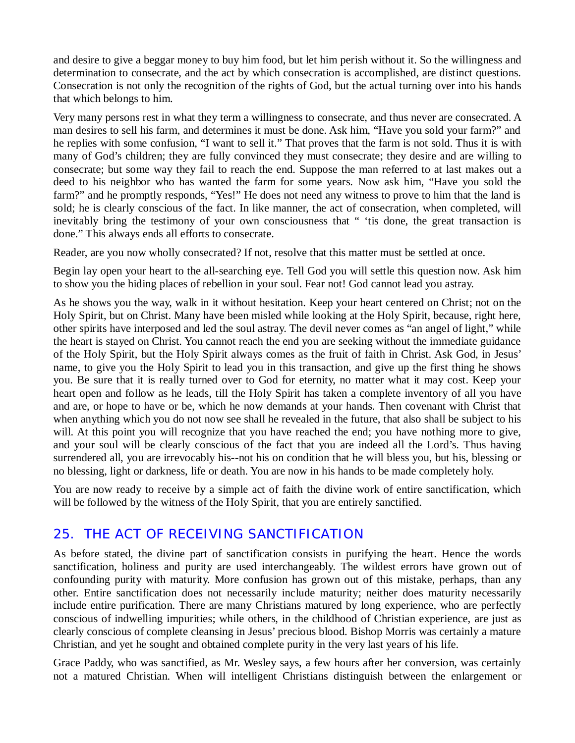and desire to give a beggar money to buy him food, but let him perish without it. So the willingness and determination to consecrate, and the act by which consecration is accomplished, are distinct questions. Consecration is not only the recognition of the rights of God, but the actual turning over into his hands that which belongs to him.

Very many persons rest in what they term a willingness to consecrate, and thus never are consecrated. A man desires to sell his farm, and determines it must be done. Ask him, "Have you sold your farm?" and he replies with some confusion, "I want to sell it." That proves that the farm is not sold. Thus it is with many of God's children; they are fully convinced they must consecrate; they desire and are willing to consecrate; but some way they fail to reach the end. Suppose the man referred to at last makes out a deed to his neighbor who has wanted the farm for some years. Now ask him, "Have you sold the farm?" and he promptly responds, "Yes!" He does not need any witness to prove to him that the land is sold; he is clearly conscious of the fact. In like manner, the act of consecration, when completed, will inevitably bring the testimony of your own consciousness that " 'tis done, the great transaction is done." This always ends all efforts to consecrate.

Reader, are you now wholly consecrated? If not, resolve that this matter must be settled at once.

Begin lay open your heart to the all-searching eye. Tell God you will settle this question now. Ask him to show you the hiding places of rebellion in your soul. Fear not! God cannot lead you astray.

As he shows you the way, walk in it without hesitation. Keep your heart centered on Christ; not on the Holy Spirit, but on Christ. Many have been misled while looking at the Holy Spirit, because, right here, other spirits have interposed and led the soul astray. The devil never comes as "an angel of light," while the heart is stayed on Christ. You cannot reach the end you are seeking without the immediate guidance of the Holy Spirit, but the Holy Spirit always comes as the fruit of faith in Christ. Ask God, in Jesus' name, to give you the Holy Spirit to lead you in this transaction, and give up the first thing he shows you. Be sure that it is really turned over to God for eternity, no matter what it may cost. Keep your heart open and follow as he leads, till the Holy Spirit has taken a complete inventory of all you have and are, or hope to have or be, which he now demands at your hands. Then covenant with Christ that when anything which you do not now see shall he revealed in the future, that also shall be subject to his will. At this point you will recognize that you have reached the end; you have nothing more to give, and your soul will be clearly conscious of the fact that you are indeed all the Lord's. Thus having surrendered all, you are irrevocably his--not his on condition that he will bless you, but his, blessing or no blessing, light or darkness, life or death. You are now in his hands to be made completely holy.

You are now ready to receive by a simple act of faith the divine work of entire sanctification, which will be followed by the witness of the Holy Spirit, that you are entirely sanctified.

### *25. THE ACT OF RECEIVING SANCTIFICATION*

As before stated, the divine part of sanctification consists in purifying the heart. Hence the words sanctification, holiness and purity are used interchangeably. The wildest errors have grown out of confounding purity with maturity. More confusion has grown out of this mistake, perhaps, than any other. Entire sanctification does not necessarily include maturity; neither does maturity necessarily include entire purification. There are many Christians matured by long experience, who are perfectly conscious of indwelling impurities; while others, in the childhood of Christian experience, are just as clearly conscious of complete cleansing in Jesus' precious blood. Bishop Morris was certainly a mature Christian, and yet he sought and obtained complete purity in the very last years of his life.

Grace Paddy, who was sanctified, as Mr. Wesley says, a few hours after her conversion, was certainly not a matured Christian. When will intelligent Christians distinguish between the enlargement or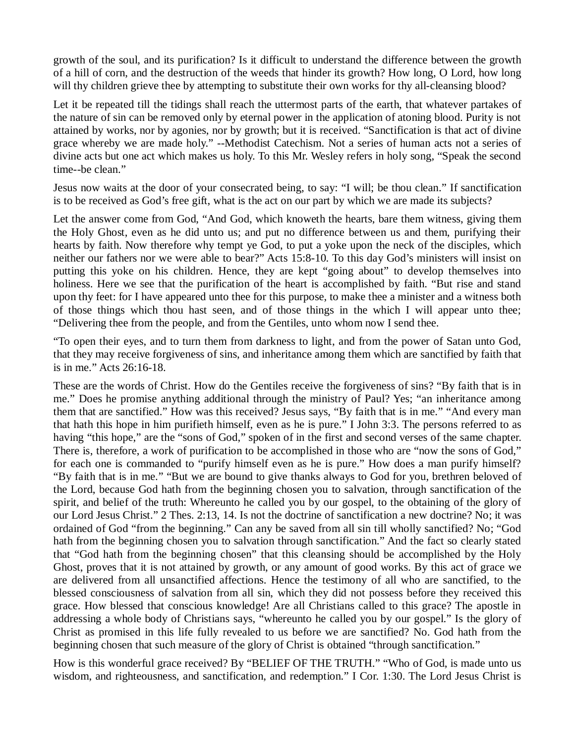growth of the soul, and its purification? Is it difficult to understand the difference between the growth of a hill of corn, and the destruction of the weeds that hinder its growth? How long, O Lord, how long will thy children grieve thee by attempting to substitute their own works for thy all-cleansing blood?

Let it be repeated till the tidings shall reach the uttermost parts of the earth, that whatever partakes of the nature of sin can be removed only by eternal power in the application of atoning blood. Purity is not attained by works, nor by agonies, nor by growth; but it is received. "Sanctification is that act of divine grace whereby we are made holy." --Methodist Catechism. Not a series of human acts not a series of divine acts but one act which makes us holy. To this Mr. Wesley refers in holy song, "Speak the second time--be clean."

Jesus now waits at the door of your consecrated being, to say: "I will; be thou clean." If sanctification is to be received as God's free gift, what is the act on our part by which we are made its subjects?

Let the answer come from God, "And God, which knoweth the hearts, bare them witness, giving them the Holy Ghost, even as he did unto us; and put no difference between us and them, purifying their hearts by faith. Now therefore why tempt ye God, to put a yoke upon the neck of the disciples, which neither our fathers nor we were able to bear?" Acts 15:8-10. To this day God's ministers will insist on putting this yoke on his children. Hence, they are kept "going about" to develop themselves into holiness. Here we see that the purification of the heart is accomplished by faith. "But rise and stand upon thy feet: for I have appeared unto thee for this purpose, to make thee a minister and a witness both of those things which thou hast seen, and of those things in the which I will appear unto thee; "Delivering thee from the people, and from the Gentiles, unto whom now I send thee.

"To open their eyes, and to turn them from darkness to light, and from the power of Satan unto God, that they may receive forgiveness of sins, and inheritance among them which are sanctified by faith that is in me." Acts 26:16-18.

These are the words of Christ. How do the Gentiles receive the forgiveness of sins? "By faith that is in me." Does he promise anything additional through the ministry of Paul? Yes; "an inheritance among them that are sanctified." How was this received? Jesus says, "By faith that is in me." "And every man that hath this hope in him purifieth himself, even as he is pure." I John 3:3. The persons referred to as having "this hope," are the "sons of God," spoken of in the first and second verses of the same chapter. There is, therefore, a work of purification to be accomplished in those who are "now the sons of God," for each one is commanded to "purify himself even as he is pure." How does a man purify himself? "By faith that is in me." "But we are bound to give thanks always to God for you, brethren beloved of the Lord, because God hath from the beginning chosen you to salvation, through sanctification of the spirit, and belief of the truth: Whereunto he called you by our gospel, to the obtaining of the glory of our Lord Jesus Christ." 2 Thes. 2:13, 14. Is not the doctrine of sanctification a new doctrine? No; it was ordained of God "from the beginning." Can any be saved from all sin till wholly sanctified? No; "God hath from the beginning chosen you to salvation through sanctification." And the fact so clearly stated that "God hath from the beginning chosen" that this cleansing should be accomplished by the Holy Ghost, proves that it is not attained by growth, or any amount of good works. By this act of grace we are delivered from all unsanctified affections. Hence the testimony of all who are sanctified, to the blessed consciousness of salvation from all sin, which they did not possess before they received this grace. How blessed that conscious knowledge! Are all Christians called to this grace? The apostle in addressing a whole body of Christians says, "whereunto he called you by our gospel." Is the glory of Christ as promised in this life fully revealed to us before we are sanctified? No. God hath from the beginning chosen that such measure of the glory of Christ is obtained "through sanctification."

How is this wonderful grace received? By "BELIEF OF THE TRUTH." "Who of God, is made unto us wisdom, and righteousness, and sanctification, and redemption." I Cor. 1:30. The Lord Jesus Christ is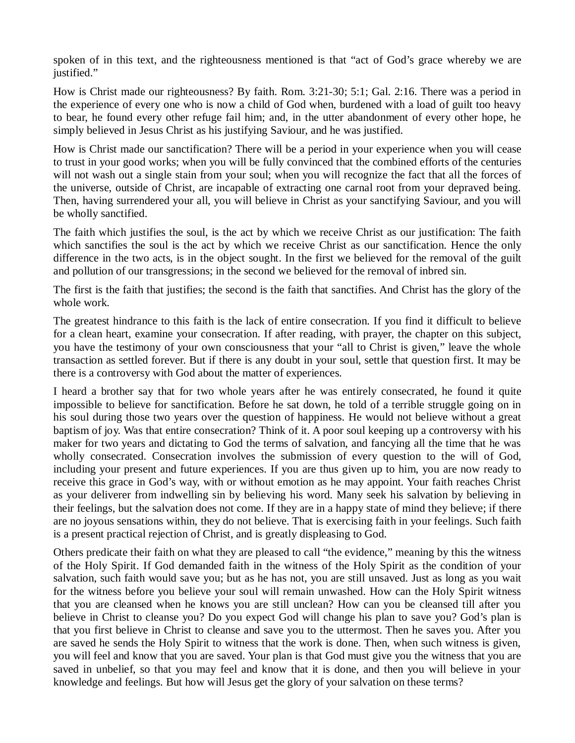spoken of in this text, and the righteousness mentioned is that "act of God's grace whereby we are justified."

How is Christ made our righteousness? By faith. Rom. 3:21-30; 5:1; Gal. 2:16. There was a period in the experience of every one who is now a child of God when, burdened with a load of guilt too heavy to bear, he found every other refuge fail him; and, in the utter abandonment of every other hope, he simply believed in Jesus Christ as his justifying Saviour, and he was justified.

How is Christ made our sanctification? There will be a period in your experience when you will cease to trust in your good works; when you will be fully convinced that the combined efforts of the centuries will not wash out a single stain from your soul; when you will recognize the fact that all the forces of the universe, outside of Christ, are incapable of extracting one carnal root from your depraved being. Then, having surrendered your all, you will believe in Christ as your sanctifying Saviour, and you will be wholly sanctified.

The faith which justifies the soul, is the act by which we receive Christ as our justification: The faith which sanctifies the soul is the act by which we receive Christ as our sanctification. Hence the only difference in the two acts, is in the object sought. In the first we believed for the removal of the guilt and pollution of our transgressions; in the second we believed for the removal of inbred sin.

The first is the faith that justifies; the second is the faith that sanctifies. And Christ has the glory of the whole work.

The greatest hindrance to this faith is the lack of entire consecration. If you find it difficult to believe for a clean heart, examine your consecration. If after reading, with prayer, the chapter on this subject, you have the testimony of your own consciousness that your "all to Christ is given," leave the whole transaction as settled forever. But if there is any doubt in your soul, settle that question first. It may be there is a controversy with God about the matter of experiences.

I heard a brother say that for two whole years after he was entirely consecrated, he found it quite impossible to believe for sanctification. Before he sat down, he told of a terrible struggle going on in his soul during those two years over the question of happiness. He would not believe without a great baptism of joy. Was that entire consecration? Think of it. A poor soul keeping up a controversy with his maker for two years and dictating to God the terms of salvation, and fancying all the time that he was wholly consecrated. Consecration involves the submission of every question to the will of God, including your present and future experiences. If you are thus given up to him, you are now ready to receive this grace in God's way, with or without emotion as he may appoint. Your faith reaches Christ as your deliverer from indwelling sin by believing his word. Many seek his salvation by believing in their feelings, but the salvation does not come. If they are in a happy state of mind they believe; if there are no joyous sensations within, they do not believe. That is exercising faith in your feelings. Such faith is a present practical rejection of Christ, and is greatly displeasing to God.

Others predicate their faith on what they are pleased to call "the evidence," meaning by this the witness of the Holy Spirit. If God demanded faith in the witness of the Holy Spirit as the condition of your salvation, such faith would save you; but as he has not, you are still unsaved. Just as long as you wait for the witness before you believe your soul will remain unwashed. How can the Holy Spirit witness that you are cleansed when he knows you are still unclean? How can you be cleansed till after you believe in Christ to cleanse you? Do you expect God will change his plan to save you? God's plan is that you first believe in Christ to cleanse and save you to the uttermost. Then he saves you. After you are saved he sends the Holy Spirit to witness that the work is done. Then, when such witness is given, you will feel and know that you are saved. Your plan is that God must give you the witness that you are saved in unbelief, so that you may feel and know that it is done, and then you will believe in your knowledge and feelings. But how will Jesus get the glory of your salvation on these terms?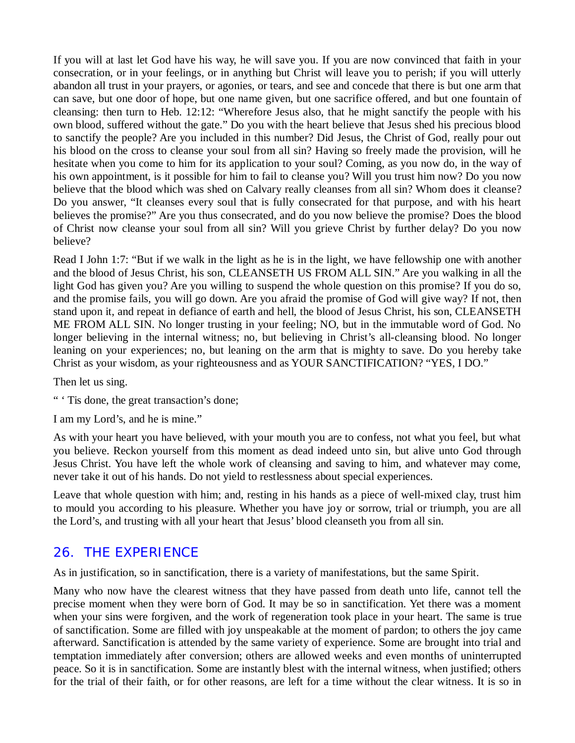If you will at last let God have his way, he will save you. If you are now convinced that faith in your consecration, or in your feelings, or in anything but Christ will leave you to perish; if you will utterly abandon all trust in your prayers, or agonies, or tears, and see and concede that there is but one arm that can save, but one door of hope, but one name given, but one sacrifice offered, and but one fountain of cleansing: then turn to Heb. 12:12: "Wherefore Jesus also, that he might sanctify the people with his own blood, suffered without the gate." Do you with the heart believe that Jesus shed his precious blood to sanctify the people? Are you included in this number? Did Jesus, the Christ of God, really pour out his blood on the cross to cleanse your soul from all sin? Having so freely made the provision, will he hesitate when you come to him for its application to your soul? Coming, as you now do, in the way of his own appointment, is it possible for him to fail to cleanse you? Will you trust him now? Do you now believe that the blood which was shed on Calvary really cleanses from all sin? Whom does it cleanse? Do you answer, "It cleanses every soul that is fully consecrated for that purpose, and with his heart believes the promise?" Are you thus consecrated, and do you now believe the promise? Does the blood of Christ now cleanse your soul from all sin? Will you grieve Christ by further delay? Do you now believe?

Read I John 1:7: "But if we walk in the light as he is in the light, we have fellowship one with another and the blood of Jesus Christ, his son, CLEANSETH US FROM ALL SIN." Are you walking in all the light God has given you? Are you willing to suspend the whole question on this promise? If you do so, and the promise fails, you will go down. Are you afraid the promise of God will give way? If not, then stand upon it, and repeat in defiance of earth and hell, the blood of Jesus Christ, his son, CLEANSETH ME FROM ALL SIN. No longer trusting in your feeling; NO, but in the immutable word of God. No longer believing in the internal witness; no, but believing in Christ's all-cleansing blood. No longer leaning on your experiences; no, but leaning on the arm that is mighty to save. Do you hereby take Christ as your wisdom, as your righteousness and as YOUR SANCTIFICATION? "YES, I DO."

Then let us sing.

" ' Tis done, the great transaction's done;

I am my Lord's, and he is mine."

As with your heart you have believed, with your mouth you are to confess, not what you feel, but what you believe. Reckon yourself from this moment as dead indeed unto sin, but alive unto God through Jesus Christ. You have left the whole work of cleansing and saving to him, and whatever may come, never take it out of his hands. Do not yield to restlessness about special experiences.

Leave that whole question with him; and, resting in his hands as a piece of well-mixed clay, trust him to mould you according to his pleasure. Whether you have joy or sorrow, trial or triumph, you are all the Lord's, and trusting with all your heart that Jesus' blood cleanseth you from all sin.

#### *26. THE EXPERIENCE*

As in justification, so in sanctification, there is a variety of manifestations, but the same Spirit.

Many who now have the clearest witness that they have passed from death unto life, cannot tell the precise moment when they were born of God. It may be so in sanctification. Yet there was a moment when your sins were forgiven, and the work of regeneration took place in your heart. The same is true of sanctification. Some are filled with joy unspeakable at the moment of pardon; to others the joy came afterward. Sanctification is attended by the same variety of experience. Some are brought into trial and temptation immediately after conversion; others are allowed weeks and even months of uninterrupted peace. So it is in sanctification. Some are instantly blest with the internal witness, when justified; others for the trial of their faith, or for other reasons, are left for a time without the clear witness. It is so in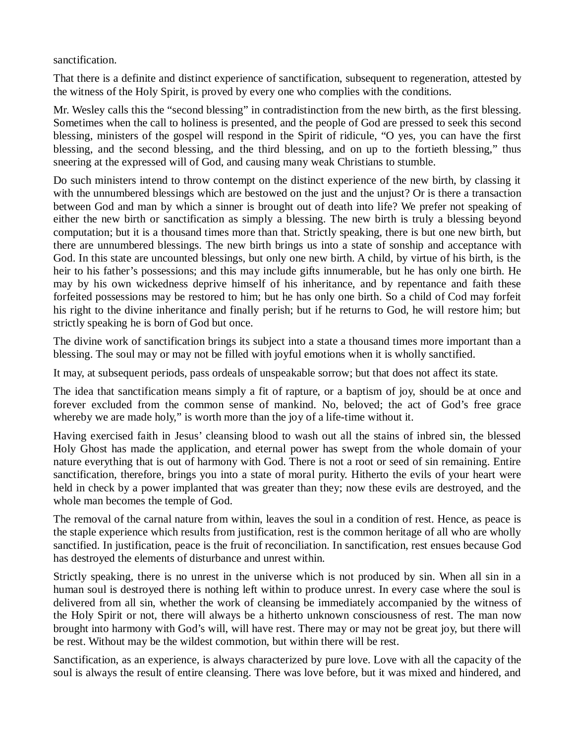sanctification.

That there is a definite and distinct experience of sanctification, subsequent to regeneration, attested by the witness of the Holy Spirit, is proved by every one who complies with the conditions.

Mr. Wesley calls this the "second blessing" in contradistinction from the new birth, as the first blessing. Sometimes when the call to holiness is presented, and the people of God are pressed to seek this second blessing, ministers of the gospel will respond in the Spirit of ridicule, "O yes, you can have the first blessing, and the second blessing, and the third blessing, and on up to the fortieth blessing," thus sneering at the expressed will of God, and causing many weak Christians to stumble.

Do such ministers intend to throw contempt on the distinct experience of the new birth, by classing it with the unnumbered blessings which are bestowed on the just and the unjust? Or is there a transaction between God and man by which a sinner is brought out of death into life? We prefer not speaking of either the new birth or sanctification as simply a blessing. The new birth is truly a blessing beyond computation; but it is a thousand times more than that. Strictly speaking, there is but one new birth, but there are unnumbered blessings. The new birth brings us into a state of sonship and acceptance with God. In this state are uncounted blessings, but only one new birth. A child, by virtue of his birth, is the heir to his father's possessions; and this may include gifts innumerable, but he has only one birth. He may by his own wickedness deprive himself of his inheritance, and by repentance and faith these forfeited possessions may be restored to him; but he has only one birth. So a child of Cod may forfeit his right to the divine inheritance and finally perish; but if he returns to God, he will restore him; but strictly speaking he is born of God but once.

The divine work of sanctification brings its subject into a state a thousand times more important than a blessing. The soul may or may not be filled with joyful emotions when it is wholly sanctified.

It may, at subsequent periods, pass ordeals of unspeakable sorrow; but that does not affect its state.

The idea that sanctification means simply a fit of rapture, or a baptism of joy, should be at once and forever excluded from the common sense of mankind. No, beloved; the act of God's free grace whereby we are made holy," is worth more than the joy of a life-time without it.

Having exercised faith in Jesus' cleansing blood to wash out all the stains of inbred sin, the blessed Holy Ghost has made the application, and eternal power has swept from the whole domain of your nature everything that is out of harmony with God. There is not a root or seed of sin remaining. Entire sanctification, therefore, brings you into a state of moral purity. Hitherto the evils of your heart were held in check by a power implanted that was greater than they; now these evils are destroyed, and the whole man becomes the temple of God.

The removal of the carnal nature from within, leaves the soul in a condition of rest. Hence, as peace is the staple experience which results from justification, rest is the common heritage of all who are wholly sanctified. In justification, peace is the fruit of reconciliation. In sanctification, rest ensues because God has destroyed the elements of disturbance and unrest within.

Strictly speaking, there is no unrest in the universe which is not produced by sin. When all sin in a human soul is destroyed there is nothing left within to produce unrest. In every case where the soul is delivered from all sin, whether the work of cleansing be immediately accompanied by the witness of the Holy Spirit or not, there will always be a hitherto unknown consciousness of rest. The man now brought into harmony with God's will, will have rest. There may or may not be great joy, but there will be rest. Without may be the wildest commotion, but within there will be rest.

Sanctification, as an experience, is always characterized by pure love. Love with all the capacity of the soul is always the result of entire cleansing. There was love before, but it was mixed and hindered, and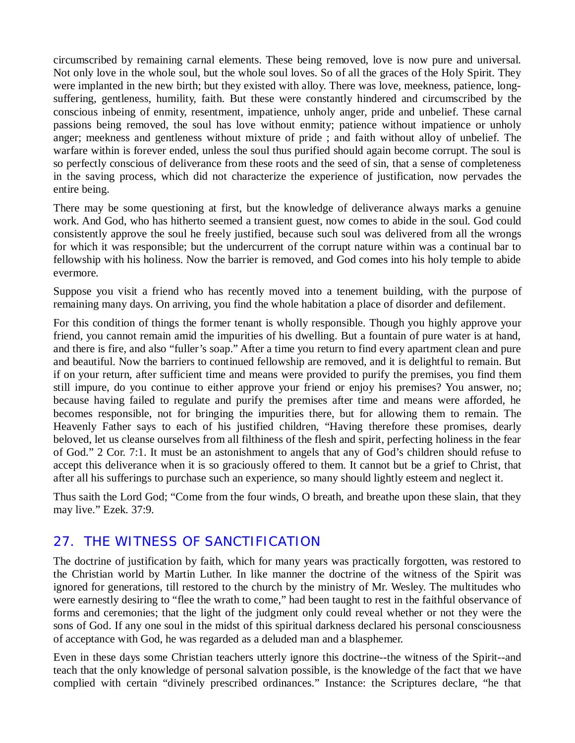circumscribed by remaining carnal elements. These being removed, love is now pure and universal. Not only love in the whole soul, but the whole soul loves. So of all the graces of the Holy Spirit. They were implanted in the new birth; but they existed with alloy. There was love, meekness, patience, longsuffering, gentleness, humility, faith. But these were constantly hindered and circumscribed by the conscious inbeing of enmity, resentment, impatience, unholy anger, pride and unbelief. These carnal passions being removed, the soul has love without enmity; patience without impatience or unholy anger; meekness and gentleness without mixture of pride ; and faith without alloy of unbelief. The warfare within is forever ended, unless the soul thus purified should again become corrupt. The soul is so perfectly conscious of deliverance from these roots and the seed of sin, that a sense of completeness in the saving process, which did not characterize the experience of justification, now pervades the entire being.

There may be some questioning at first, but the knowledge of deliverance always marks a genuine work. And God, who has hitherto seemed a transient guest, now comes to abide in the soul. God could consistently approve the soul he freely justified, because such soul was delivered from all the wrongs for which it was responsible; but the undercurrent of the corrupt nature within was a continual bar to fellowship with his holiness. Now the barrier is removed, and God comes into his holy temple to abide evermore.

Suppose you visit a friend who has recently moved into a tenement building, with the purpose of remaining many days. On arriving, you find the whole habitation a place of disorder and defilement.

For this condition of things the former tenant is wholly responsible. Though you highly approve your friend, you cannot remain amid the impurities of his dwelling. But a fountain of pure water is at hand, and there is fire, and also "fuller's soap." After a time you return to find every apartment clean and pure and beautiful. Now the barriers to continued fellowship are removed, and it is delightful to remain. But if on your return, after sufficient time and means were provided to purify the premises, you find them still impure, do you continue to either approve your friend or enjoy his premises? You answer, no; because having failed to regulate and purify the premises after time and means were afforded, he becomes responsible, not for bringing the impurities there, but for allowing them to remain. The Heavenly Father says to each of his justified children, "Having therefore these promises, dearly beloved, let us cleanse ourselves from all filthiness of the flesh and spirit, perfecting holiness in the fear of God." 2 Cor. 7:1. It must be an astonishment to angels that any of God's children should refuse to accept this deliverance when it is so graciously offered to them. It cannot but be a grief to Christ, that after all his sufferings to purchase such an experience, so many should lightly esteem and neglect it.

Thus saith the Lord God; "Come from the four winds, O breath, and breathe upon these slain, that they may live." Ezek. 37:9.

#### *27. THE WITNESS OF SANCTIFICATION*

The doctrine of justification by faith, which for many years was practically forgotten, was restored to the Christian world by Martin Luther. In like manner the doctrine of the witness of the Spirit was ignored for generations, till restored to the church by the ministry of Mr. Wesley. The multitudes who were earnestly desiring to "flee the wrath to come," had been taught to rest in the faithful observance of forms and ceremonies; that the light of the judgment only could reveal whether or not they were the sons of God. If any one soul in the midst of this spiritual darkness declared his personal consciousness of acceptance with God, he was regarded as a deluded man and a blasphemer.

Even in these days some Christian teachers utterly ignore this doctrine--the witness of the Spirit--and teach that the only knowledge of personal salvation possible, is the knowledge of the fact that we have complied with certain "divinely prescribed ordinances." Instance: the Scriptures declare, "he that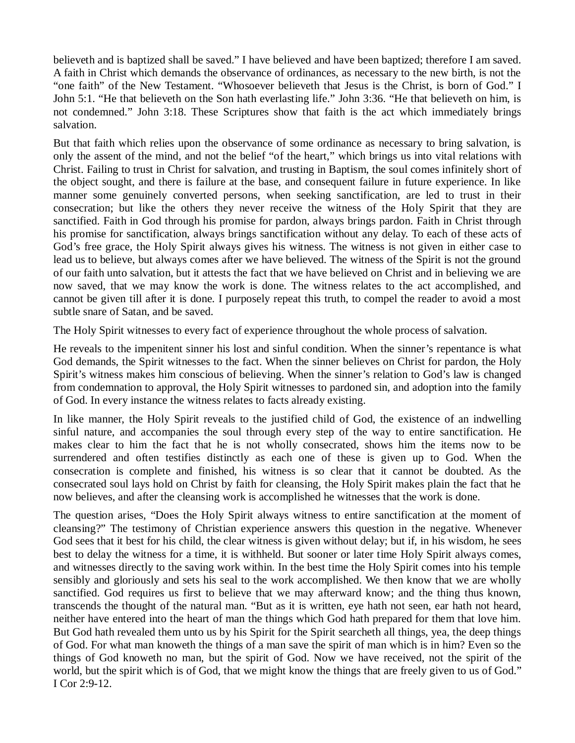believeth and is baptized shall be saved." I have believed and have been baptized; therefore I am saved. A faith in Christ which demands the observance of ordinances, as necessary to the new birth, is not the "one faith" of the New Testament. "Whosoever believeth that Jesus is the Christ, is born of God." I John 5:1. "He that believeth on the Son hath everlasting life." John 3:36. "He that believeth on him, is not condemned." John 3:18. These Scriptures show that faith is the act which immediately brings salvation.

But that faith which relies upon the observance of some ordinance as necessary to bring salvation, is only the assent of the mind, and not the belief "of the heart," which brings us into vital relations with Christ. Failing to trust in Christ for salvation, and trusting in Baptism, the soul comes infinitely short of the object sought, and there is failure at the base, and consequent failure in future experience. In like manner some genuinely converted persons, when seeking sanctification, are led to trust in their consecration; but like the others they never receive the witness of the Holy Spirit that they are sanctified. Faith in God through his promise for pardon, always brings pardon. Faith in Christ through his promise for sanctification, always brings sanctification without any delay. To each of these acts of God's free grace, the Holy Spirit always gives his witness. The witness is not given in either case to lead us to believe, but always comes after we have believed. The witness of the Spirit is not the ground of our faith unto salvation, but it attests the fact that we have believed on Christ and in believing we are now saved, that we may know the work is done. The witness relates to the act accomplished, and cannot be given till after it is done. I purposely repeat this truth, to compel the reader to avoid a most subtle snare of Satan, and be saved.

The Holy Spirit witnesses to every fact of experience throughout the whole process of salvation.

He reveals to the impenitent sinner his lost and sinful condition. When the sinner's repentance is what God demands, the Spirit witnesses to the fact. When the sinner believes on Christ for pardon, the Holy Spirit's witness makes him conscious of believing. When the sinner's relation to God's law is changed from condemnation to approval, the Holy Spirit witnesses to pardoned sin, and adoption into the family of God. In every instance the witness relates to facts already existing.

In like manner, the Holy Spirit reveals to the justified child of God, the existence of an indwelling sinful nature, and accompanies the soul through every step of the way to entire sanctification. He makes clear to him the fact that he is not wholly consecrated, shows him the items now to be surrendered and often testifies distinctly as each one of these is given up to God. When the consecration is complete and finished, his witness is so clear that it cannot be doubted. As the consecrated soul lays hold on Christ by faith for cleansing, the Holy Spirit makes plain the fact that he now believes, and after the cleansing work is accomplished he witnesses that the work is done.

The question arises, "Does the Holy Spirit always witness to entire sanctification at the moment of cleansing?" The testimony of Christian experience answers this question in the negative. Whenever God sees that it best for his child, the clear witness is given without delay; but if, in his wisdom, he sees best to delay the witness for a time, it is withheld. But sooner or later time Holy Spirit always comes, and witnesses directly to the saving work within. In the best time the Holy Spirit comes into his temple sensibly and gloriously and sets his seal to the work accomplished. We then know that we are wholly sanctified. God requires us first to believe that we may afterward know; and the thing thus known, transcends the thought of the natural man. "But as it is written, eye hath not seen, ear hath not heard, neither have entered into the heart of man the things which God hath prepared for them that love him. But God hath revealed them unto us by his Spirit for the Spirit searcheth all things, yea, the deep things of God. For what man knoweth the things of a man save the spirit of man which is in him? Even so the things of God knoweth no man, but the spirit of God. Now we have received, not the spirit of the world, but the spirit which is of God, that we might know the things that are freely given to us of God." I Cor 2:9-12.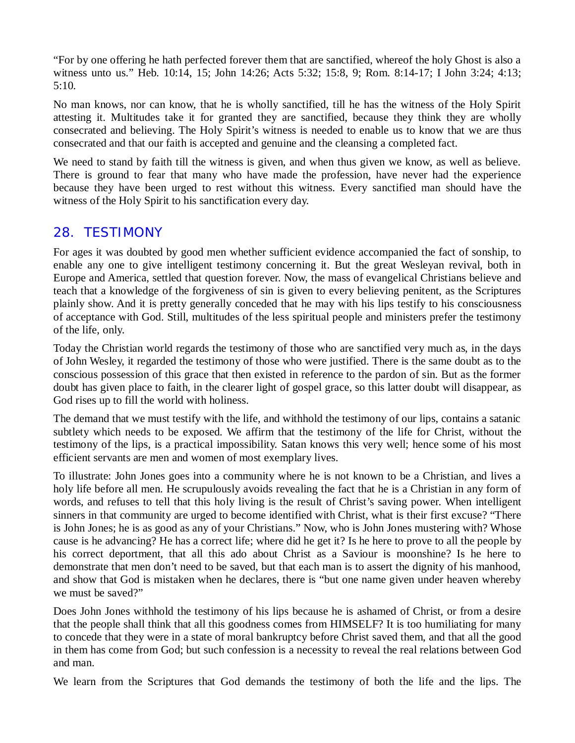"For by one offering he hath perfected forever them that are sanctified, whereof the holy Ghost is also a witness unto us." Heb. 10:14, 15; John 14:26; Acts 5:32; 15:8, 9; Rom. 8:14-17; I John 3:24; 4:13; 5:10.

No man knows, nor can know, that he is wholly sanctified, till he has the witness of the Holy Spirit attesting it. Multitudes take it for granted they are sanctified, because they think they are wholly consecrated and believing. The Holy Spirit's witness is needed to enable us to know that we are thus consecrated and that our faith is accepted and genuine and the cleansing a completed fact.

We need to stand by faith till the witness is given, and when thus given we know, as well as believe. There is ground to fear that many who have made the profession, have never had the experience because they have been urged to rest without this witness. Every sanctified man should have the witness of the Holy Spirit to his sanctification every day.

#### *28. TESTIMONY*

For ages it was doubted by good men whether sufficient evidence accompanied the fact of sonship, to enable any one to give intelligent testimony concerning it. But the great Wesleyan revival, both in Europe and America, settled that question forever. Now, the mass of evangelical Christians believe and teach that a knowledge of the forgiveness of sin is given to every believing penitent, as the Scriptures plainly show. And it is pretty generally conceded that he may with his lips testify to his consciousness of acceptance with God. Still, multitudes of the less spiritual people and ministers prefer the testimony of the life, only.

Today the Christian world regards the testimony of those who are sanctified very much as, in the days of John Wesley, it regarded the testimony of those who were justified. There is the same doubt as to the conscious possession of this grace that then existed in reference to the pardon of sin. But as the former doubt has given place to faith, in the clearer light of gospel grace, so this latter doubt will disappear, as God rises up to fill the world with holiness.

The demand that we must testify with the life, and withhold the testimony of our lips, contains a satanic subtlety which needs to be exposed. We affirm that the testimony of the life for Christ, without the testimony of the lips, is a practical impossibility. Satan knows this very well; hence some of his most efficient servants are men and women of most exemplary lives.

To illustrate: John Jones goes into a community where he is not known to be a Christian, and lives a holy life before all men. He scrupulously avoids revealing the fact that he is a Christian in any form of words, and refuses to tell that this holy living is the result of Christ's saving power. When intelligent sinners in that community are urged to become identified with Christ, what is their first excuse? "There is John Jones; he is as good as any of your Christians." Now, who is John Jones mustering with? Whose cause is he advancing? He has a correct life; where did he get it? Is he here to prove to all the people by his correct deportment, that all this ado about Christ as a Saviour is moonshine? Is he here to demonstrate that men don't need to be saved, but that each man is to assert the dignity of his manhood, and show that God is mistaken when he declares, there is "but one name given under heaven whereby we must be saved?"

Does John Jones withhold the testimony of his lips because he is ashamed of Christ, or from a desire that the people shall think that all this goodness comes from HIMSELF? It is too humiliating for many to concede that they were in a state of moral bankruptcy before Christ saved them, and that all the good in them has come from God; but such confession is a necessity to reveal the real relations between God and man.

We learn from the Scriptures that God demands the testimony of both the life and the lips. The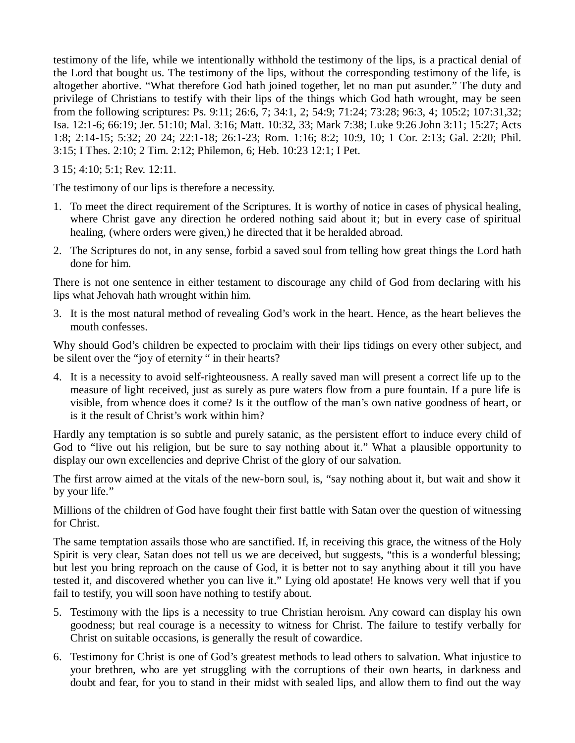testimony of the life, while we intentionally withhold the testimony of the lips, is a practical denial of the Lord that bought us. The testimony of the lips, without the corresponding testimony of the life, is altogether abortive. "What therefore God hath joined together, let no man put asunder." The duty and privilege of Christians to testify with their lips of the things which God hath wrought, may be seen from the following scriptures: Ps. 9:11; 26:6, 7; 34:1, 2; 54:9; 71:24; 73:28; 96:3, 4; 105:2; 107:31,32; Isa. 12:1-6; 66:19; Jer. 51:10; Mal. 3:16; Matt. 10:32, 33; Mark 7:38; Luke 9:26 John 3:11; 15:27; Acts 1:8; 2:14-15; 5:32; 20 24; 22:1-18; 26:1-23; Rom. 1:16; 8:2; 10:9, 10; 1 Cor. 2:13; Gal. 2:20; Phil. 3:15; I Thes. 2:10; 2 Tim. 2:12; Philemon, 6; Heb. 10:23 12:1; I Pet.

3 15; 4:10; 5:1; Rev. 12:11.

The testimony of our lips is therefore a necessity.

- 1. To meet the direct requirement of the Scriptures. It is worthy of notice in cases of physical healing, where Christ gave any direction he ordered nothing said about it; but in every case of spiritual healing, (where orders were given,) he directed that it be heralded abroad.
- 2. The Scriptures do not, in any sense, forbid a saved soul from telling how great things the Lord hath done for him.

There is not one sentence in either testament to discourage any child of God from declaring with his lips what Jehovah hath wrought within him.

3. It is the most natural method of revealing God's work in the heart. Hence, as the heart believes the mouth confesses.

Why should God's children be expected to proclaim with their lips tidings on every other subject, and be silent over the "joy of eternity " in their hearts?

4. It is a necessity to avoid self-righteousness. A really saved man will present a correct life up to the measure of light received, just as surely as pure waters flow from a pure fountain. If a pure life is visible, from whence does it come? Is it the outflow of the man's own native goodness of heart, or is it the result of Christ's work within him?

Hardly any temptation is so subtle and purely satanic, as the persistent effort to induce every child of God to "live out his religion, but be sure to say nothing about it." What a plausible opportunity to display our own excellencies and deprive Christ of the glory of our salvation.

The first arrow aimed at the vitals of the new-born soul, is, "say nothing about it, but wait and show it by your life."

Millions of the children of God have fought their first battle with Satan over the question of witnessing for Christ.

The same temptation assails those who are sanctified. If, in receiving this grace, the witness of the Holy Spirit is very clear, Satan does not tell us we are deceived, but suggests, "this is a wonderful blessing; but lest you bring reproach on the cause of God, it is better not to say anything about it till you have tested it, and discovered whether you can live it." Lying old apostate! He knows very well that if you fail to testify, you will soon have nothing to testify about.

- 5. Testimony with the lips is a necessity to true Christian heroism. Any coward can display his own goodness; but real courage is a necessity to witness for Christ. The failure to testify verbally for Christ on suitable occasions, is generally the result of cowardice.
- 6. Testimony for Christ is one of God's greatest methods to lead others to salvation. What injustice to your brethren, who are yet struggling with the corruptions of their own hearts, in darkness and doubt and fear, for you to stand in their midst with sealed lips, and allow them to find out the way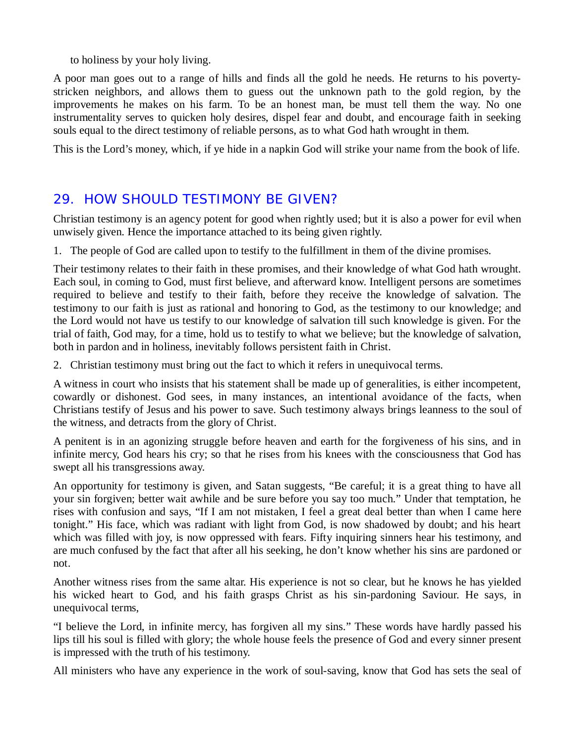to holiness by your holy living.

A poor man goes out to a range of hills and finds all the gold he needs. He returns to his povertystricken neighbors, and allows them to guess out the unknown path to the gold region, by the improvements he makes on his farm. To be an honest man, be must tell them the way. No one instrumentality serves to quicken holy desires, dispel fear and doubt, and encourage faith in seeking souls equal to the direct testimony of reliable persons, as to what God hath wrought in them.

This is the Lord's money, which, if ye hide in a napkin God will strike your name from the book of life.

### *29. HOW SHOULD TESTIMONY BE GIVEN?*

Christian testimony is an agency potent for good when rightly used; but it is also a power for evil when unwisely given. Hence the importance attached to its being given rightly.

1. The people of God are called upon to testify to the fulfillment in them of the divine promises.

Their testimony relates to their faith in these promises, and their knowledge of what God hath wrought. Each soul, in coming to God, must first believe, and afterward know. Intelligent persons are sometimes required to believe and testify to their faith, before they receive the knowledge of salvation. The testimony to our faith is just as rational and honoring to God, as the testimony to our knowledge; and the Lord would not have us testify to our knowledge of salvation till such knowledge is given. For the trial of faith, God may, for a time, hold us to testify to what we believe; but the knowledge of salvation, both in pardon and in holiness, inevitably follows persistent faith in Christ.

2. Christian testimony must bring out the fact to which it refers in unequivocal terms.

A witness in court who insists that his statement shall be made up of generalities, is either incompetent, cowardly or dishonest. God sees, in many instances, an intentional avoidance of the facts, when Christians testify of Jesus and his power to save. Such testimony always brings leanness to the soul of the witness, and detracts from the glory of Christ.

A penitent is in an agonizing struggle before heaven and earth for the forgiveness of his sins, and in infinite mercy, God hears his cry; so that he rises from his knees with the consciousness that God has swept all his transgressions away.

An opportunity for testimony is given, and Satan suggests, "Be careful; it is a great thing to have all your sin forgiven; better wait awhile and be sure before you say too much." Under that temptation, he rises with confusion and says, "If I am not mistaken, I feel a great deal better than when I came here tonight." His face, which was radiant with light from God, is now shadowed by doubt; and his heart which was filled with joy, is now oppressed with fears. Fifty inquiring sinners hear his testimony, and are much confused by the fact that after all his seeking, he don't know whether his sins are pardoned or not.

Another witness rises from the same altar. His experience is not so clear, but he knows he has yielded his wicked heart to God, and his faith grasps Christ as his sin-pardoning Saviour. He says, in unequivocal terms,

"I believe the Lord, in infinite mercy, has forgiven all my sins." These words have hardly passed his lips till his soul is filled with glory; the whole house feels the presence of God and every sinner present is impressed with the truth of his testimony.

All ministers who have any experience in the work of soul-saving, know that God has sets the seal of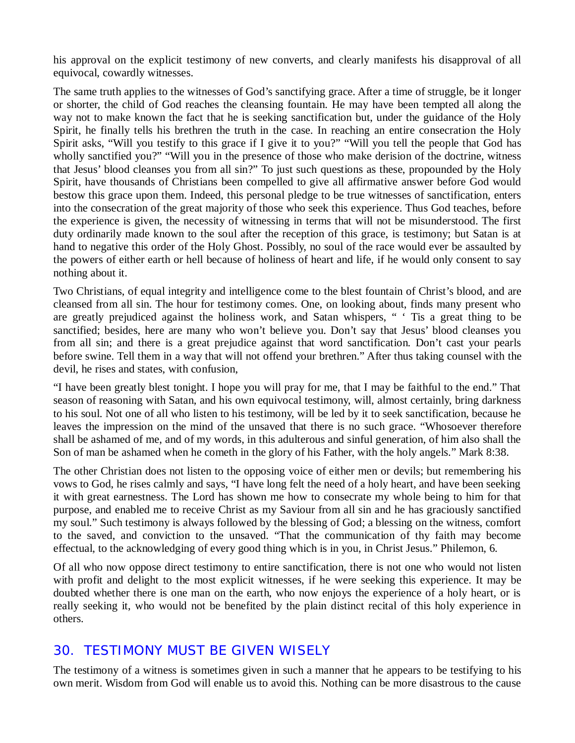his approval on the explicit testimony of new converts, and clearly manifests his disapproval of all equivocal, cowardly witnesses.

The same truth applies to the witnesses of God's sanctifying grace. After a time of struggle, be it longer or shorter, the child of God reaches the cleansing fountain. He may have been tempted all along the way not to make known the fact that he is seeking sanctification but, under the guidance of the Holy Spirit, he finally tells his brethren the truth in the case. In reaching an entire consecration the Holy Spirit asks, "Will you testify to this grace if I give it to you?" "Will you tell the people that God has wholly sanctified you?" "Will you in the presence of those who make derision of the doctrine, witness that Jesus' blood cleanses you from all sin?" To just such questions as these, propounded by the Holy Spirit, have thousands of Christians been compelled to give all affirmative answer before God would bestow this grace upon them. Indeed, this personal pledge to be true witnesses of sanctification, enters into the consecration of the great majority of those who seek this experience. Thus God teaches, before the experience is given, the necessity of witnessing in terms that will not be misunderstood. The first duty ordinarily made known to the soul after the reception of this grace, is testimony; but Satan is at hand to negative this order of the Holy Ghost. Possibly, no soul of the race would ever be assaulted by the powers of either earth or hell because of holiness of heart and life, if he would only consent to say nothing about it.

Two Christians, of equal integrity and intelligence come to the blest fountain of Christ's blood, and are cleansed from all sin. The hour for testimony comes. One, on looking about, finds many present who are greatly prejudiced against the holiness work, and Satan whispers, " ' Tis a great thing to be sanctified; besides, here are many who won't believe you. Don't say that Jesus' blood cleanses you from all sin; and there is a great prejudice against that word sanctification. Don't cast your pearls before swine. Tell them in a way that will not offend your brethren." After thus taking counsel with the devil, he rises and states, with confusion,

"I have been greatly blest tonight. I hope you will pray for me, that I may be faithful to the end." That season of reasoning with Satan, and his own equivocal testimony, will, almost certainly, bring darkness to his soul. Not one of all who listen to his testimony, will be led by it to seek sanctification, because he leaves the impression on the mind of the unsaved that there is no such grace. "Whosoever therefore shall be ashamed of me, and of my words, in this adulterous and sinful generation, of him also shall the Son of man be ashamed when he cometh in the glory of his Father, with the holy angels." Mark 8:38.

The other Christian does not listen to the opposing voice of either men or devils; but remembering his vows to God, he rises calmly and says, "I have long felt the need of a holy heart, and have been seeking it with great earnestness. The Lord has shown me how to consecrate my whole being to him for that purpose, and enabled me to receive Christ as my Saviour from all sin and he has graciously sanctified my soul." Such testimony is always followed by the blessing of God; a blessing on the witness, comfort to the saved, and conviction to the unsaved. "That the communication of thy faith may become effectual, to the acknowledging of every good thing which is in you, in Christ Jesus." Philemon, 6.

Of all who now oppose direct testimony to entire sanctification, there is not one who would not listen with profit and delight to the most explicit witnesses, if he were seeking this experience. It may be doubted whether there is one man on the earth, who now enjoys the experience of a holy heart, or is really seeking it, who would not be benefited by the plain distinct recital of this holy experience in others.

#### *30. TESTIMONY MUST BE GIVEN WISELY*

The testimony of a witness is sometimes given in such a manner that he appears to be testifying to his own merit. Wisdom from God will enable us to avoid this. Nothing can be more disastrous to the cause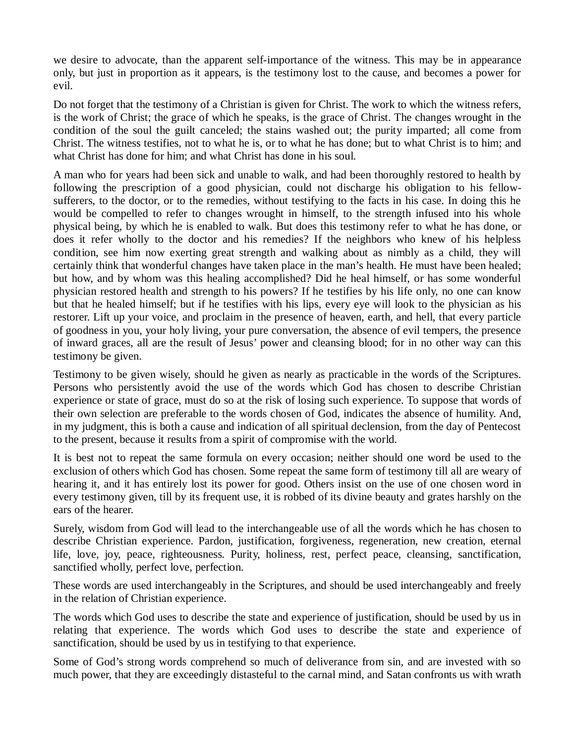we desire to advocate, than the apparent self-importance of the witness. This may be in appearance only, but just in proportion as it appears, is the testimony lost to the cause, and becomes a power for evil.

Do not forget that the testimony of a Christian is given for Christ. The work to which the witness refers, is the work of Christ; the grace of which he speaks, is the grace of Christ. The changes wrought in the condition of the soul the guilt canceled; the stains washed out; the purity imparted; all come from Christ. The witness testifies, not to what he is, or to what he has done; but to what Christ is to him; and what Christ has done for him; and what Christ has done in his soul.

A man who for years had been sick and unable to walk, and had been thoroughly restored to health by following the prescription of a good physician, could not discharge his obligation to his fellowsufferers, to the doctor, or to the remedies, without testifying to the facts in his case. In doing this he would be compelled to refer to changes wrought in himself, to the strength infused into his whole physical being, by which he is enabled to walk. But does this testimony refer to what he has done, or does it refer wholly to the doctor and his remedies? If the neighbors who knew of his helpless condition, see him now exerting great strength and walking about as nimbly as a child, they will certainly think that wonderful changes have taken place in the man's health. He must have been healed; but how, and by whom was this healing accomplished? Did he heal himself, or has some wonderful physician restored health and strength to his powers? If he testifies by his life only, no one can know but that he healed himself; but if he testifies with his lips, every eye will look to the physician as his restorer. Lift up your voice, and proclaim in the presence of heaven, earth, and hell, that every particle of goodness in you, your holy living, your pure conversation, the absence of evil tempers, the presence of inward graces, all are the result of Jesus' power and cleansing blood; for in no other way can this testimony be given.

Testimony to be given wisely, should he given as nearly as practicable in the words of the Scriptures. Persons who persistently avoid the use of the words which God has chosen to describe Christian experience or state of grace, must do so at the risk of losing such experience. To suppose that words of their own selection are preferable to the words chosen of God, indicates the absence of humility. And, in my judgment, this is both a cause and indication of all spiritual declension, from the day of Pentecost to the present, because it results from a spirit of compromise with the world.

It is best not to repeat the same formula on every occasion; neither should one word be used to the exclusion of others which God has chosen. Some repeat the same form of testimony till all are weary of hearing it, and it has entirely lost its power for good. Others insist on the use of one chosen word in every testimony given, till by its frequent use, it is robbed of its divine beauty and grates harshly on the ears of the hearer.

Surely, wisdom from God will lead to the interchangeable use of all the words which he has chosen to describe Christian experience. Pardon, justification, forgiveness, regeneration, new creation, eternal life, love, joy, peace, righteousness. Purity, holiness, rest, perfect peace, cleansing, sanctification, sanctified wholly, perfect love, perfection.

These words are used interchangeably in the Scriptures, and should be used interchangeably and freely in the relation of Christian experience.

The words which God uses to describe the state and experience of justification, should be used by us in relating that experience. The words which God uses to describe the state and experience of sanctification, should be used by us in testifying to that experience.

Some of God's strong words comprehend so much of deliverance from sin, and are invested with so much power, that they are exceedingly distasteful to the carnal mind, and Satan confronts us with wrath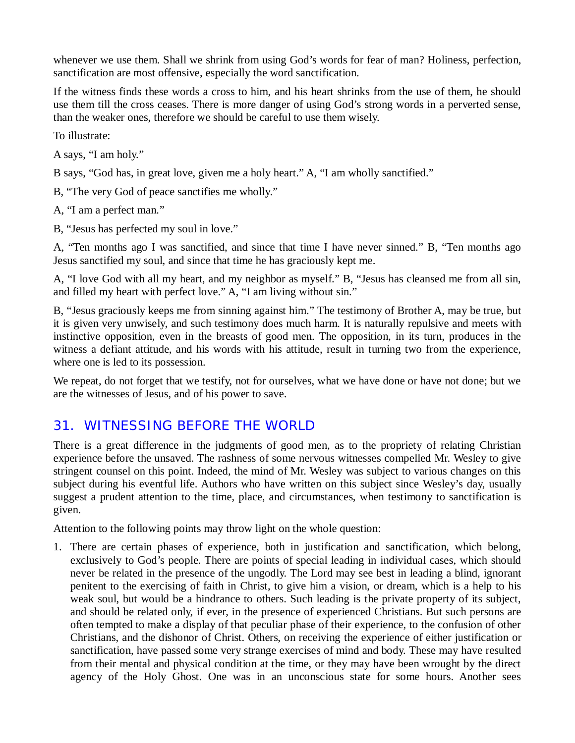whenever we use them. Shall we shrink from using God's words for fear of man? Holiness, perfection, sanctification are most offensive, especially the word sanctification.

If the witness finds these words a cross to him, and his heart shrinks from the use of them, he should use them till the cross ceases. There is more danger of using God's strong words in a perverted sense, than the weaker ones, therefore we should be careful to use them wisely.

To illustrate:

A says, "I am holy."

B says, "God has, in great love, given me a holy heart." A, "I am wholly sanctified."

B, "The very God of peace sanctifies me wholly."

A, "I am a perfect man."

B, "Jesus has perfected my soul in love."

A, "Ten months ago I was sanctified, and since that time I have never sinned." B, "Ten months ago Jesus sanctified my soul, and since that time he has graciously kept me.

A, "I love God with all my heart, and my neighbor as myself." B, "Jesus has cleansed me from all sin, and filled my heart with perfect love." A, "I am living without sin."

B, "Jesus graciously keeps me from sinning against him." The testimony of Brother A, may be true, but it is given very unwisely, and such testimony does much harm. It is naturally repulsive and meets with instinctive opposition, even in the breasts of good men. The opposition, in its turn, produces in the witness a defiant attitude, and his words with his attitude, result in turning two from the experience, where one is led to its possession.

We repeat, do not forget that we testify, not for ourselves, what we have done or have not done; but we are the witnesses of Jesus, and of his power to save.

#### *31. WITNESSING BEFORE THE WORLD*

There is a great difference in the judgments of good men, as to the propriety of relating Christian experience before the unsaved. The rashness of some nervous witnesses compelled Mr. Wesley to give stringent counsel on this point. Indeed, the mind of Mr. Wesley was subject to various changes on this subject during his eventful life. Authors who have written on this subject since Wesley's day, usually suggest a prudent attention to the time, place, and circumstances, when testimony to sanctification is given.

Attention to the following points may throw light on the whole question:

1. There are certain phases of experience, both in justification and sanctification, which belong, exclusively to God's people. There are points of special leading in individual cases, which should never be related in the presence of the ungodly. The Lord may see best in leading a blind, ignorant penitent to the exercising of faith in Christ, to give him a vision, or dream, which is a help to his weak soul, but would be a hindrance to others. Such leading is the private property of its subject, and should be related only, if ever, in the presence of experienced Christians. But such persons are often tempted to make a display of that peculiar phase of their experience, to the confusion of other Christians, and the dishonor of Christ. Others, on receiving the experience of either justification or sanctification, have passed some very strange exercises of mind and body. These may have resulted from their mental and physical condition at the time, or they may have been wrought by the direct agency of the Holy Ghost. One was in an unconscious state for some hours. Another sees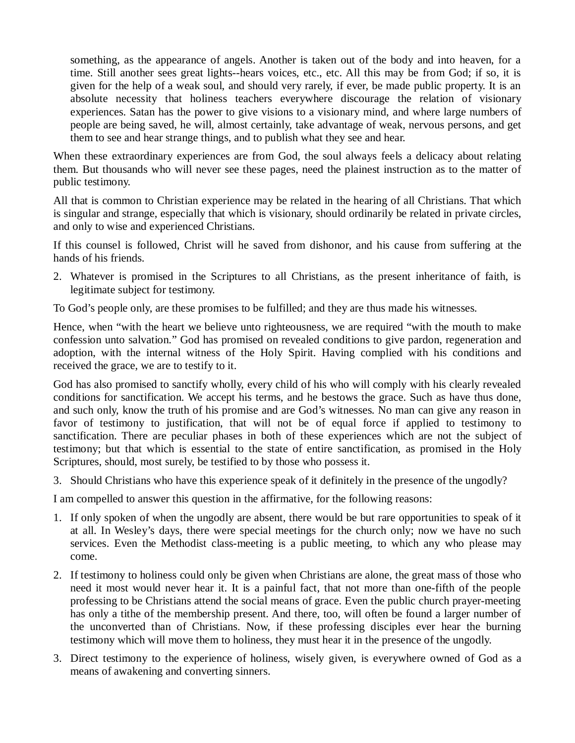something, as the appearance of angels. Another is taken out of the body and into heaven, for a time. Still another sees great lights--hears voices, etc., etc. All this may be from God; if so, it is given for the help of a weak soul, and should very rarely, if ever, be made public property. It is an absolute necessity that holiness teachers everywhere discourage the relation of visionary experiences. Satan has the power to give visions to a visionary mind, and where large numbers of people are being saved, he will, almost certainly, take advantage of weak, nervous persons, and get them to see and hear strange things, and to publish what they see and hear.

When these extraordinary experiences are from God, the soul always feels a delicacy about relating them. But thousands who will never see these pages, need the plainest instruction as to the matter of public testimony.

All that is common to Christian experience may be related in the hearing of all Christians. That which is singular and strange, especially that which is visionary, should ordinarily be related in private circles, and only to wise and experienced Christians.

If this counsel is followed, Christ will he saved from dishonor, and his cause from suffering at the hands of his friends.

2. Whatever is promised in the Scriptures to all Christians, as the present inheritance of faith, is legitimate subject for testimony.

To God's people only, are these promises to be fulfilled; and they are thus made his witnesses.

Hence, when "with the heart we believe unto righteousness, we are required "with the mouth to make confession unto salvation." God has promised on revealed conditions to give pardon, regeneration and adoption, with the internal witness of the Holy Spirit. Having complied with his conditions and received the grace, we are to testify to it.

God has also promised to sanctify wholly, every child of his who will comply with his clearly revealed conditions for sanctification. We accept his terms, and he bestows the grace. Such as have thus done, and such only, know the truth of his promise and are God's witnesses. No man can give any reason in favor of testimony to justification, that will not be of equal force if applied to testimony to sanctification. There are peculiar phases in both of these experiences which are not the subject of testimony; but that which is essential to the state of entire sanctification, as promised in the Holy Scriptures, should, most surely, be testified to by those who possess it.

3. Should Christians who have this experience speak of it definitely in the presence of the ungodly?

I am compelled to answer this question in the affirmative, for the following reasons:

- 1. If only spoken of when the ungodly are absent, there would be but rare opportunities to speak of it at all. In Wesley's days, there were special meetings for the church only; now we have no such services. Even the Methodist class-meeting is a public meeting, to which any who please may come.
- 2. If testimony to holiness could only be given when Christians are alone, the great mass of those who need it most would never hear it. It is a painful fact, that not more than one-fifth of the people professing to be Christians attend the social means of grace. Even the public church prayer-meeting has only a tithe of the membership present. And there, too, will often be found a larger number of the unconverted than of Christians. Now, if these professing disciples ever hear the burning testimony which will move them to holiness, they must hear it in the presence of the ungodly.
- 3. Direct testimony to the experience of holiness, wisely given, is everywhere owned of God as a means of awakening and converting sinners.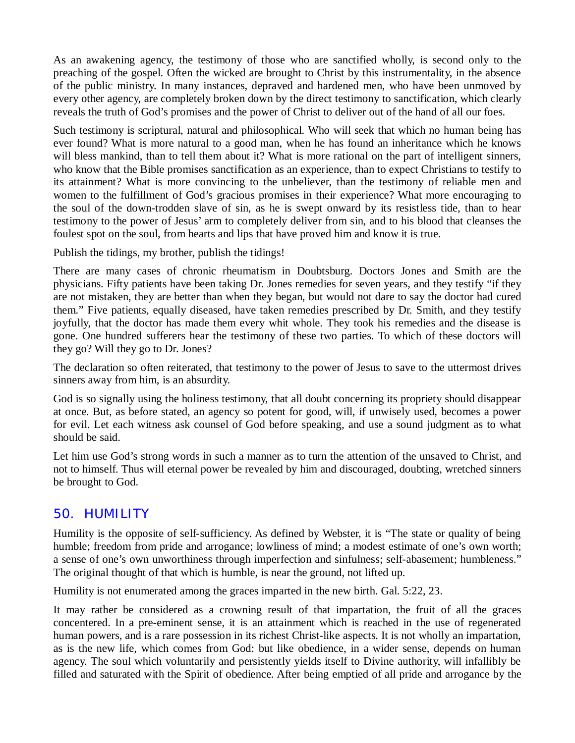As an awakening agency, the testimony of those who are sanctified wholly, is second only to the preaching of the gospel. Often the wicked are brought to Christ by this instrumentality, in the absence of the public ministry. In many instances, depraved and hardened men, who have been unmoved by every other agency, are completely broken down by the direct testimony to sanctification, which clearly reveals the truth of God's promises and the power of Christ to deliver out of the hand of all our foes.

Such testimony is scriptural, natural and philosophical. Who will seek that which no human being has ever found? What is more natural to a good man, when he has found an inheritance which he knows will bless mankind, than to tell them about it? What is more rational on the part of intelligent sinners, who know that the Bible promises sanctification as an experience, than to expect Christians to testify to its attainment? What is more convincing to the unbeliever, than the testimony of reliable men and women to the fulfillment of God's gracious promises in their experience? What more encouraging to the soul of the down-trodden slave of sin, as he is swept onward by its resistless tide, than to hear testimony to the power of Jesus' arm to completely deliver from sin, and to his blood that cleanses the foulest spot on the soul, from hearts and lips that have proved him and know it is true.

Publish the tidings, my brother, publish the tidings!

There are many cases of chronic rheumatism in Doubtsburg. Doctors Jones and Smith are the physicians. Fifty patients have been taking Dr. Jones remedies for seven years, and they testify "if they are not mistaken, they are better than when they began, but would not dare to say the doctor had cured them." Five patients, equally diseased, have taken remedies prescribed by Dr. Smith, and they testify joyfully, that the doctor has made them every whit whole. They took his remedies and the disease is gone. One hundred sufferers hear the testimony of these two parties. To which of these doctors will they go? Will they go to Dr. Jones?

The declaration so often reiterated, that testimony to the power of Jesus to save to the uttermost drives sinners away from him, is an absurdity.

God is so signally using the holiness testimony, that all doubt concerning its propriety should disappear at once. But, as before stated, an agency so potent for good, will, if unwisely used, becomes a power for evil. Let each witness ask counsel of God before speaking, and use a sound judgment as to what should be said.

Let him use God's strong words in such a manner as to turn the attention of the unsaved to Christ, and not to himself. Thus will eternal power be revealed by him and discouraged, doubting, wretched sinners be brought to God.

### *50. HUMILITY*

Humility is the opposite of self-sufficiency. As defined by Webster, it is "The state or quality of being humble; freedom from pride and arrogance; lowliness of mind; a modest estimate of one's own worth; a sense of one's own unworthiness through imperfection and sinfulness; self-abasement; humbleness." The original thought of that which is humble, is near the ground, not lifted up.

Humility is not enumerated among the graces imparted in the new birth. Gal. 5:22, 23.

It may rather be considered as a crowning result of that impartation, the fruit of all the graces concentered. In a pre-eminent sense, it is an attainment which is reached in the use of regenerated human powers, and is a rare possession in its richest Christ-like aspects. It is not wholly an impartation, as is the new life, which comes from God: but like obedience, in a wider sense, depends on human agency. The soul which voluntarily and persistently yields itself to Divine authority, will infallibly be filled and saturated with the Spirit of obedience. After being emptied of all pride and arrogance by the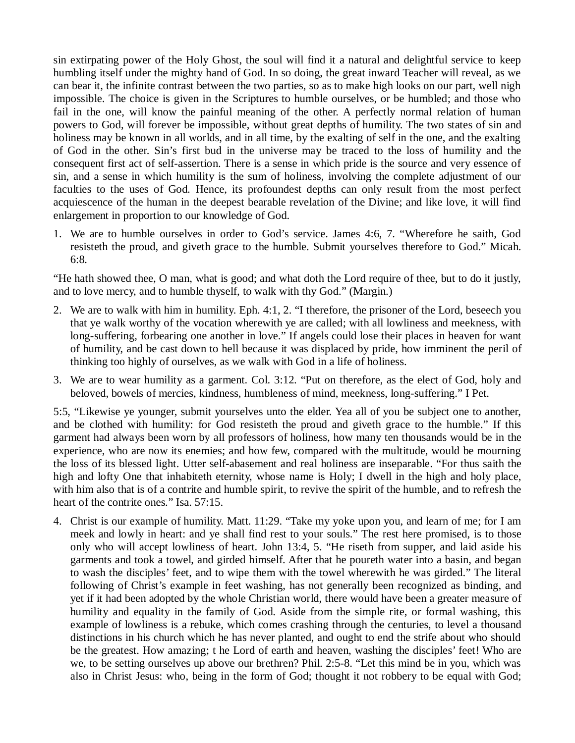sin extirpating power of the Holy Ghost, the soul will find it a natural and delightful service to keep humbling itself under the mighty hand of God. In so doing, the great inward Teacher will reveal, as we can bear it, the infinite contrast between the two parties, so as to make high looks on our part, well nigh impossible. The choice is given in the Scriptures to humble ourselves, or be humbled; and those who fail in the one, will know the painful meaning of the other. A perfectly normal relation of human powers to God, will forever be impossible, without great depths of humility. The two states of sin and holiness may be known in all worlds, and in all time, by the exalting of self in the one, and the exalting of God in the other. Sin's first bud in the universe may be traced to the loss of humility and the consequent first act of self-assertion. There is a sense in which pride is the source and very essence of sin, and a sense in which humility is the sum of holiness, involving the complete adjustment of our faculties to the uses of God. Hence, its profoundest depths can only result from the most perfect acquiescence of the human in the deepest bearable revelation of the Divine; and like love, it will find enlargement in proportion to our knowledge of God.

1. We are to humble ourselves in order to God's service. James 4:6, 7. "Wherefore he saith, God resisteth the proud, and giveth grace to the humble. Submit yourselves therefore to God." Micah. 6:8.

"He hath showed thee, O man, what is good; and what doth the Lord require of thee, but to do it justly, and to love mercy, and to humble thyself, to walk with thy God." (Margin.)

- 2. We are to walk with him in humility. Eph. 4:1, 2. "I therefore, the prisoner of the Lord, beseech you that ye walk worthy of the vocation wherewith ye are called; with all lowliness and meekness, with long-suffering, forbearing one another in love." If angels could lose their places in heaven for want of humility, and be cast down to hell because it was displaced by pride, how imminent the peril of thinking too highly of ourselves, as we walk with God in a life of holiness.
- 3. We are to wear humility as a garment. Col. 3:12. "Put on therefore, as the elect of God, holy and beloved, bowels of mercies, kindness, humbleness of mind, meekness, long-suffering." I Pet.

5:5, "Likewise ye younger, submit yourselves unto the elder. Yea all of you be subject one to another, and be clothed with humility: for God resisteth the proud and giveth grace to the humble." If this garment had always been worn by all professors of holiness, how many ten thousands would be in the experience, who are now its enemies; and how few, compared with the multitude, would be mourning the loss of its blessed light. Utter self-abasement and real holiness are inseparable. "For thus saith the high and lofty One that inhabiteth eternity, whose name is Holy; I dwell in the high and holy place, with him also that is of a contrite and humble spirit, to revive the spirit of the humble, and to refresh the heart of the contrite ones." Isa, 57:15.

4. Christ is our example of humility. Matt. 11:29. "Take my yoke upon you, and learn of me; for I am meek and lowly in heart: and ye shall find rest to your souls." The rest here promised, is to those only who will accept lowliness of heart. John 13:4, 5. "He riseth from supper, and laid aside his garments and took a towel, and girded himself. After that he poureth water into a basin, and began to wash the disciples' feet, and to wipe them with the towel wherewith he was girded." The literal following of Christ's example in feet washing, has not generally been recognized as binding, and yet if it had been adopted by the whole Christian world, there would have been a greater measure of humility and equality in the family of God. Aside from the simple rite, or formal washing, this example of lowliness is a rebuke, which comes crashing through the centuries, to level a thousand distinctions in his church which he has never planted, and ought to end the strife about who should be the greatest. How amazing; t he Lord of earth and heaven, washing the disciples' feet! Who are we, to be setting ourselves up above our brethren? Phil. 2:5-8. "Let this mind be in you, which was also in Christ Jesus: who, being in the form of God; thought it not robbery to be equal with God;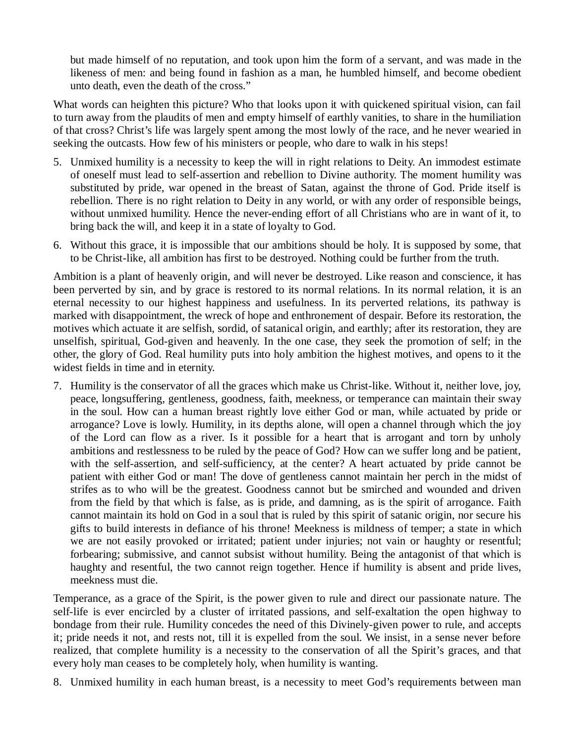but made himself of no reputation, and took upon him the form of a servant, and was made in the likeness of men: and being found in fashion as a man, he humbled himself, and become obedient unto death, even the death of the cross."

What words can heighten this picture? Who that looks upon it with quickened spiritual vision, can fail to turn away from the plaudits of men and empty himself of earthly vanities, to share in the humiliation of that cross? Christ's life was largely spent among the most lowly of the race, and he never wearied in seeking the outcasts. How few of his ministers or people, who dare to walk in his steps!

- 5. Unmixed humility is a necessity to keep the will in right relations to Deity. An immodest estimate of oneself must lead to self-assertion and rebellion to Divine authority. The moment humility was substituted by pride, war opened in the breast of Satan, against the throne of God. Pride itself is rebellion. There is no right relation to Deity in any world, or with any order of responsible beings, without unmixed humility. Hence the never-ending effort of all Christians who are in want of it, to bring back the will, and keep it in a state of loyalty to God.
- 6. Without this grace, it is impossible that our ambitions should be holy. It is supposed by some, that to be Christ-like, all ambition has first to be destroyed. Nothing could be further from the truth.

Ambition is a plant of heavenly origin, and will never be destroyed. Like reason and conscience, it has been perverted by sin, and by grace is restored to its normal relations. In its normal relation, it is an eternal necessity to our highest happiness and usefulness. In its perverted relations, its pathway is marked with disappointment, the wreck of hope and enthronement of despair. Before its restoration, the motives which actuate it are selfish, sordid, of satanical origin, and earthly; after its restoration, they are unselfish, spiritual, God-given and heavenly. In the one case, they seek the promotion of self; in the other, the glory of God. Real humility puts into holy ambition the highest motives, and opens to it the widest fields in time and in eternity.

7. Humility is the conservator of all the graces which make us Christ-like. Without it, neither love, joy, peace, longsuffering, gentleness, goodness, faith, meekness, or temperance can maintain their sway in the soul. How can a human breast rightly love either God or man, while actuated by pride or arrogance? Love is lowly. Humility, in its depths alone, will open a channel through which the joy of the Lord can flow as a river. Is it possible for a heart that is arrogant and torn by unholy ambitions and restlessness to be ruled by the peace of God? How can we suffer long and be patient, with the self-assertion, and self-sufficiency, at the center? A heart actuated by pride cannot be patient with either God or man! The dove of gentleness cannot maintain her perch in the midst of strifes as to who will be the greatest. Goodness cannot but be smirched and wounded and driven from the field by that which is false, as is pride, and damning, as is the spirit of arrogance. Faith cannot maintain its hold on God in a soul that is ruled by this spirit of satanic origin, nor secure his gifts to build interests in defiance of his throne! Meekness is mildness of temper; a state in which we are not easily provoked or irritated; patient under injuries; not vain or haughty or resentful; forbearing; submissive, and cannot subsist without humility. Being the antagonist of that which is haughty and resentful, the two cannot reign together. Hence if humility is absent and pride lives, meekness must die.

Temperance, as a grace of the Spirit, is the power given to rule and direct our passionate nature. The self-life is ever encircled by a cluster of irritated passions, and self-exaltation the open highway to bondage from their rule. Humility concedes the need of this Divinely-given power to rule, and accepts it; pride needs it not, and rests not, till it is expelled from the soul. We insist, in a sense never before realized, that complete humility is a necessity to the conservation of all the Spirit's graces, and that every holy man ceases to be completely holy, when humility is wanting.

8. Unmixed humility in each human breast, is a necessity to meet God's requirements between man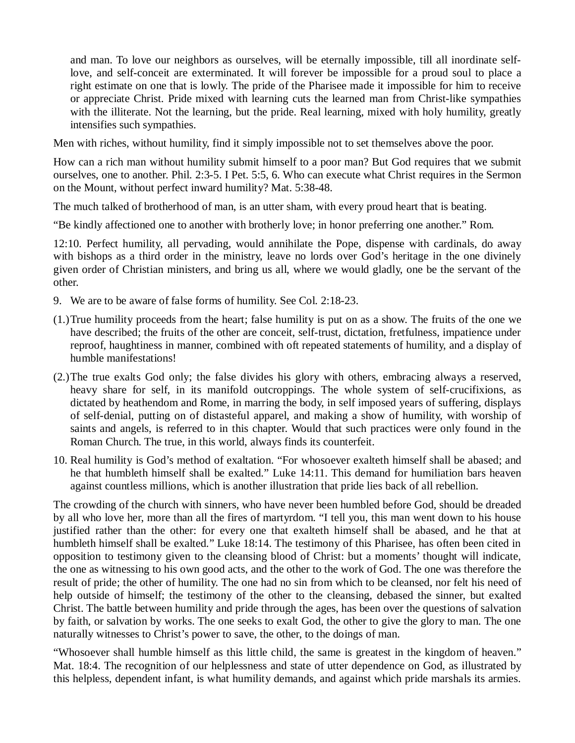and man. To love our neighbors as ourselves, will be eternally impossible, till all inordinate selflove, and self-conceit are exterminated. It will forever be impossible for a proud soul to place a right estimate on one that is lowly. The pride of the Pharisee made it impossible for him to receive or appreciate Christ. Pride mixed with learning cuts the learned man from Christ-like sympathies with the illiterate. Not the learning, but the pride. Real learning, mixed with holy humility, greatly intensifies such sympathies.

Men with riches, without humility, find it simply impossible not to set themselves above the poor.

How can a rich man without humility submit himself to a poor man? But God requires that we submit ourselves, one to another. Phil. 2:3-5. I Pet. 5:5, 6. Who can execute what Christ requires in the Sermon on the Mount, without perfect inward humility? Mat. 5:38-48.

The much talked of brotherhood of man, is an utter sham, with every proud heart that is beating.

"Be kindly affectioned one to another with brotherly love; in honor preferring one another." Rom.

12:10. Perfect humility, all pervading, would annihilate the Pope, dispense with cardinals, do away with bishops as a third order in the ministry, leave no lords over God's heritage in the one divinely given order of Christian ministers, and bring us all, where we would gladly, one be the servant of the other.

- 9. We are to be aware of false forms of humility. See Col. 2:18-23.
- (1.)True humility proceeds from the heart; false humility is put on as a show. The fruits of the one we have described; the fruits of the other are conceit, self-trust, dictation, fretfulness, impatience under reproof, haughtiness in manner, combined with oft repeated statements of humility, and a display of humble manifestations!
- (2.)The true exalts God only; the false divides his glory with others, embracing always a reserved, heavy share for self, in its manifold outcroppings. The whole system of self-crucifixions, as dictated by heathendom and Rome, in marring the body, in self imposed years of suffering, displays of self-denial, putting on of distasteful apparel, and making a show of humility, with worship of saints and angels, is referred to in this chapter. Would that such practices were only found in the Roman Church. The true, in this world, always finds its counterfeit.
- 10. Real humility is God's method of exaltation. "For whosoever exalteth himself shall be abased; and he that humbleth himself shall be exalted." Luke 14:11. This demand for humiliation bars heaven against countless millions, which is another illustration that pride lies back of all rebellion.

The crowding of the church with sinners, who have never been humbled before God, should be dreaded by all who love her, more than all the fires of martyrdom. "I tell you, this man went down to his house justified rather than the other: for every one that exalteth himself shall be abased, and he that at humbleth himself shall be exalted." Luke 18:14. The testimony of this Pharisee, has often been cited in opposition to testimony given to the cleansing blood of Christ: but a moments' thought will indicate, the one as witnessing to his own good acts, and the other to the work of God. The one was therefore the result of pride; the other of humility. The one had no sin from which to be cleansed, nor felt his need of help outside of himself; the testimony of the other to the cleansing, debased the sinner, but exalted Christ. The battle between humility and pride through the ages, has been over the questions of salvation by faith, or salvation by works. The one seeks to exalt God, the other to give the glory to man. The one naturally witnesses to Christ's power to save, the other, to the doings of man.

"Whosoever shall humble himself as this little child, the same is greatest in the kingdom of heaven." Mat. 18:4. The recognition of our helplessness and state of utter dependence on God, as illustrated by this helpless, dependent infant, is what humility demands, and against which pride marshals its armies.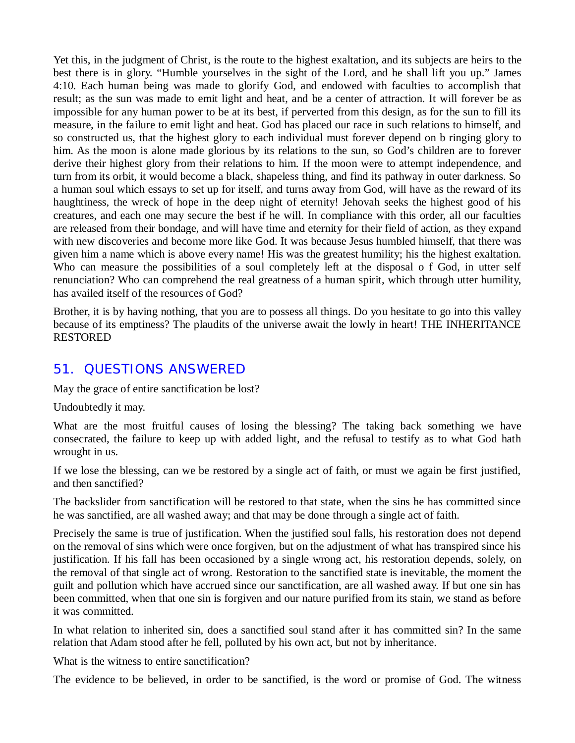Yet this, in the judgment of Christ, is the route to the highest exaltation, and its subjects are heirs to the best there is in glory. "Humble yourselves in the sight of the Lord, and he shall lift you up." James 4:10. Each human being was made to glorify God, and endowed with faculties to accomplish that result; as the sun was made to emit light and heat, and be a center of attraction. It will forever be as impossible for any human power to be at its best, if perverted from this design, as for the sun to fill its measure, in the failure to emit light and heat. God has placed our race in such relations to himself, and so constructed us, that the highest glory to each individual must forever depend on b ringing glory to him. As the moon is alone made glorious by its relations to the sun, so God's children are to forever derive their highest glory from their relations to him. If the moon were to attempt independence, and turn from its orbit, it would become a black, shapeless thing, and find its pathway in outer darkness. So a human soul which essays to set up for itself, and turns away from God, will have as the reward of its haughtiness, the wreck of hope in the deep night of eternity! Jehovah seeks the highest good of his creatures, and each one may secure the best if he will. In compliance with this order, all our faculties are released from their bondage, and will have time and eternity for their field of action, as they expand with new discoveries and become more like God. It was because Jesus humbled himself, that there was given him a name which is above every name! His was the greatest humility; his the highest exaltation. Who can measure the possibilities of a soul completely left at the disposal of God, in utter self renunciation? Who can comprehend the real greatness of a human spirit, which through utter humility, has availed itself of the resources of God?

Brother, it is by having nothing, that you are to possess all things. Do you hesitate to go into this valley because of its emptiness? The plaudits of the universe await the lowly in heart! THE INHERITANCE RESTORED

#### *51. QUESTIONS ANSWERED*

May the grace of entire sanctification be lost?

Undoubtedly it may.

What are the most fruitful causes of losing the blessing? The taking back something we have consecrated, the failure to keep up with added light, and the refusal to testify as to what God hath wrought in us.

If we lose the blessing, can we be restored by a single act of faith, or must we again be first justified, and then sanctified?

The backslider from sanctification will be restored to that state, when the sins he has committed since he was sanctified, are all washed away; and that may be done through a single act of faith.

Precisely the same is true of justification. When the justified soul falls, his restoration does not depend on the removal of sins which were once forgiven, but on the adjustment of what has transpired since his justification. If his fall has been occasioned by a single wrong act, his restoration depends, solely, on the removal of that single act of wrong. Restoration to the sanctified state is inevitable, the moment the guilt and pollution which have accrued since our sanctification, are all washed away. If but one sin has been committed, when that one sin is forgiven and our nature purified from its stain, we stand as before it was committed.

In what relation to inherited sin, does a sanctified soul stand after it has committed sin? In the same relation that Adam stood after he fell, polluted by his own act, but not by inheritance.

What is the witness to entire sanctification?

The evidence to be believed, in order to be sanctified, is the word or promise of God. The witness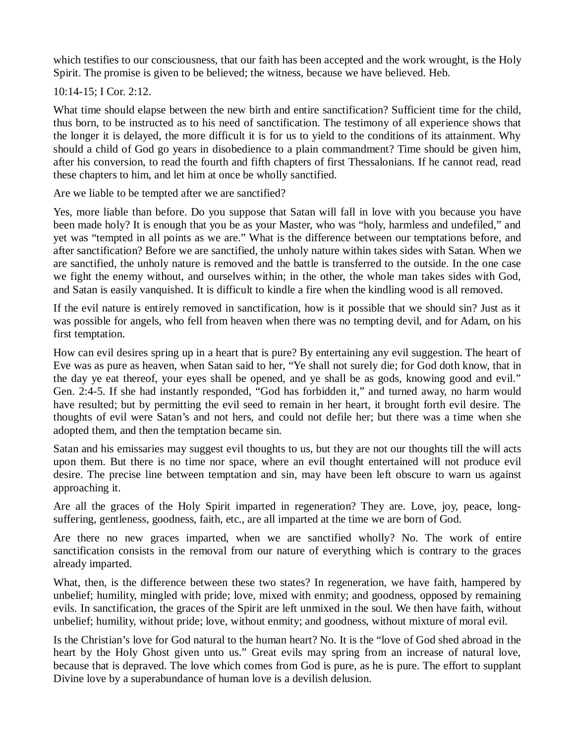which testifies to our consciousness, that our faith has been accepted and the work wrought, is the Holy Spirit. The promise is given to be believed; the witness, because we have believed. Heb.

10:14-15; I Cor. 2:12.

What time should elapse between the new birth and entire sanctification? Sufficient time for the child, thus born, to be instructed as to his need of sanctification. The testimony of all experience shows that the longer it is delayed, the more difficult it is for us to yield to the conditions of its attainment. Why should a child of God go years in disobedience to a plain commandment? Time should be given him, after his conversion, to read the fourth and fifth chapters of first Thessalonians. If he cannot read, read these chapters to him, and let him at once be wholly sanctified.

Are we liable to be tempted after we are sanctified?

Yes, more liable than before. Do you suppose that Satan will fall in love with you because you have been made holy? It is enough that you be as your Master, who was "holy, harmless and undefiled," and yet was "tempted in all points as we are." What is the difference between our temptations before, and after sanctification? Before we are sanctified, the unholy nature within takes sides with Satan. When we are sanctified, the unholy nature is removed and the battle is transferred to the outside. In the one case we fight the enemy without, and ourselves within; in the other, the whole man takes sides with God, and Satan is easily vanquished. It is difficult to kindle a fire when the kindling wood is all removed.

If the evil nature is entirely removed in sanctification, how is it possible that we should sin? Just as it was possible for angels, who fell from heaven when there was no tempting devil, and for Adam, on his first temptation.

How can evil desires spring up in a heart that is pure? By entertaining any evil suggestion. The heart of Eve was as pure as heaven, when Satan said to her, "Ye shall not surely die; for God doth know, that in the day ye eat thereof, your eyes shall be opened, and ye shall be as gods, knowing good and evil." Gen. 2:4-5. If she had instantly responded, "God has forbidden it," and turned away, no harm would have resulted; but by permitting the evil seed to remain in her heart, it brought forth evil desire. The thoughts of evil were Satan's and not hers, and could not defile her; but there was a time when she adopted them, and then the temptation became sin.

Satan and his emissaries may suggest evil thoughts to us, but they are not our thoughts till the will acts upon them. But there is no time nor space, where an evil thought entertained will not produce evil desire. The precise line between temptation and sin, may have been left obscure to warn us against approaching it.

Are all the graces of the Holy Spirit imparted in regeneration? They are. Love, joy, peace, longsuffering, gentleness, goodness, faith, etc., are all imparted at the time we are born of God.

Are there no new graces imparted, when we are sanctified wholly? No. The work of entire sanctification consists in the removal from our nature of everything which is contrary to the graces already imparted.

What, then, is the difference between these two states? In regeneration, we have faith, hampered by unbelief; humility, mingled with pride; love, mixed with enmity; and goodness, opposed by remaining evils. In sanctification, the graces of the Spirit are left unmixed in the soul. We then have faith, without unbelief; humility, without pride; love, without enmity; and goodness, without mixture of moral evil.

Is the Christian's love for God natural to the human heart? No. It is the "love of God shed abroad in the heart by the Holy Ghost given unto us." Great evils may spring from an increase of natural love, because that is depraved. The love which comes from God is pure, as he is pure. The effort to supplant Divine love by a superabundance of human love is a devilish delusion.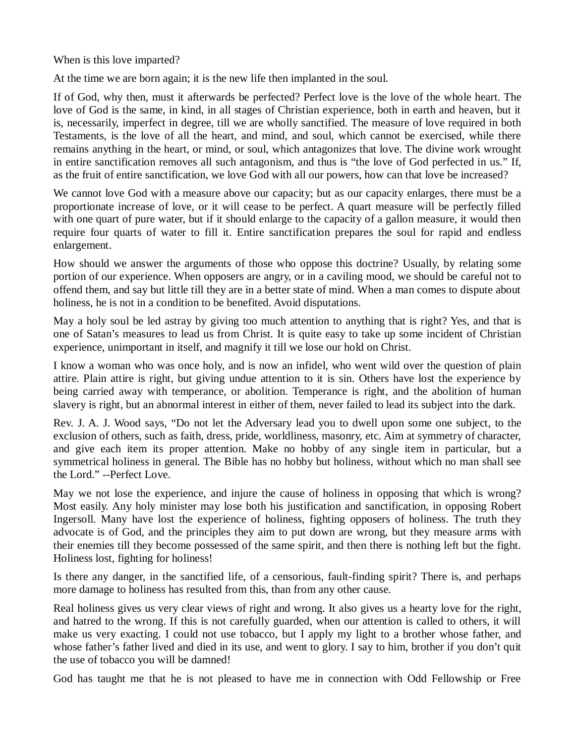When is this love imparted?

At the time we are born again; it is the new life then implanted in the soul.

If of God, why then, must it afterwards be perfected? Perfect love is the love of the whole heart. The love of God is the same, in kind, in all stages of Christian experience, both in earth and heaven, but it is, necessarily, imperfect in degree, till we are wholly sanctified. The measure of love required in both Testaments, is the love of all the heart, and mind, and soul, which cannot be exercised, while there remains anything in the heart, or mind, or soul, which antagonizes that love. The divine work wrought in entire sanctification removes all such antagonism, and thus is "the love of God perfected in us." If, as the fruit of entire sanctification, we love God with all our powers, how can that love be increased?

We cannot love God with a measure above our capacity; but as our capacity enlarges, there must be a proportionate increase of love, or it will cease to be perfect. A quart measure will be perfectly filled with one quart of pure water, but if it should enlarge to the capacity of a gallon measure, it would then require four quarts of water to fill it. Entire sanctification prepares the soul for rapid and endless enlargement.

How should we answer the arguments of those who oppose this doctrine? Usually, by relating some portion of our experience. When opposers are angry, or in a caviling mood, we should be careful not to offend them, and say but little till they are in a better state of mind. When a man comes to dispute about holiness, he is not in a condition to be benefited. Avoid disputations.

May a holy soul be led astray by giving too much attention to anything that is right? Yes, and that is one of Satan's measures to lead us from Christ. It is quite easy to take up some incident of Christian experience, unimportant in itself, and magnify it till we lose our hold on Christ.

I know a woman who was once holy, and is now an infidel, who went wild over the question of plain attire. Plain attire is right, but giving undue attention to it is sin. Others have lost the experience by being carried away with temperance, or abolition. Temperance is right, and the abolition of human slavery is right, but an abnormal interest in either of them, never failed to lead its subject into the dark.

Rev. J. A. J. Wood says, "Do not let the Adversary lead you to dwell upon some one subject, to the exclusion of others, such as faith, dress, pride, worldliness, masonry, etc. Aim at symmetry of character, and give each item its proper attention. Make no hobby of any single item in particular, but a symmetrical holiness in general. The Bible has no hobby but holiness, without which no man shall see the Lord." --Perfect Love.

May we not lose the experience, and injure the cause of holiness in opposing that which is wrong? Most easily. Any holy minister may lose both his justification and sanctification, in opposing Robert Ingersoll. Many have lost the experience of holiness, fighting opposers of holiness. The truth they advocate is of God, and the principles they aim to put down are wrong, but they measure arms with their enemies till they become possessed of the same spirit, and then there is nothing left but the fight. Holiness lost, fighting for holiness!

Is there any danger, in the sanctified life, of a censorious, fault-finding spirit? There is, and perhaps more damage to holiness has resulted from this, than from any other cause.

Real holiness gives us very clear views of right and wrong. It also gives us a hearty love for the right, and hatred to the wrong. If this is not carefully guarded, when our attention is called to others, it will make us very exacting. I could not use tobacco, but I apply my light to a brother whose father, and whose father's father lived and died in its use, and went to glory. I say to him, brother if you don't quit the use of tobacco you will be damned!

God has taught me that he is not pleased to have me in connection with Odd Fellowship or Free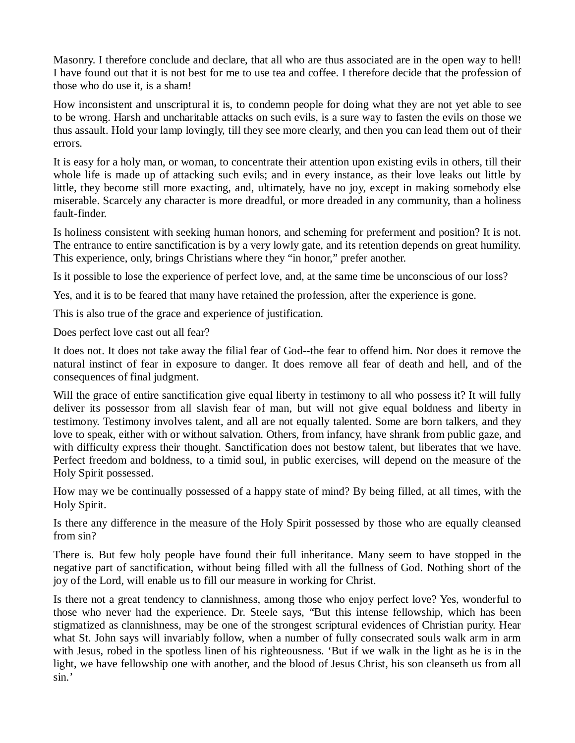Masonry. I therefore conclude and declare, that all who are thus associated are in the open way to hell! I have found out that it is not best for me to use tea and coffee. I therefore decide that the profession of those who do use it, is a sham!

How inconsistent and unscriptural it is, to condemn people for doing what they are not yet able to see to be wrong. Harsh and uncharitable attacks on such evils, is a sure way to fasten the evils on those we thus assault. Hold your lamp lovingly, till they see more clearly, and then you can lead them out of their errors.

It is easy for a holy man, or woman, to concentrate their attention upon existing evils in others, till their whole life is made up of attacking such evils; and in every instance, as their love leaks out little by little, they become still more exacting, and, ultimately, have no joy, except in making somebody else miserable. Scarcely any character is more dreadful, or more dreaded in any community, than a holiness fault-finder.

Is holiness consistent with seeking human honors, and scheming for preferment and position? It is not. The entrance to entire sanctification is by a very lowly gate, and its retention depends on great humility. This experience, only, brings Christians where they "in honor," prefer another.

Is it possible to lose the experience of perfect love, and, at the same time be unconscious of our loss?

Yes, and it is to be feared that many have retained the profession, after the experience is gone.

This is also true of the grace and experience of justification.

Does perfect love cast out all fear?

It does not. It does not take away the filial fear of God--the fear to offend him. Nor does it remove the natural instinct of fear in exposure to danger. It does remove all fear of death and hell, and of the consequences of final judgment.

Will the grace of entire sanctification give equal liberty in testimony to all who possess it? It will fully deliver its possessor from all slavish fear of man, but will not give equal boldness and liberty in testimony. Testimony involves talent, and all are not equally talented. Some are born talkers, and they love to speak, either with or without salvation. Others, from infancy, have shrank from public gaze, and with difficulty express their thought. Sanctification does not bestow talent, but liberates that we have. Perfect freedom and boldness, to a timid soul, in public exercises, will depend on the measure of the Holy Spirit possessed.

How may we be continually possessed of a happy state of mind? By being filled, at all times, with the Holy Spirit.

Is there any difference in the measure of the Holy Spirit possessed by those who are equally cleansed from sin?

There is. But few holy people have found their full inheritance. Many seem to have stopped in the negative part of sanctification, without being filled with all the fullness of God. Nothing short of the joy of the Lord, will enable us to fill our measure in working for Christ.

Is there not a great tendency to clannishness, among those who enjoy perfect love? Yes, wonderful to those who never had the experience. Dr. Steele says, "But this intense fellowship, which has been stigmatized as clannishness, may be one of the strongest scriptural evidences of Christian purity. Hear what St. John says will invariably follow, when a number of fully consecrated souls walk arm in arm with Jesus, robed in the spotless linen of his righteousness. 'But if we walk in the light as he is in the light, we have fellowship one with another, and the blood of Jesus Christ, his son cleanseth us from all sin.'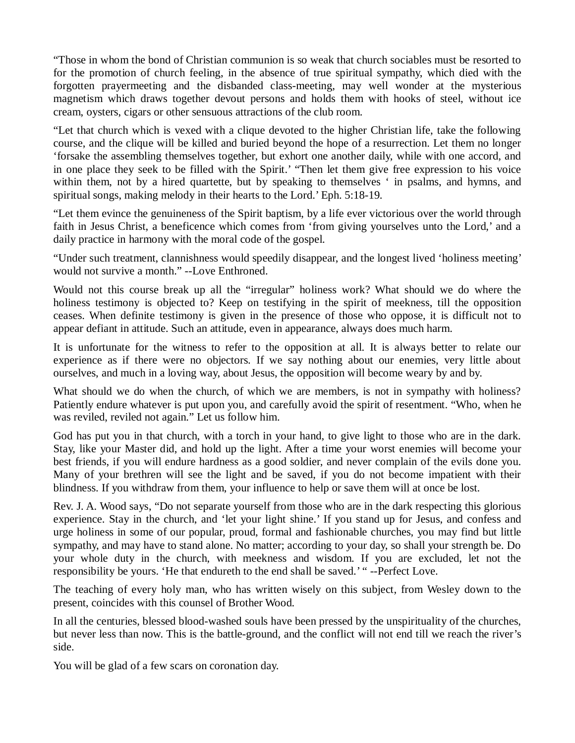"Those in whom the bond of Christian communion is so weak that church sociables must be resorted to for the promotion of church feeling, in the absence of true spiritual sympathy, which died with the forgotten prayermeeting and the disbanded class-meeting, may well wonder at the mysterious magnetism which draws together devout persons and holds them with hooks of steel, without ice cream, oysters, cigars or other sensuous attractions of the club room.

"Let that church which is vexed with a clique devoted to the higher Christian life, take the following course, and the clique will be killed and buried beyond the hope of a resurrection. Let them no longer 'forsake the assembling themselves together, but exhort one another daily, while with one accord, and in one place they seek to be filled with the Spirit.' "Then let them give free expression to his voice within them, not by a hired quartette, but by speaking to themselves ' in psalms, and hymns, and spiritual songs, making melody in their hearts to the Lord.' Eph. 5:18-19.

"Let them evince the genuineness of the Spirit baptism, by a life ever victorious over the world through faith in Jesus Christ, a beneficence which comes from 'from giving yourselves unto the Lord,' and a daily practice in harmony with the moral code of the gospel.

"Under such treatment, clannishness would speedily disappear, and the longest lived 'holiness meeting' would not survive a month." --Love Enthroned.

Would not this course break up all the "irregular" holiness work? What should we do where the holiness testimony is objected to? Keep on testifying in the spirit of meekness, till the opposition ceases. When definite testimony is given in the presence of those who oppose, it is difficult not to appear defiant in attitude. Such an attitude, even in appearance, always does much harm.

It is unfortunate for the witness to refer to the opposition at all. It is always better to relate our experience as if there were no objectors. If we say nothing about our enemies, very little about ourselves, and much in a loving way, about Jesus, the opposition will become weary by and by.

What should we do when the church, of which we are members, is not in sympathy with holiness? Patiently endure whatever is put upon you, and carefully avoid the spirit of resentment. "Who, when he was reviled, reviled not again." Let us follow him.

God has put you in that church, with a torch in your hand, to give light to those who are in the dark. Stay, like your Master did, and hold up the light. After a time your worst enemies will become your best friends, if you will endure hardness as a good soldier, and never complain of the evils done you. Many of your brethren will see the light and be saved, if you do not become impatient with their blindness. If you withdraw from them, your influence to help or save them will at once be lost.

Rev. J. A. Wood says, "Do not separate yourself from those who are in the dark respecting this glorious experience. Stay in the church, and 'let your light shine.' If you stand up for Jesus, and confess and urge holiness in some of our popular, proud, formal and fashionable churches, you may find but little sympathy, and may have to stand alone. No matter; according to your day, so shall your strength be. Do your whole duty in the church, with meekness and wisdom. If you are excluded, let not the responsibility be yours. 'He that endureth to the end shall be saved.' " --Perfect Love.

The teaching of every holy man, who has written wisely on this subject, from Wesley down to the present, coincides with this counsel of Brother Wood.

In all the centuries, blessed blood-washed souls have been pressed by the unspirituality of the churches, but never less than now. This is the battle-ground, and the conflict will not end till we reach the river's side.

You will be glad of a few scars on coronation day.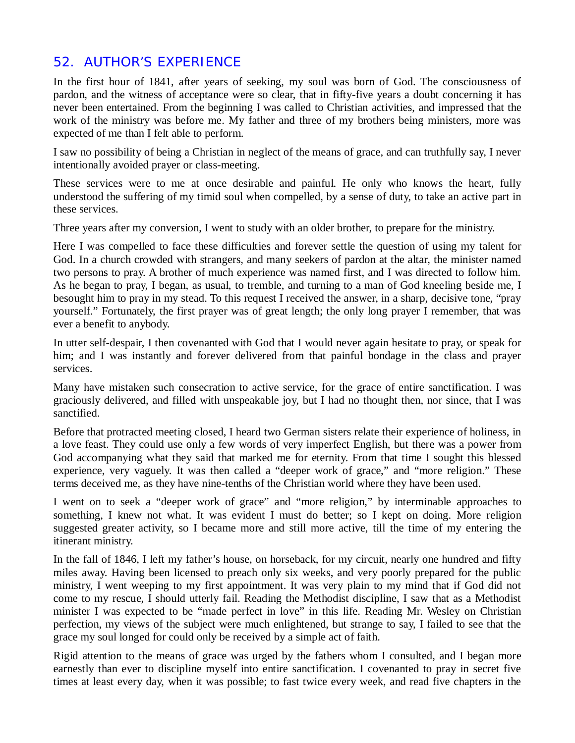# *52. AUTHOR'S EXPERIENCE*

In the first hour of 1841, after years of seeking, my soul was born of God. The consciousness of pardon, and the witness of acceptance were so clear, that in fifty-five years a doubt concerning it has never been entertained. From the beginning I was called to Christian activities, and impressed that the work of the ministry was before me. My father and three of my brothers being ministers, more was expected of me than I felt able to perform.

I saw no possibility of being a Christian in neglect of the means of grace, and can truthfully say, I never intentionally avoided prayer or class-meeting.

These services were to me at once desirable and painful. He only who knows the heart, fully understood the suffering of my timid soul when compelled, by a sense of duty, to take an active part in these services.

Three years after my conversion, I went to study with an older brother, to prepare for the ministry.

Here I was compelled to face these difficulties and forever settle the question of using my talent for God. In a church crowded with strangers, and many seekers of pardon at the altar, the minister named two persons to pray. A brother of much experience was named first, and I was directed to follow him. As he began to pray, I began, as usual, to tremble, and turning to a man of God kneeling beside me, I besought him to pray in my stead. To this request I received the answer, in a sharp, decisive tone, "pray yourself." Fortunately, the first prayer was of great length; the only long prayer I remember, that was ever a benefit to anybody.

In utter self-despair, I then covenanted with God that I would never again hesitate to pray, or speak for him; and I was instantly and forever delivered from that painful bondage in the class and prayer services.

Many have mistaken such consecration to active service, for the grace of entire sanctification. I was graciously delivered, and filled with unspeakable joy, but I had no thought then, nor since, that I was sanctified.

Before that protracted meeting closed, I heard two German sisters relate their experience of holiness, in a love feast. They could use only a few words of very imperfect English, but there was a power from God accompanying what they said that marked me for eternity. From that time I sought this blessed experience, very vaguely. It was then called a "deeper work of grace," and "more religion." These terms deceived me, as they have nine-tenths of the Christian world where they have been used.

I went on to seek a "deeper work of grace" and "more religion," by interminable approaches to something, I knew not what. It was evident I must do better; so I kept on doing. More religion suggested greater activity, so I became more and still more active, till the time of my entering the itinerant ministry.

In the fall of 1846, I left my father's house, on horseback, for my circuit, nearly one hundred and fifty miles away. Having been licensed to preach only six weeks, and very poorly prepared for the public ministry, I went weeping to my first appointment. It was very plain to my mind that if God did not come to my rescue, I should utterly fail. Reading the Methodist discipline, I saw that as a Methodist minister I was expected to be "made perfect in love" in this life. Reading Mr. Wesley on Christian perfection, my views of the subject were much enlightened, but strange to say, I failed to see that the grace my soul longed for could only be received by a simple act of faith.

Rigid attention to the means of grace was urged by the fathers whom I consulted, and I began more earnestly than ever to discipline myself into entire sanctification. I covenanted to pray in secret five times at least every day, when it was possible; to fast twice every week, and read five chapters in the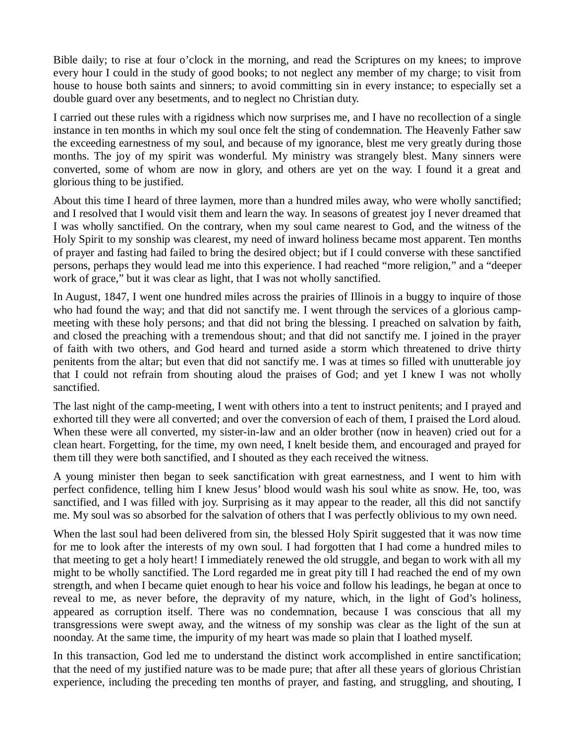Bible daily; to rise at four o'clock in the morning, and read the Scriptures on my knees; to improve every hour I could in the study of good books; to not neglect any member of my charge; to visit from house to house both saints and sinners; to avoid committing sin in every instance; to especially set a double guard over any besetments, and to neglect no Christian duty.

I carried out these rules with a rigidness which now surprises me, and I have no recollection of a single instance in ten months in which my soul once felt the sting of condemnation. The Heavenly Father saw the exceeding earnestness of my soul, and because of my ignorance, blest me very greatly during those months. The joy of my spirit was wonderful. My ministry was strangely blest. Many sinners were converted, some of whom are now in glory, and others are yet on the way. I found it a great and glorious thing to be justified.

About this time I heard of three laymen, more than a hundred miles away, who were wholly sanctified; and I resolved that I would visit them and learn the way. In seasons of greatest joy I never dreamed that I was wholly sanctified. On the contrary, when my soul came nearest to God, and the witness of the Holy Spirit to my sonship was clearest, my need of inward holiness became most apparent. Ten months of prayer and fasting had failed to bring the desired object; but if I could converse with these sanctified persons, perhaps they would lead me into this experience. I had reached "more religion," and a "deeper work of grace," but it was clear as light, that I was not wholly sanctified.

In August, 1847, I went one hundred miles across the prairies of Illinois in a buggy to inquire of those who had found the way; and that did not sanctify me. I went through the services of a glorious campmeeting with these holy persons; and that did not bring the blessing. I preached on salvation by faith, and closed the preaching with a tremendous shout; and that did not sanctify me. I joined in the prayer of faith with two others, and God heard and turned aside a storm which threatened to drive thirty penitents from the altar; but even that did not sanctify me. I was at times so filled with unutterable joy that I could not refrain from shouting aloud the praises of God; and yet I knew I was not wholly sanctified.

The last night of the camp-meeting, I went with others into a tent to instruct penitents; and I prayed and exhorted till they were all converted; and over the conversion of each of them, I praised the Lord aloud. When these were all converted, my sister-in-law and an older brother (now in heaven) cried out for a clean heart. Forgetting, for the time, my own need, I knelt beside them, and encouraged and prayed for them till they were both sanctified, and I shouted as they each received the witness.

A young minister then began to seek sanctification with great earnestness, and I went to him with perfect confidence, telling him I knew Jesus' blood would wash his soul white as snow. He, too, was sanctified, and I was filled with joy. Surprising as it may appear to the reader, all this did not sanctify me. My soul was so absorbed for the salvation of others that I was perfectly oblivious to my own need.

When the last soul had been delivered from sin, the blessed Holy Spirit suggested that it was now time for me to look after the interests of my own soul. I had forgotten that I had come a hundred miles to that meeting to get a holy heart! I immediately renewed the old struggle, and began to work with all my might to be wholly sanctified. The Lord regarded me in great pity till I had reached the end of my own strength, and when I became quiet enough to hear his voice and follow his leadings, he began at once to reveal to me, as never before, the depravity of my nature, which, in the light of God's holiness, appeared as corruption itself. There was no condemnation, because I was conscious that all my transgressions were swept away, and the witness of my sonship was clear as the light of the sun at noonday. At the same time, the impurity of my heart was made so plain that I loathed myself.

In this transaction, God led me to understand the distinct work accomplished in entire sanctification; that the need of my justified nature was to be made pure; that after all these years of glorious Christian experience, including the preceding ten months of prayer, and fasting, and struggling, and shouting, I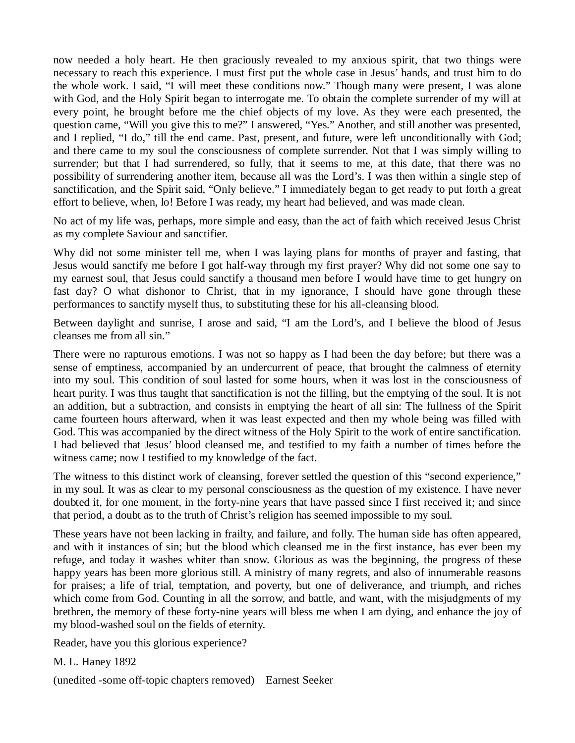now needed a holy heart. He then graciously revealed to my anxious spirit, that two things were necessary to reach this experience. I must first put the whole case in Jesus' hands, and trust him to do the whole work. I said, "I will meet these conditions now." Though many were present, I was alone with God, and the Holy Spirit began to interrogate me. To obtain the complete surrender of my will at every point, he brought before me the chief objects of my love. As they were each presented, the question came, "Will you give this to me?" I answered, "Yes." Another, and still another was presented, and I replied, "I do," till the end came. Past, present, and future, were left unconditionally with God; and there came to my soul the consciousness of complete surrender. Not that I was simply willing to surrender; but that I had surrendered, so fully, that it seems to me, at this date, that there was no possibility of surrendering another item, because all was the Lord's. I was then within a single step of sanctification, and the Spirit said, "Only believe." I immediately began to get ready to put forth a great effort to believe, when, lo! Before I was ready, my heart had believed, and was made clean.

No act of my life was, perhaps, more simple and easy, than the act of faith which received Jesus Christ as my complete Saviour and sanctifier.

Why did not some minister tell me, when I was laying plans for months of prayer and fasting, that Jesus would sanctify me before I got half-way through my first prayer? Why did not some one say to my earnest soul, that Jesus could sanctify a thousand men before I would have time to get hungry on fast day? O what dishonor to Christ, that in my ignorance, I should have gone through these performances to sanctify myself thus, to substituting these for his all-cleansing blood.

Between daylight and sunrise, I arose and said, "I am the Lord's, and I believe the blood of Jesus cleanses me from all sin."

There were no rapturous emotions. I was not so happy as I had been the day before; but there was a sense of emptiness, accompanied by an undercurrent of peace, that brought the calmness of eternity into my soul. This condition of soul lasted for some hours, when it was lost in the consciousness of heart purity. I was thus taught that sanctification is not the filling, but the emptying of the soul. It is not an addition, but a subtraction, and consists in emptying the heart of all sin: The fullness of the Spirit came fourteen hours afterward, when it was least expected and then my whole being was filled with God. This was accompanied by the direct witness of the Holy Spirit to the work of entire sanctification. I had believed that Jesus' blood cleansed me, and testified to my faith a number of times before the witness came; now I testified to my knowledge of the fact.

The witness to this distinct work of cleansing, forever settled the question of this "second experience," in my soul. It was as clear to my personal consciousness as the question of my existence. I have never doubted it, for one moment, in the forty-nine years that have passed since I first received it; and since that period, a doubt as to the truth of Christ's religion has seemed impossible to my soul.

These years have not been lacking in frailty, and failure, and folly. The human side has often appeared, and with it instances of sin; but the blood which cleansed me in the first instance, has ever been my refuge, and today it washes whiter than snow. Glorious as was the beginning, the progress of these happy years has been more glorious still. A ministry of many regrets, and also of innumerable reasons for praises; a life of trial, temptation, and poverty, but one of deliverance, and triumph, and riches which come from God. Counting in all the sorrow, and battle, and want, with the misjudgments of my brethren, the memory of these forty-nine years will bless me when I am dying, and enhance the joy of my blood-washed soul on the fields of eternity.

Reader, have you this glorious experience?

M. L. Haney 1892

(unedited -some off-topic chapters removed) Earnest Seeker